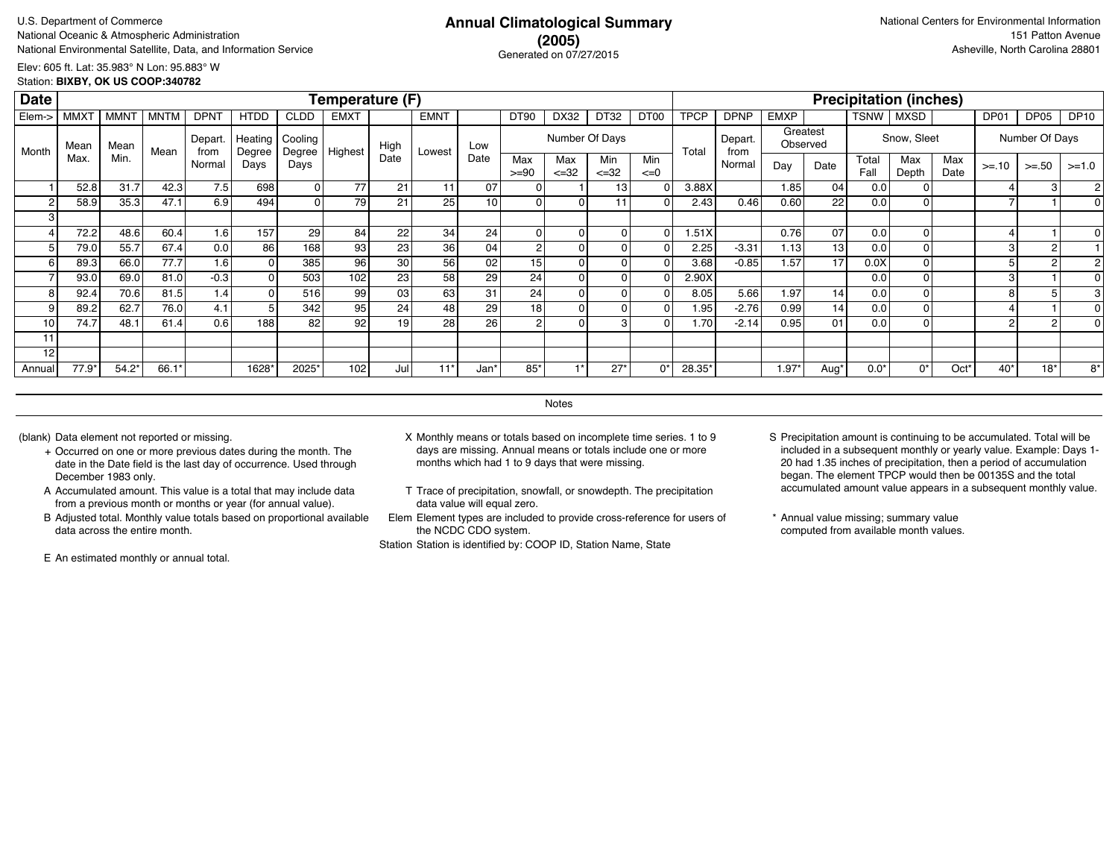# **(2005)** Generated on 07/27/2015

Elev: 605 ft. Lat: 35.983° N Lon: 95.883° W Station: **BIXBY, OK US COOP:340782**

| <b>Date</b> |             |             |             |                  |                     |                   | Temperature (F) |      |                 |                 |                 |                   |                  |                  |                   |                 |             |                      |               | <b>Precipitation (inches)</b> |             |         |                |             |
|-------------|-------------|-------------|-------------|------------------|---------------------|-------------------|-----------------|------|-----------------|-----------------|-----------------|-------------------|------------------|------------------|-------------------|-----------------|-------------|----------------------|---------------|-------------------------------|-------------|---------|----------------|-------------|
| Elem->      | <b>MMXT</b> | <b>MMNT</b> | <b>MNTM</b> | <b>DPNT</b>      | <b>HTDD</b>         | <b>CLDD</b>       | <b>EMXT</b>     |      | <b>EMNT</b>     |                 | DT90            | DX32              | DT32             | DT <sub>00</sub> | <b>TPCP</b>       | <b>DPNP</b>     | <b>EMXP</b> |                      | <b>TSNW</b>   | <b>MXSD</b>                   |             | DP01    | DP05           | <b>DP10</b> |
| Month       | Mean        | Mean        | Mean        | Depart.<br>from  | Heating !<br>Degree | Cooling<br>Degree | Highest         | High | Lowest          | Low             |                 | Number Of Days    |                  |                  | Total             | Depart.<br>from |             | Greatest<br>Observed |               | Snow, Sleet                   |             |         | Number Of Days |             |
|             | Max.        | Min.        |             | Normal           | Days                | Days              |                 | Date |                 | Date            | Max<br>$>= 90$  | Max<br>$\leq$ =32 | Min<br>$\leq 32$ | Min<br>$\leq=0$  |                   | Normal          | Day         | Date                 | Total<br>Fall | Max<br>Depth                  | Max<br>Date | $>= 10$ | $>= 50$        | $>=1.0$     |
|             | 52.8        | 31.7        | 42.3        | 7.5              | 698                 | οI                | 77              | 21   | 11              | 07              | $\Omega$        |                   | 13               |                  | 3.88X             |                 | 1.85        | 04                   | 0.01          |                               |             |         | 3              |             |
|             | 58.9        | 35.3        | 47.1        | 6.9 <sub>1</sub> | 494                 | οI                | 79              | 21   | 25 <sub>1</sub> | 10              | $\Omega$        |                   |                  |                  | 2.43              | 0.46            | 0.60        | 22                   | 0.01          |                               |             |         |                |             |
|             |             |             |             |                  |                     |                   |                 |      |                 |                 |                 |                   |                  |                  |                   |                 |             |                      |               |                               |             |         |                |             |
|             | 72.2        | 48.6        | 60.4        | 1.61             | 157                 | 29                | 84              | 22   | 34              | 24              | $\mathbf{0}$    |                   |                  |                  | .51X              |                 | 0.76        | 07                   | 0.0           |                               |             |         |                |             |
|             | 79.0        | 55.7        | 67.4        | 0.0              | 86                  | 168               | 93              | 23   | 36              | 04              | 2               |                   |                  |                  | 2.25              | $-3.31$         | 1.13        | 13                   | 0.0           |                               |             |         |                |             |
|             | 89.3        | 66.0        | 77.7        | 1.6              |                     | 385               | 96              | 30   | 56              | 02              | 15              |                   |                  |                  | 3.68              | $-0.85$         | 1.57        | 17                   | 0.0X          |                               |             |         |                |             |
|             | 93.0        | 69.0        | 81.0        | $-0.3$           |                     | 503               | 102             | 23   | 58              | 29              | 24 <sub>1</sub> |                   |                  |                  | 2.90X             |                 |             |                      | 0.0           |                               |             |         |                |             |
|             | 92.4        | 70.6        | 81.5        | 1.4 <sub>1</sub> |                     | 516               | 99              | 03   | 63              | 31              | 24 <sub>1</sub> |                   |                  |                  | 8.05              | 5.66            | 1.97        | 14                   | 0.0           |                               |             | 8       |                |             |
| 9           | 89.2        | 62.7        | 76.0        | 4.1              |                     | 342               | 95              | 24   | 48              | 29              | 18              |                   |                  |                  | 1.95 <sub>1</sub> | $-2.76$         | 0.99        | 14                   | 0.01          |                               |             |         |                |             |
| 10          | 74.7        | 48.1        | 61.4        | 0.6              | 188                 | 82                | 92              | 19   | 28 <sub>1</sub> | 26 <sub>1</sub> | 2               |                   | з                |                  | 1.70              | $-2.14$         | 0.95        | 01                   | 0.0           |                               |             | 2       | $\overline{2}$ |             |
| 11          |             |             |             |                  |                     |                   |                 |      |                 |                 |                 |                   |                  |                  |                   |                 |             |                      |               |                               |             |         |                |             |
| 12          |             |             |             |                  |                     |                   |                 |      |                 |                 |                 |                   |                  |                  |                   |                 |             |                      |               |                               |             |         |                |             |
| Annual      | $77.9*$     | $54.2*$     | 66.1        |                  | 1628*               | 2025*             | 102             | Jul  | $11*$           | Jan'            | $85*$           |                   | $27*$            | $\Omega$         | 28.35*            |                 | $1.97*$     | Aug'                 | $0.0*$        | $0^*$                         | Oct*        | $40*$   | $18*$          | 8*          |

**Notes** 

- + Occurred on one or more previous dates during the month. The date in the Date field is the last day of occurrence. Used through December 1983 only.
- A Accumulated amount. This value is a total that may include data from a previous month or months or year (for annual value).
- B Adjusted total. Monthly value totals based on proportional available data across the entire month.

E An estimated monthly or annual total.

- (blank) Data element not reported or missing. X Monthly means or totals based on incomplete time series. 1 to 9 days are missing. Annual means or totals include one or more months which had 1 to 9 days that were missing.
	- T Trace of precipitation, snowfall, or snowdepth. The precipitation data value will equal zero.
	- Elem Element types are included to provide cross-reference for users of the NCDC CDO system.

- S Precipitation amount is continuing to be accumulated. Total will be included in a subsequent monthly or yearly value. Example: Days 1- 20 had 1.35 inches of precipitation, then a period of accumulation began. The element TPCP would then be 00135S and the total accumulated amount value appears in a subsequent monthly value.
- \* Annual value missing; summary value computed from available month values.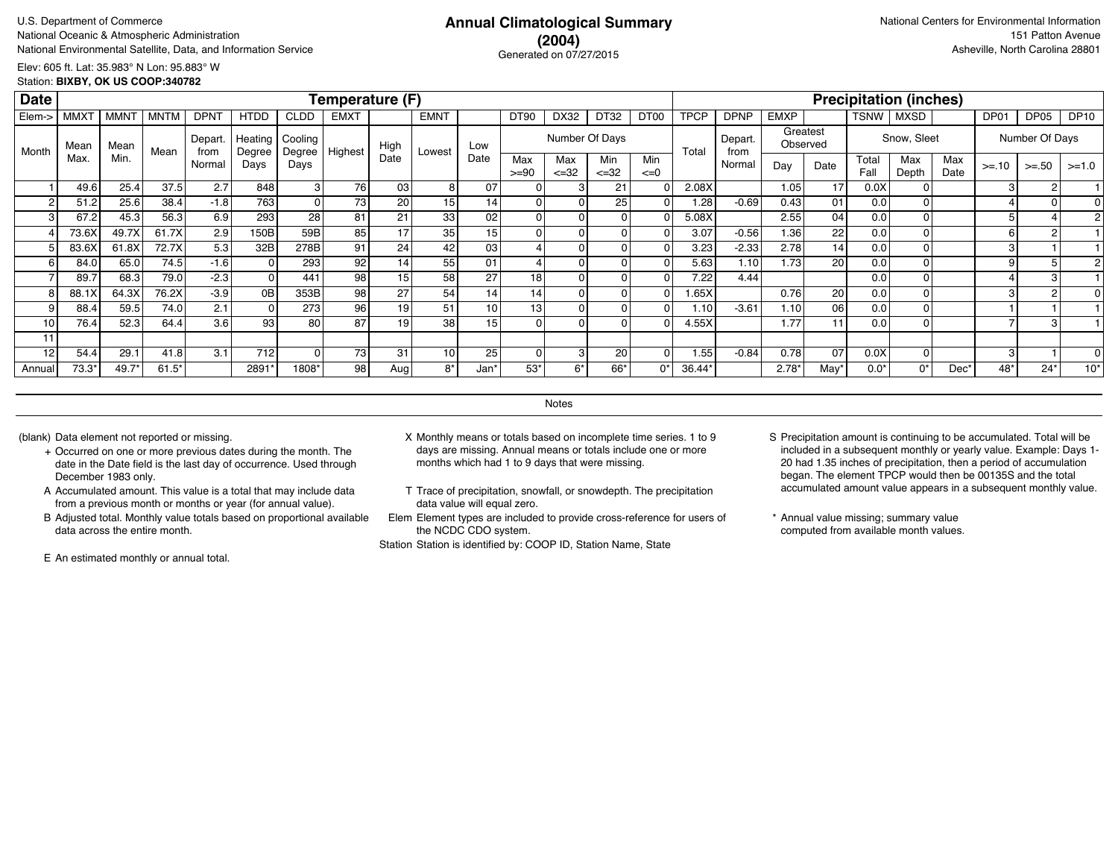# **(2004)** Generated on 07/27/2015

Elev: 605 ft. Lat: 35.983° N Lon: 95.883° W Station: **BIXBY, OK US COOP:340782**

| <b>Date</b> |                        |             |             |                 |                   |                    | Temperature (F) |                 |             |                 |                |                   |                          |                  |             |                 |                      |      |               | <b>Precipitation (inches)</b> |             |         |                |             |
|-------------|------------------------|-------------|-------------|-----------------|-------------------|--------------------|-----------------|-----------------|-------------|-----------------|----------------|-------------------|--------------------------|------------------|-------------|-----------------|----------------------|------|---------------|-------------------------------|-------------|---------|----------------|-------------|
| Elem->      | <b>MMX<sub>1</sub></b> | <b>MMNT</b> | <b>MNTM</b> | <b>DPNT</b>     | <b>HTDD</b>       | <b>CLDD</b>        | <b>EMXT</b>     |                 | <b>EMNT</b> |                 | DT90           | DX32              | DT32                     | DT <sub>00</sub> | <b>TPCP</b> | <b>DPNP</b>     | <b>EMXP</b>          |      | <b>TSNW</b>   | <b>MXSD</b>                   |             | DP01    | DP05           | <b>DP10</b> |
| Month       | Mean                   | Mean        | Mean        | Depart.<br>from | Heating<br>Degree | Cooling<br>Degree' | Highest         | High            | Lowest      | Low             |                | Number Of Days    |                          |                  | Total       | Depart.<br>from | Greatest<br>Observed |      |               | Snow, Sleet                   |             |         | Number Of Days |             |
|             | Max.                   | Min.        |             | Normal          | Davs              | Days               |                 | Date            |             | Date            | Max<br>$>= 90$ | Max<br>$\leq$ =32 | <b>Min</b><br>$\leq$ =32 | Min<br>$\leq=0$  |             | Normal          | Day                  | Date | Total<br>Fall | Max<br>Depth                  | Max<br>Date | $>= 10$ | $>=.50$        | $>=1.0$     |
|             | 49.6                   | 25.4        | 37.5        | 2.7             | 848               |                    | 76              | 03 <sub>1</sub> |             | 07              |                |                   | 21                       |                  | 2.08X       |                 | 1.05                 | 17   | 0.0X          |                               |             |         |                |             |
| 2           | 51.2                   | 25.6        | 38.4        | $-1.8$          | 763               |                    | 73              | 20 l            | 15          | 14              |                |                   | 25                       |                  | 1.28        | $-0.69$         | 0.43                 | 01   | 0.0           |                               |             |         |                |             |
| 3           | 67.2                   | 45.3        | 56.3        | 6.9             | 293               | 28                 | 81              | 21              | 33          | 02              | 0              |                   |                          |                  | 5.08X       |                 | 2.55                 | 04   | 0.0           |                               |             |         |                |             |
|             | 73.6X                  | 49.7X       | 61.7X       | 2.9             | 150B              | 59B                | 85              | 17              | 35          | 15 <sup>1</sup> |                |                   |                          |                  | 3.07        | $-0.56$         | 1.36                 | 22   | 0.0           |                               |             | 6       | $\overline{2}$ |             |
|             | 83.6X                  | 61.8X       | 72.7X       | 5.3             | 32B               | 278B               | 91              | 24              | 42          | 03              |                |                   |                          |                  | 3.23        | $-2.33$         | 2.78                 | 14   | 0.0           |                               |             |         |                |             |
| ĥ           | 84.0                   | 65.0        | 74.5        | $-1.6$          |                   | 293                | 92              | 14 <sub>1</sub> | 55          | 01              |                |                   |                          |                  | 5.63        | 1.10            | 1.73                 | 20   | 0.0           |                               |             |         |                |             |
|             | 89.7                   | 68.3        | 79.0        | $-2.3$          |                   | 441                | 98              | 15 I            | 58          | 27              | 18             |                   |                          |                  | 7.22        | 4.44            |                      |      | 0.0           |                               |             |         | 3              |             |
| 8           | 88.1X                  | 64.3X       | 76.2X       | $-3.9$          | 0B                | 353B               | 98              | 27              | 54          | 14              | 14             |                   |                          |                  | .65X        |                 | 0.76                 | 20   | 0.0           |                               |             |         |                |             |
| 9           | 88.4                   | 59.5        | 74.0        | 2.1             | $\Omega$          | 273                | 96              | 19              | 51          | 10 <sup>1</sup> | 13             |                   |                          |                  | .10         | $-3.61$         | 1.10                 | 06   | 0.0           |                               |             |         |                |             |
| 10          | 76.4                   | 52.3        | 64.4        | 3.6             | 93                | 80                 | 87              | 19 <sup>1</sup> | 38          | 15 <sup>1</sup> | O              |                   |                          |                  | 4.55X       |                 | 1.77                 | 11   | 0.0           |                               |             |         | 3              |             |
| 11          |                        |             |             |                 |                   |                    |                 |                 |             |                 |                |                   |                          |                  |             |                 |                      |      |               |                               |             |         |                |             |
| 12          | 54.4                   | 29.1        | 41.8        | 3.1             | 712               |                    | 73              | 31              | 10          | 25              | 0              | 3                 | 20                       |                  | 1.55        | $-0.84$         | 0.78                 | 07   | 0.0X          |                               |             | 3       |                | 0           |
| Annual      | 73.3*                  | $49.7*$     | $61.5*$     |                 | 2891*             | 1808*              | 98              | Aug I           | 8*          | Jan'            | $53*$          | 6*                | 66*                      | $\mathsf{O}^*$   | 36.44*      |                 | $2.78*$              | May  | $0.0*$        | $0^*$                         | $Dec^*$     | 48*     | $24*$          | $10*$       |

**Notes** 

- + Occurred on one or more previous dates during the month. The date in the Date field is the last day of occurrence. Used through December 1983 only.
- A Accumulated amount. This value is a total that may include data from a previous month or months or year (for annual value).
- B Adjusted total. Monthly value totals based on proportional available data across the entire month.

E An estimated monthly or annual total.

- (blank) Data element not reported or missing. X Monthly means or totals based on incomplete time series. 1 to 9 days are missing. Annual means or totals include one or more months which had 1 to 9 days that were missing.
	- T Trace of precipitation, snowfall, or snowdepth. The precipitation data value will equal zero.
	- Elem Element types are included to provide cross-reference for users of the NCDC CDO system.

- S Precipitation amount is continuing to be accumulated. Total will be included in a subsequent monthly or yearly value. Example: Days 1- 20 had 1.35 inches of precipitation, then a period of accumulation began. The element TPCP would then be 00135S and the total accumulated amount value appears in a subsequent monthly value.
- \* Annual value missing; summary value computed from available month values.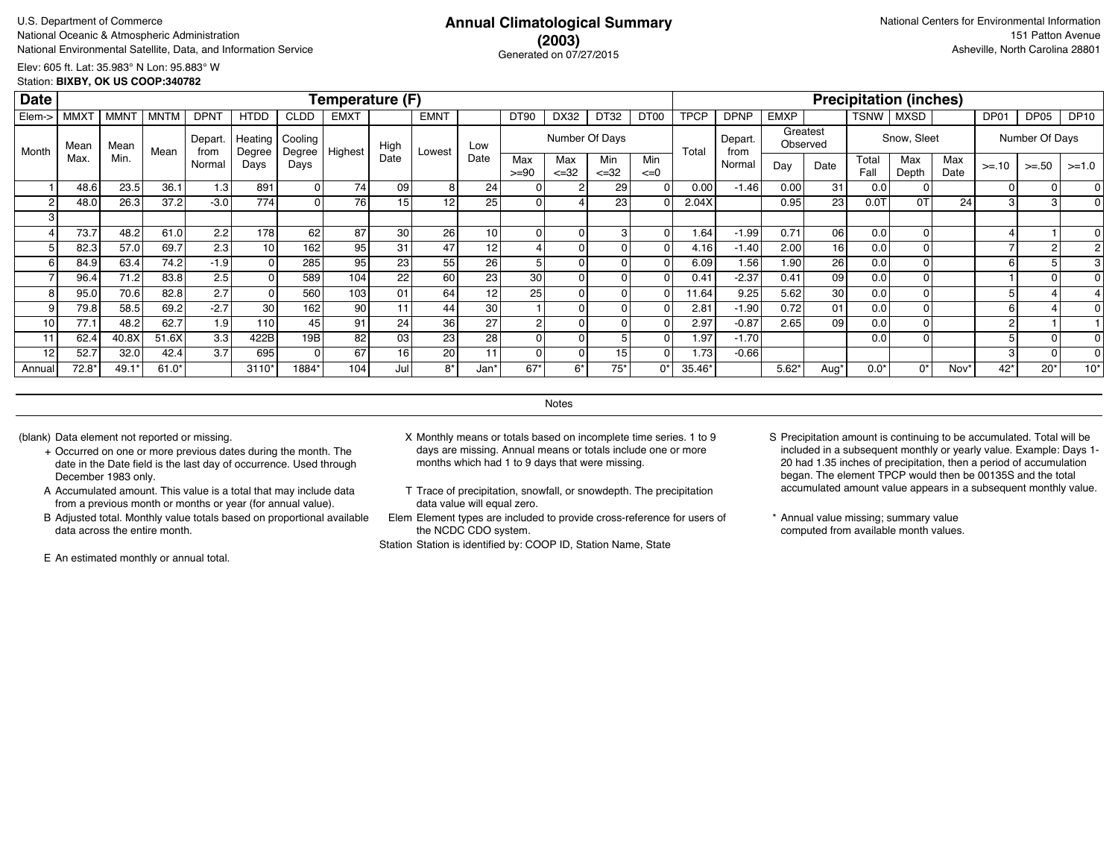# **(2003)** Generated on 07/27/2015

Elev: 605 ft. Lat: 35.983° N Lon: 95.883° W Station: **BIXBY, OK US COOP:340782**

| <b>Date</b> |                 |             |             |                  |                   |                             | <b>Temperature (F)</b> |                 |                 |                 |                |                  |                   |                  |             |                 |                      |                 |               | <b>Precipitation (inches)</b> |             |         |                |             |
|-------------|-----------------|-------------|-------------|------------------|-------------------|-----------------------------|------------------------|-----------------|-----------------|-----------------|----------------|------------------|-------------------|------------------|-------------|-----------------|----------------------|-----------------|---------------|-------------------------------|-------------|---------|----------------|-------------|
| Elem->      | <b>MMX7</b>     | <b>MMNT</b> | <b>MNTM</b> | <b>DPNT</b>      | <b>HTDD</b>       | <b>CLDD</b>                 | <b>EMXT</b>            |                 | <b>EMNT</b>     |                 | DT90           | DX32             | DT32              | DT <sub>00</sub> | <b>TPCP</b> | <b>DPNP</b>     | <b>EMXP</b>          |                 | TSNW          | <b>MXSD</b>                   |             | DP01    | DP05           | <b>DP10</b> |
| Month       | Mean            | Mean        | Mean        | Depart.<br>from  | Heating<br>Degree | Cooling<br>Degree   Highest |                        | High            | Lowest          | Low             |                | Number Of Days   |                   |                  | Total       | Depart.<br>from | Greatest<br>Observed |                 |               | Snow, Sleet                   |             |         | Number Of Days |             |
|             | Max.            | Min.        |             | Normal           | Days              | Days                        |                        | Date            |                 | Date            | Max<br>$>= 90$ | Max<br>$\leq 32$ | Min<br>$\leq$ =32 | Min<br>$\leq=0$  |             | Normal          | Day                  | Date            | Total<br>Fall | Max<br>Depth                  | Max<br>Date | $>= 10$ | $>= 50$        | $>=1.0$     |
|             | 48.6            | 23.5        | 36.1        | 1.3              | 891               |                             | 74                     | 09              |                 | 24 <sub>1</sub> |                |                  | 29                |                  | 0.00        | $-1.46$         | 0.00                 | 31              | 0.0           |                               |             |         | $\Omega$       |             |
| 2           | 48.0            | 26.3        | 37.2        | $-3.0$           | 774               |                             | 76                     | 15              | 12              | 25 <sub>1</sub> |                |                  | 23                |                  | 2.04X       |                 | 0.95                 | 23              | 0.0T          | 0T                            | 24          |         |                |             |
| 3           |                 |             |             |                  |                   |                             |                        |                 |                 |                 |                |                  |                   |                  |             |                 |                      |                 |               |                               |             |         |                |             |
|             | 73.7            | 48.2        | 61.0        | 2.2              | 178               | 62                          | 87                     | 30              | 26 <sub>1</sub> | 10 <sup>1</sup> | 0              |                  | 3                 |                  | 1.64        | $-1.99$         | 0.71                 | 06              | 0.0           |                               |             |         |                |             |
| 5           | 82.3            | 57.0        | 69.7        | 2.3              | 10 <sup>1</sup>   | 162                         | 95                     | 31              | 47              | 12              |                |                  |                   |                  | 4.16        | $-1.40$         | 2.00                 | 16              | 0.0           |                               |             |         |                |             |
| 6           | 84.9            | 63.4        | 74.2        | $-1.9$           | 0                 | 285                         | 95                     | 23              | 55              | 26              |                |                  |                   |                  | 6.09        | 1.56            | 1.90                 | 26              | 0.0           |                               |             |         |                |             |
|             | 96.4            | 71.2        | 83.8        | 2.5 <sub>1</sub> |                   | 589                         | 104                    | 22              | 60              | 23              | 30             |                  |                   |                  | 0.41        | $-2.37$         | 0.41                 | 09              | 0.0           |                               |             |         |                |             |
| 8           | 95 <sub>c</sub> | 70.6        | 82.8        | 2.7              | 0                 | 560                         | 103                    | 01              | 64              | 12              | 25             |                  |                   |                  | 11.64       | 9.25            | 5.62                 | 30 <sup>1</sup> | 0.0           |                               |             |         |                |             |
| 9           | 79.8            | 58.5        | 69.2        | $-2.7$           | 30 <sup>1</sup>   | 162                         | 90                     | 11              | 44              | 30              |                |                  |                   |                  | 2.81        | $-1.90$         | 0.72                 | 01              | 0.0           |                               |             | 6       |                |             |
| 10          | 77.1            | 48.2        | 62.7        | 1.9              | 110 l             | 45                          | 91                     | 24              | 36              | 27              |                |                  |                   |                  | 2.97        | $-0.87$         | 2.65                 | 09              | 0.0           |                               |             |         |                |             |
| 11.         | 62.4            | 40.8X       | 51.6X       | 3.3              | 422B              | 19B                         | 82                     | 03 <sub>1</sub> | 23              | 28              | $\Omega$       |                  |                   |                  | 1.97        | $-1.70$         |                      |                 | 0.0           |                               |             | -5      | $\Omega$       |             |
| 12          | 52.7            | 32.0        | 42.4        | 3.7              | 695               |                             | 67                     | 16              | 20              |                 | O              |                  | 15                |                  | 1.73        | $-0.66$         |                      |                 |               |                               |             | 3       | $\Omega$       |             |
| Annual      | $72.8*$         | $49.1*$     | $61.0*$     |                  | $3110*$           | 1884*                       | 104                    | Jul             | 8*              | Jan*            | $67*$          | ճ*               | $75*$             | $\Omega^*$       | 35.46*      |                 | $5.62*$              | Aug'            | $0.0*$        | $0^*$                         | Nov*        | $42*$   | $20*$          | $10*$       |

**Notes** 

- + Occurred on one or more previous dates during the month. The date in the Date field is the last day of occurrence. Used through December 1983 only.
- A Accumulated amount. This value is a total that may include data from a previous month or months or year (for annual value).
- B Adjusted total. Monthly value totals based on proportional available data across the entire month.

E An estimated monthly or annual total.

- (blank) Data element not reported or missing. X Monthly means or totals based on incomplete time series. 1 to 9 days are missing. Annual means or totals include one or more months which had 1 to 9 days that were missing.
	- T Trace of precipitation, snowfall, or snowdepth. The precipitation data value will equal zero.
	- Elem Element types are included to provide cross-reference for users of the NCDC CDO system.

- S Precipitation amount is continuing to be accumulated. Total will be included in a subsequent monthly or yearly value. Example: Days 1- 20 had 1.35 inches of precipitation, then a period of accumulation began. The element TPCP would then be 00135S and the total accumulated amount value appears in a subsequent monthly value.
- \* Annual value missing; summary value computed from available month values.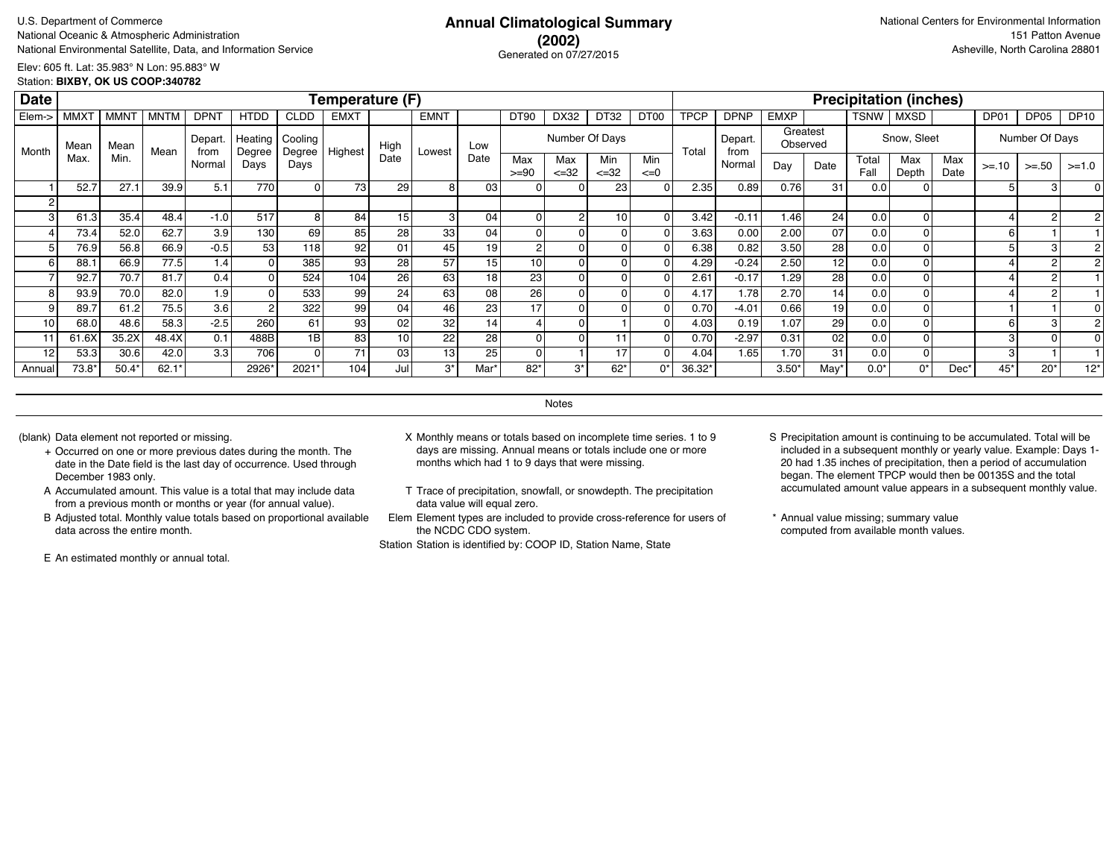# **(2002)** Generated on 07/27/2015

Elev: 605 ft. Lat: 35.983° N Lon: 95.883° W Station: **BIXBY, OK US COOP:340782**

| <b>Date</b> |                  |                  |         |                |                   |                   | Temperature (F) |                 |             |      |                |                   |                  |                  |             |                 |                      |                 |               | <b>Precipitation (inches)</b> |             |         |                |             |
|-------------|------------------|------------------|---------|----------------|-------------------|-------------------|-----------------|-----------------|-------------|------|----------------|-------------------|------------------|------------------|-------------|-----------------|----------------------|-----------------|---------------|-------------------------------|-------------|---------|----------------|-------------|
| Elem->      | MMX <sub>1</sub> | MMN <sup>-</sup> | MNTM    | <b>DPNT</b>    | <b>HTDD</b>       | <b>CLDD</b>       | <b>EMXT</b>     |                 | <b>EMNT</b> |      | DT90           | DX32              | DT32             | DT <sub>00</sub> | <b>TPCP</b> | <b>DPNP</b>     | <b>EMXP</b>          |                 | <b>TSNW</b>   | MXSD                          |             | DP01    | DP05           | <b>DP10</b> |
| Month       | Mean             | Mean             | Mean    | Depart<br>from | Heating<br>Degree | Cooling<br>Degree | Highest         | High            | Lowest      | Low  |                |                   | Number Of Days   |                  | Total       | Depart.<br>from | Greatest<br>Observed |                 |               | Snow, Sleet                   |             |         | Number Of Days |             |
|             | Max.             | Min.             |         | Normal         | Days              | Days              |                 | Date            |             | Date | Max<br>$>= 90$ | Max<br>$\leq$ =32 | Min<br>$\leq 32$ | Min<br>$\leq=0$  |             | Normal          | Day                  | Date            | Total<br>Fall | Max<br>Depth                  | Max<br>Date | $>= 10$ | $>= 50$        | $>=1.0$     |
|             | 52.7             | 27.1             | 39.9    | 5.1            | 770               |                   | 73              | 29              | 81          | 03   |                |                   | 23               |                  | 2.35        | 0.89            | 0.76                 | 31              | 0.0           |                               |             |         | 3              |             |
|             |                  |                  |         |                |                   |                   |                 |                 |             |      |                |                   |                  |                  |             |                 |                      |                 |               |                               |             |         |                |             |
|             | 61.3             | 35.4             | 48.4    | $-1.0$         | 517               | 8                 | 84              | 15              | 3 I         | 04   | $\Omega$       |                   | 10 <sup>1</sup>  |                  | 3.42        | $-0.11$         | 1.46                 | 24              | 0.0           |                               |             |         | $\overline{2}$ |             |
|             | 73.4             | 52.0             | 62.7    | 3.9            | 130               | 69                | 85              | 28              | 33          | 04   | $\Omega$       |                   | $\Omega$         |                  | 3.63        | 0.00            | 2.00                 | 07              | 0.0           |                               |             | 6       |                |             |
|             | 76.9             | 56.8             | 66.9    | $-0.5$         | 53                | 118               | 92              | 01              | 45          | 19   | $\overline{2}$ |                   | $\Omega$         |                  | 6.38        | 0.82            | 3.50                 | 28              | 0.0           |                               |             | 5       |                |             |
|             | 88.1             | 66.9             | 77.5    | 1.4            |                   | 385               | 93              | 28              | 57          | 15   | 10             |                   | $\Omega$         |                  | 4.29        | $-0.24$         | 2.50                 | 12 <sub>1</sub> | 0.0           |                               |             |         |                |             |
|             | 92.7             | 70.7             | 81.7    | 0.4            |                   | 524               | 104             | 26 <sub>1</sub> | 63          | 18   | 23             |                   | $\Omega$         |                  | 2.61        | $-0.17$         | 1.29                 | 28              | 0.0           |                               |             |         | 2              |             |
|             | 93.9             | 70.0             | 82.0    | 1.9            |                   | 533               | 99              | 24              | 63          | 08   | 26             |                   | $\Omega$         |                  | 4.17        | 1.78            | 2.70                 | 14              | 0.0           |                               |             |         | 2              |             |
|             | 89.7             | 61.2             | 75.5    | 3.6            |                   | 322               | 99              | 04              | 46          | 23   | 17             |                   | 0                |                  | 0.70        | $-4.01$         | 0.66                 | 19              | 0.0           |                               |             |         |                |             |
| 10          | 68.0             | 48.6             | 58.3    | $-2.5$         | 260               | 61                | 93              | 02              | 32          | 14   |                |                   |                  |                  | 4.03        | 0.19            | 1.07                 | 29              | 0.0           |                               |             | 6       |                |             |
|             | 61.6X            | 35.2X            | 48.4X   | 0.1            | 488B              | 1B                | 83              | 10              | 22          | 28   |                |                   | 11               |                  | 0.70        | $-2.97$         | 0.31                 | 02 <sub>1</sub> | 0.0           |                               |             | 3       |                |             |
| 12          | 53.3             | 30.6             | 42.0    | 3.3            | 706               | $\Omega$          | 71              | 03              | 13          | 25   | $\Omega$       |                   | 17               |                  | 4.04        | 1.65            | 1.70 <sub>1</sub>    | 31              | 0.0           |                               |             | 3       |                |             |
| Annual      | 73.8*            | $50.4*$          | $62.1*$ |                | 2926*             | 2021*             | 104             | Jul             | $3^*$       | Mar* | $82*$          | $3^*$             | $62*$            | $0^*$            | 36.32*      |                 | $3.50^{\circ}$       | May'            | $0.0*$        | 0*                            | Dec'        | $45*$   | $20*$          | $12*$       |

**Notes** 

- + Occurred on one or more previous dates during the month. The date in the Date field is the last day of occurrence. Used through December 1983 only.
- A Accumulated amount. This value is a total that may include data from a previous month or months or year (for annual value).
- B Adjusted total. Monthly value totals based on proportional available data across the entire month.

E An estimated monthly or annual total.

- (blank) Data element not reported or missing. X Monthly means or totals based on incomplete time series. 1 to 9 days are missing. Annual means or totals include one or more months which had 1 to 9 days that were missing.
	- T Trace of precipitation, snowfall, or snowdepth. The precipitation data value will equal zero.
	- Elem Element types are included to provide cross-reference for users of the NCDC CDO system.

- S Precipitation amount is continuing to be accumulated. Total will be included in a subsequent monthly or yearly value. Example: Days 1- 20 had 1.35 inches of precipitation, then a period of accumulation began. The element TPCP would then be 00135S and the total accumulated amount value appears in a subsequent monthly value.
- \* Annual value missing; summary value computed from available month values.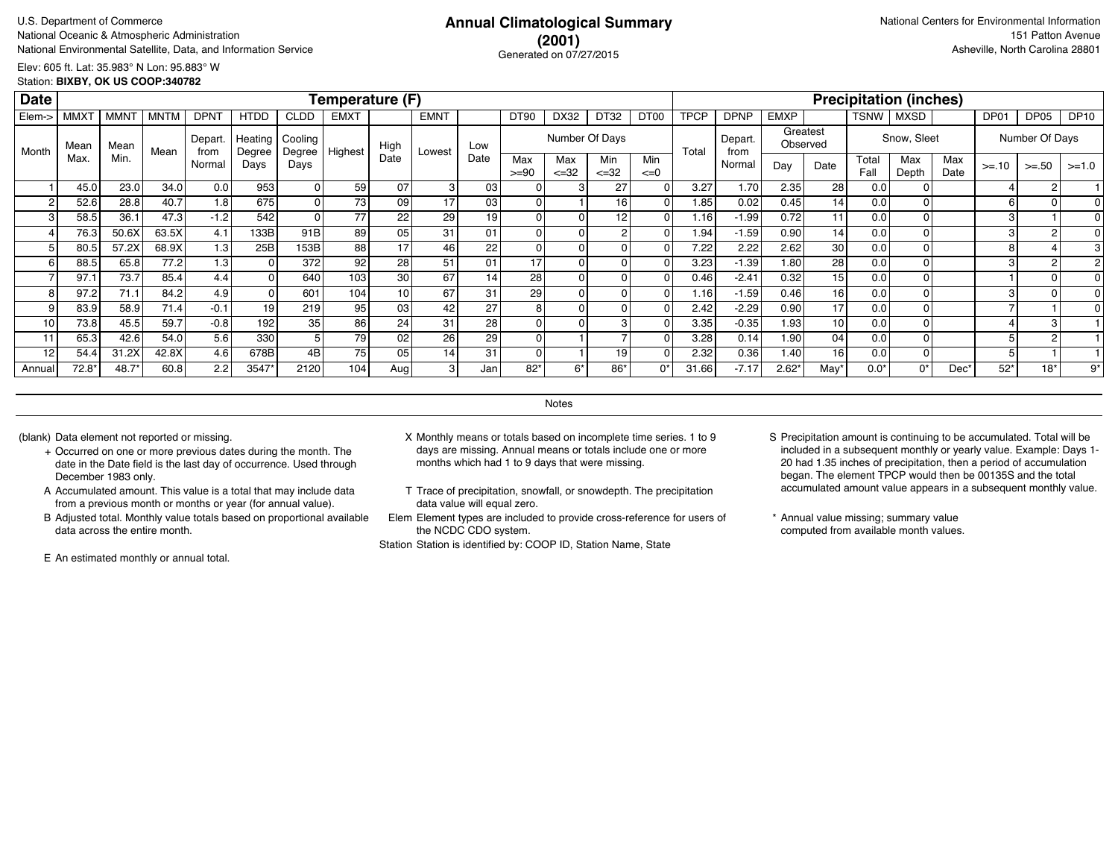# **(2001)** Generated on 07/27/2015

Elev: 605 ft. Lat: 35.983° N Lon: 95.883° W Station: **BIXBY, OK US COOP:340782**

| <b>Date</b> |                  |                  |             |                 |                   |                   | Temperature (F) |                 |                 |                 |                |                  |                  |                 |                   |                 |             |                      |               | <b>Precipitation (inches)</b> |             |         |                |             |
|-------------|------------------|------------------|-------------|-----------------|-------------------|-------------------|-----------------|-----------------|-----------------|-----------------|----------------|------------------|------------------|-----------------|-------------------|-----------------|-------------|----------------------|---------------|-------------------------------|-------------|---------|----------------|-------------|
| Elem->      | MMX <sub>1</sub> | MMN <sup>-</sup> | <b>MNTM</b> | <b>DPN1</b>     | <b>HTDD</b>       | <b>CLDD</b>       | <b>EMXT</b>     |                 | <b>EMNT</b>     |                 | DT90           | DX32             | DT32             | DT00            | <b>TPCP</b>       | <b>DPNP</b>     | <b>EMXP</b> |                      | TSNW          | <b>MXSD</b>                   |             | DP01    | DP05           | <b>DP10</b> |
| Month       | Mean             | Mean             | Mean        | Depart.<br>from | Heating<br>Degree | Cooling<br>Degree | Highest         | High            | Lowest          | Low             |                | Number Of Days   |                  |                 | Total             | Depart.<br>from |             | Greatest<br>Observed |               | Snow, Sleet                   |             |         | Number Of Days |             |
|             | Max.             | Min.             |             | Normal          | Days              | Days              |                 | Date            |                 | Date            | Max<br>$>= 90$ | Max<br>$\leq 32$ | Min<br>$\leq 32$ | Min<br>$\leq=0$ |                   | Normal          | Day         | Date                 | Total<br>Fall | Max<br>Depth                  | Max<br>Date | $>= 10$ | $>=.50$        | $>=1.0$     |
|             | 45.0             | 23.0             | 34.0        | 0.0             | 953               |                   | 59              | 07              | 3               | 03              |                |                  | 27               |                 | 3.27              | 1.70            | 2.35        | 28                   | 0.0           |                               |             |         |                |             |
|             | 52.6             | 28.8             | 40.7        | 1.8             | 675               |                   | 73              | 09              | 17              | 03              |                |                  | 16               |                 | 1.85              | 0.02            | 0.45        | 14                   | 0.0           |                               |             | 6       |                |             |
|             | 58.5             | 36.1             | 47.3        | $-1.2$          | 542               |                   | 77              | 22              | 29              | 19              |                |                  | 12               |                 | 1.16              | $-1.99$         | 0.72        | 11                   | 0.0           | $\Omega$                      |             | 3       |                |             |
|             | 76.3             | 50.6X            | 63.5X       | 4.1             | 133B              | 91B               | 89              | 05              | 31              | 01              |                |                  |                  |                 | 1.94              | $-1.59$         | 0.90        | 14                   | 0.0           |                               |             | 3       |                |             |
|             | 80.5             | 57.2X            | 68.9X       | 1.3             | 25B               | 153B              | 88              | 17              | 46              | 22              |                |                  |                  |                 | 7.22              | 2.22            | 2.62        | 30 <sup>1</sup>      | 0.0           | 01                            |             | 8       |                |             |
|             | 88.5             | 65.8             | 77.2        | 1.3             |                   | 372               | 92              | 28              | 51              | 01              | 17             |                  |                  |                 | 3.23              | $-1.39$         | 1.80        | 28 <sup>1</sup>      | 0.0           |                               |             | 3       |                |             |
|             | 97.1             | 73.7             | 85.4        | 4.4             |                   | 640               | 103             | 30              | 67              | 14 <sub>1</sub> | 28             |                  |                  |                 | 0.46              | $-2.41$         | 0.32        | 15 <sup>1</sup>      | 0.0           |                               |             |         |                |             |
|             | 97.2             | 71.1             | 84.2        | 4.9             |                   | 601               | 104             |                 | 67              | 31              | 29             |                  |                  |                 | 1.16 <sub>1</sub> | $-1.59$         | 0.46        | 16 <sup>1</sup>      | 0.0           |                               |             | 3       |                |             |
|             | 83.9             | 58.9             | 71.4        | $-0.1$          | 19                | 219               | 95              | 03              | 42              | 27              | 8              |                  |                  |                 | 2.42              | $-2.29$         | 0.90        | 17                   | 0.0           |                               |             |         |                |             |
| 10          | 73.8             | 45.5             | 59.7        | $-0.8$          | 192               | 35                | 86              | 24              | 31              | 28              |                |                  |                  |                 | 3.35              | $-0.35$         | 1.93        | 10 <sup>1</sup>      | 0.0           |                               |             |         |                |             |
|             | 65.3             | 42.6             | 54.0        | 5.6             | 330               |                   | 79              | 02              | 26              | 29              |                |                  |                  |                 | 3.28              | 0.14            | 1.90        | 04                   | 0.0           | ΩI                            |             |         |                |             |
| 12          | 54.4             | 31.2X            | 42.8X       | 4.6             | 678B              | 4B                | 75              | 05 <sub>1</sub> | 14 <sub>1</sub> | 31              |                |                  | 19               |                 | 2.32              | 0.36            | 1.40        | 16 <sup>1</sup>      | 0.0           | ΩI                            |             |         |                |             |
| Annual      | 72.8*            | 48.7*            | 60.8        | 2.2             | 3547*             | 2120              | 104             | Aug             | 3 <sub>l</sub>  | Jan'            | $82*$          | $6*$             | $86*$            | 0*              | 31.66             | $-7.17$         | $2.62*$     | May*                 | $0.0*$        | 0*                            | Dec*        | $52*$   | $18*$          | 9*          |

**Notes** 

- + Occurred on one or more previous dates during the month. The date in the Date field is the last day of occurrence. Used through December 1983 only.
- A Accumulated amount. This value is a total that may include data from a previous month or months or year (for annual value).
- B Adjusted total. Monthly value totals based on proportional available data across the entire month.

E An estimated monthly or annual total.

- (blank) Data element not reported or missing. X Monthly means or totals based on incomplete time series. 1 to 9 days are missing. Annual means or totals include one or more months which had 1 to 9 days that were missing.
	- T Trace of precipitation, snowfall, or snowdepth. The precipitation data value will equal zero.
	- Elem Element types are included to provide cross-reference for users of the NCDC CDO system.

- S Precipitation amount is continuing to be accumulated. Total will be included in a subsequent monthly or yearly value. Example: Days 1- 20 had 1.35 inches of precipitation, then a period of accumulation began. The element TPCP would then be 00135S and the total accumulated amount value appears in a subsequent monthly value.
- \* Annual value missing; summary value computed from available month values.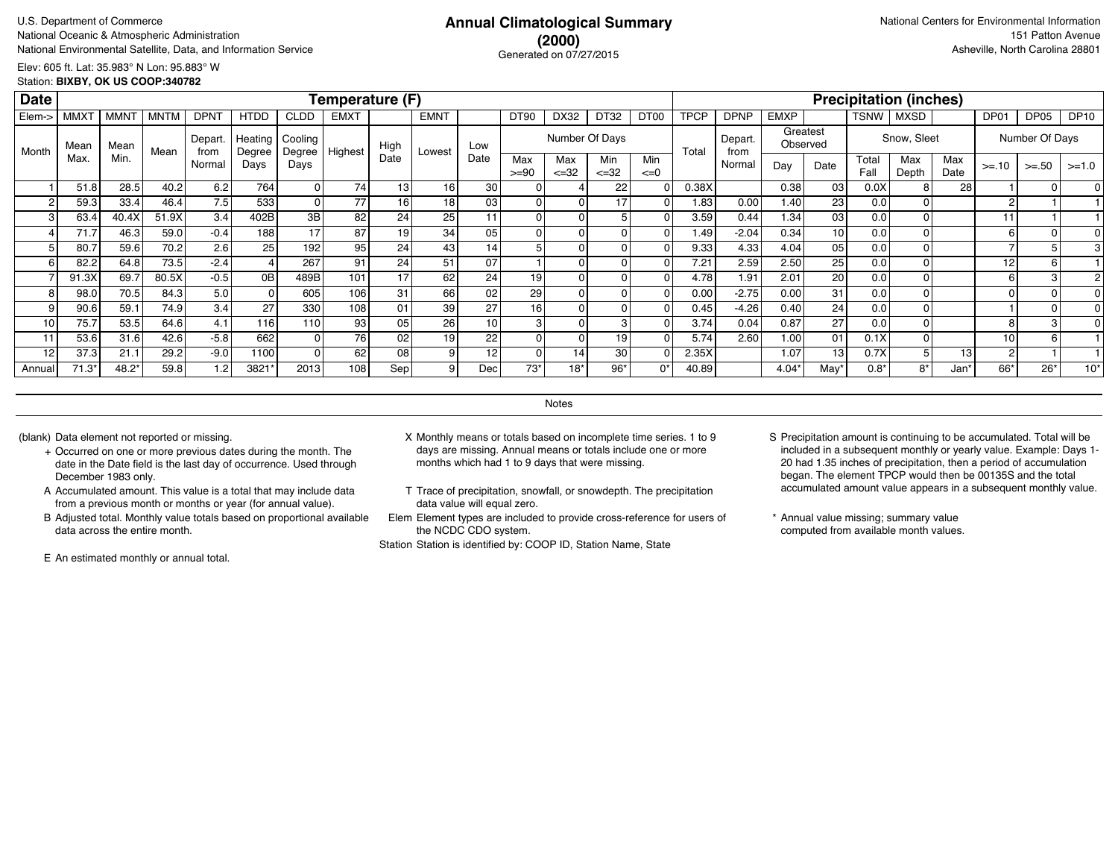# **(2000)** Generated on 07/27/2015

Elev: 605 ft. Lat: 35.983° N Lon: 95.883° W Station: **BIXBY, OK US COOP:340782**

| <b>Date</b> |                        |             |             |                 |                   |                   | Temperature (F) |                 |             |                 |                |                  |                   |                  |             |                 |             |                 |               | <b>Precipitation (inches)</b> |             |                 |                |             |
|-------------|------------------------|-------------|-------------|-----------------|-------------------|-------------------|-----------------|-----------------|-------------|-----------------|----------------|------------------|-------------------|------------------|-------------|-----------------|-------------|-----------------|---------------|-------------------------------|-------------|-----------------|----------------|-------------|
| Elem->      | <b>MMX<sub>1</sub></b> | <b>MMNT</b> | <b>MNTM</b> | <b>DPN1</b>     | <b>HTDD</b>       | <b>CLDD</b>       | <b>EMXT</b>     |                 | <b>EMNT</b> |                 | <b>DT90</b>    | DX32             | DT32              | DT <sub>00</sub> | <b>TPCP</b> | <b>DPNP</b>     | <b>EMXP</b> |                 | <b>TSNW</b>   | <b>MXSD</b>                   |             | DP01            | DP05           | <b>DP10</b> |
| Month       | Mean                   | Mean        | Mean        | Depart.<br>from | Heating<br>Degree | Cooling<br>Degree | Highest         | High            | Lowest      | Low             |                |                  | Number Of Days    |                  | Total       | Depart.<br>from | Observed    | Greatest        |               | Snow, Sleet                   |             |                 | Number Of Days |             |
|             | Max.                   | Min.        |             | Normal          | Days              | Days              |                 | Date            |             | Date            | Max<br>$>= 90$ | Max<br>$\leq 32$ | Min<br>$\leq$ =32 | Min<br>$\leq=0$  |             | Normal          | Day         | Date            | Total<br>Fall | Max<br>Depth                  | Max<br>Date | $>= 10$         | $>=.50$        | $>=1.0$     |
|             | 51.8                   | 28.5        | 40.2        | 6.2             | 764               |                   | 74              | 13 <sub>1</sub> | 16          | 30 <sup>1</sup> |                |                  | 22 <sub>1</sub>   |                  | 0.38X       |                 | 0.38        | 03              | 0.0X          | 8                             | 28          |                 |                |             |
| 2           | 59.3                   | 33.4        | 46.4        | 7.5             | 533               |                   | 77              | 16              | 18          | 03              |                | οI               |                   | 01               | 1.83        | 0.00            | 1.40        | 23 <sub>l</sub> | 0.0           |                               |             | 2               |                |             |
| 3           | 63.4                   | 40.4X       | 51.9X       | 3.4             | 402B              | 3B                | 82              | 24              | 25          |                 |                | Οl               |                   |                  | 3.59        | 0.44            | 1.34        | 03              | 0.0           |                               |             | 11              |                |             |
|             | 71.7                   | 46.3        | 59.0        | $-0.4$          | 188               | 17                | 87              | 19              | 34          | 0 <sub>5</sub>  |                | οI               |                   | ΩI               | 1.49        | $-2.04$         | 0.34        | 10 <sup>1</sup> | 0.0           |                               |             | 6               |                |             |
| 5           | 80.7                   | 59.6        | 70.2        | 2.6             | 25                | 192               | 95              | 24              | 43          | 14              |                | οI               |                   |                  | 9.33        | 4.33            | 4.04        | 0 <sub>5</sub>  | 0.0           |                               |             |                 |                |             |
| 6           | 82.2                   | 64.8        | 73.5        | $-2.4$          |                   | 267               | 91              | 24              | 51          | 07              |                | Οl               |                   |                  | 7.21        | 2.59            | 2.50        | 25              | 0.0           |                               |             | 12              |                |             |
|             | 91.3X                  | 69.7        | 80.5X       | $-0.5$          | 0B                | 489B              | 101             | 17              | 62          | 24              | 19             | 01               |                   |                  | 4.78        | 1.91            | 2.01        | 20              | 0.0           |                               |             | 6               |                |             |
| 8           | 98. <sub>0</sub>       | 70.5        | 84.3        | 5.0             |                   | 605               | 106             | 31              | 66          | 02              | 29             | ΩI               |                   |                  | 0.00        | $-2.75$         | 0.00        | 31              | 0.0           |                               |             |                 |                |             |
| 9           | 90.6                   | 59.1        | 74.9        | 3.4             | 27                | 330               | 108             | 01              | 39          | 27              | 16             | Οl               |                   |                  | 0.45        | $-4.26$         | 0.40        | 24 <sub>1</sub> | 0.0           |                               |             |                 |                |             |
| 10          | 75.7                   | 53.5        | 64.6        | 4.1             | 116               | 110               | 93              | 05              | 26          | 10 <sup>1</sup> |                | ΩI               |                   |                  | 3.74        | 0.04            | 0.87        | 27              | 0.0           |                               |             | 8               |                |             |
| 11          | 53.6                   | 31.6        | 42.6        | $-5.8$          | 662               |                   | 76              | 02 <sub>2</sub> | 19          | 22              |                | ΩI               | 19                |                  | 5.74        | 2.60            | 1.00        | 01              | 0.1X          |                               |             | 10 <sub>1</sub> |                |             |
| 12          | 37.3                   | 21.1        | 29.2        | $-9.0$          | 1100              |                   | 62              | 08              |             | 12              |                | 14 <sub>l</sub>  | 30                |                  | 2.35X       |                 | 1.07        | 13              | 0.7X          |                               | 13          | $\overline{2}$  |                |             |
| Annual      | $71.3*$                | 48.2*       | 59.8        | 1.2             | 3821              | 2013              | 108             | Sep             |             | Dec             | 73*            | 18*              | $96*$             | ሰ*               | 40.89       |                 | 4.04        | May'            | $0.8*$        | 8*                            | Jan*        | 66*             | $26*$          | $10*$       |

**Notes** 

- + Occurred on one or more previous dates during the month. The date in the Date field is the last day of occurrence. Used through December 1983 only.
- A Accumulated amount. This value is a total that may include data from a previous month or months or year (for annual value).
- B Adjusted total. Monthly value totals based on proportional available data across the entire month.

E An estimated monthly or annual total.

- (blank) Data element not reported or missing. X Monthly means or totals based on incomplete time series. 1 to 9 days are missing. Annual means or totals include one or more months which had 1 to 9 days that were missing.
	- T Trace of precipitation, snowfall, or snowdepth. The precipitation data value will equal zero.
	- Elem Element types are included to provide cross-reference for users of the NCDC CDO system.

- S Precipitation amount is continuing to be accumulated. Total will be included in a subsequent monthly or yearly value. Example: Days 1- 20 had 1.35 inches of precipitation, then a period of accumulation began. The element TPCP would then be 00135S and the total accumulated amount value appears in a subsequent monthly value.
- \* Annual value missing; summary value computed from available month values.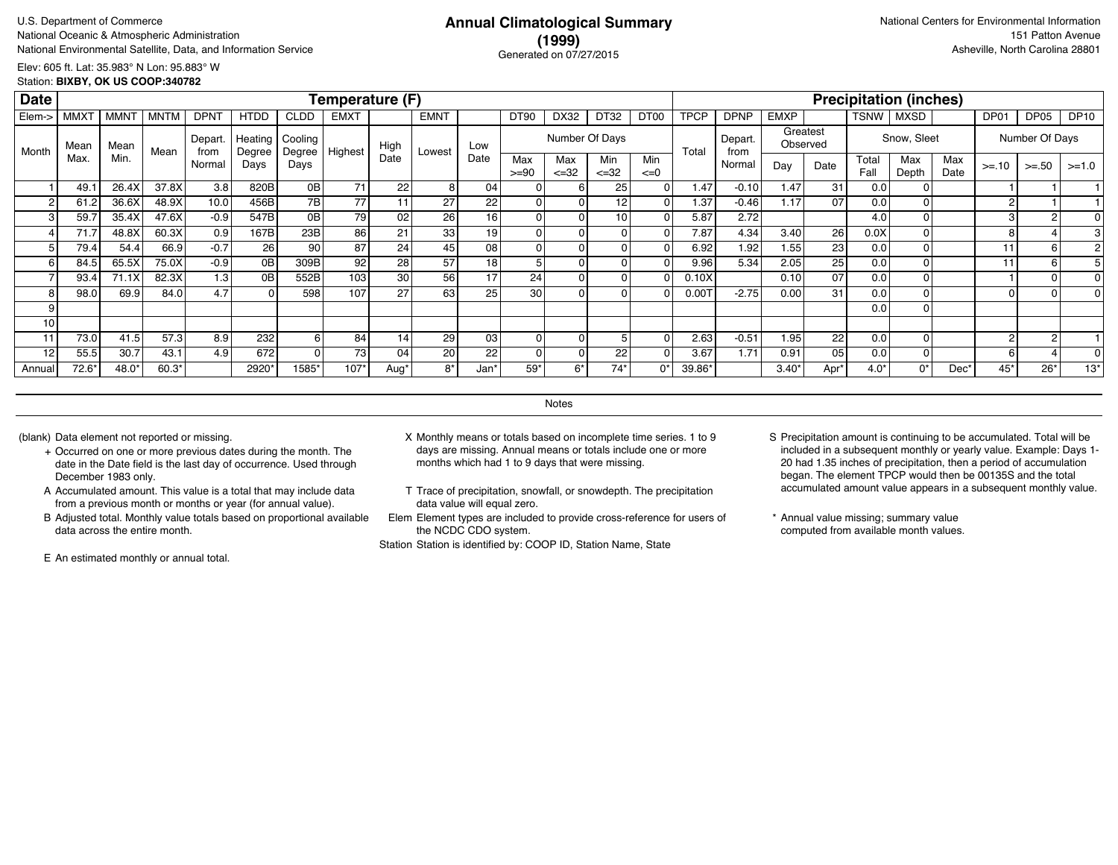# **(1999)** Generated on 07/27/2015

Elev: 605 ft. Lat: 35.983° N Lon: 95.883° W Station: **BIXBY, OK US COOP:340782**

| <b>Date</b> |             |             |             |                  |                     |                   | <b>Temperature (F)</b> |                  |             |      |                |                  |                  |                 |             |                 |                |                      |               | <b>Precipitation (inches)</b> |             |            |                |             |
|-------------|-------------|-------------|-------------|------------------|---------------------|-------------------|------------------------|------------------|-------------|------|----------------|------------------|------------------|-----------------|-------------|-----------------|----------------|----------------------|---------------|-------------------------------|-------------|------------|----------------|-------------|
| Elem->      | <b>MMXT</b> | <b>MMNT</b> | <b>MNTM</b> | <b>DPNT</b>      | <b>HTDD</b>         | <b>CLDD</b>       | <b>EMXT</b>            |                  | <b>EMNT</b> |      | DT90           | DX32             | DT32             | DT00            | <b>TPCP</b> | <b>DPNP</b>     | <b>EMXP</b>    |                      | <b>TSNW</b>   | MXSD                          |             | DP01       | DP05           | <b>DP10</b> |
| Month       | Mean        | Mean        | Mean        | Depart.<br>from  | Heating  <br>Degree | Cooling<br>Degree | Highest                | High             | Lowest      | Low  |                | Number Of Days   |                  |                 | Total       | Depart.<br>from |                | Greatest<br>Observed |               | Snow, Sleet                   |             |            | Number Of Days |             |
|             | Max.        | Min.        |             | Normal           | Days                | Days              |                        | Date             |             | Date | Max<br>$>= 90$ | Max<br>$\leq 32$ | Min<br>$\leq 32$ | Min<br>$\leq=0$ |             | Normal          | Day            | Date                 | Total<br>Fall | Max<br>Depth                  | Max<br>Date | $>= 10$    | $>= 50$        | $>=1.0$     |
|             | 49.1        | 26.4X       | 37.8X       | 3.8              | 820B                | 0B                | 71                     | 22               | 8           | 04   |                | 6                | 25               |                 | 1.47        | $-0.10$         | 1.47           | 31                   | 0.0           |                               |             |            |                |             |
|             | 61.2        | 36.6X       | 48.9X       | 10.0             | 456B                | 7B <sub>1</sub>   | 77 l                   |                  | 27          | 22   |                |                  | 12               |                 | 1.37        | $-0.46$         | 1.17           | 07                   | 0.0           |                               |             | $\sqrt{2}$ |                |             |
| 3           | 59.7        | 35.4X       | 47.6X       | $-0.9$           | 547B                | 0 <sub>B</sub>    | 79I                    | 02               | 26          | 16   |                |                  | 10               |                 | 5.87        | 2.72            |                |                      | 4.0           |                               |             | 3          |                |             |
|             | 71.7        | 48.8X       | 60.3X       | 0.9              | 167B                | 23B               | 86 l                   | 21               | 33          | 19   |                |                  |                  |                 | 7.87        | 4.34            | 3.40           | 26                   | 0.0X          |                               |             | 8          |                |             |
| 5           | 79.4        | 54.4        | 66.9        | $-0.7$           | 26                  | 90                | 87                     | 24               | 45          | 08   |                |                  |                  |                 | 6.92        | 1.92            | 1.55           | 23                   | 0.0           |                               |             | 11         | 6              |             |
| 6           | 84.5        | 65.5X       | 75.0X       | $-0.9$           | 0 <sub>B</sub>      | 309B              | 92 <sub>1</sub>        | 28               | 57          | 18   |                |                  |                  |                 | 9.96        | 5.34            | 2.05           | 25                   | 0.0           |                               |             | 11         | 6              |             |
|             | 93.4        | 71.1X       | 82.3X       | 1.3              | 0 <sub>B</sub>      | 552B              | 103 <sub>l</sub>       | 30               | 56          | 17   | 24             |                  | 0                |                 | 0.10X       |                 | 0.10           | 07                   | 0.0           |                               |             |            |                |             |
| 8           | 98.0        | 69.9        | 84.0        | 4.7              |                     | 598               | 107                    | 27               | 63          | 25   | 30             |                  |                  |                 | 0.00        | $-2.75$         | 0.00           | 31                   | 0.0           |                               |             |            |                |             |
| 9           |             |             |             |                  |                     |                   |                        |                  |             |      |                |                  |                  |                 |             |                 |                |                      | 0.0           |                               |             |            |                |             |
| 10          |             |             |             |                  |                     |                   |                        |                  |             |      |                |                  |                  |                 |             |                 |                |                      |               |                               |             |            |                |             |
| 11          | 73.0        | 41.5        | 57.3        | 8.9              | 232                 |                   | 84                     | 14               | 29          | 03   | $\Omega$       |                  |                  |                 | 2.63        | $-0.51$         | 1.95           | 22                   | 0.0           |                               |             | 2          | $\overline{2}$ |             |
| 12          | 55.5        | 30.7        | 43.1        | 4.9 <sub>1</sub> | 672                 |                   | <b>73</b>              | 04               | 20          | 22   |                |                  | 22               |                 | 3.67        | 1.71            | 0.91           | 05                   | 0.0           |                               |             | 6          |                |             |
| Annual      | 72.6*       | 48.0*       | $60.3*$     |                  | 2920*               | 1585'             | $107*$                 | Aug <sup>®</sup> | $8*$        | Jan' | 59*            | $6*$             | $74*$            | 0*              | 39.86*      |                 | $3.40^{\circ}$ | Apr*                 | $4.0*$        | 0*                            | Dec*        | 45*        | $26*$          | $13*$       |

**Notes** 

- + Occurred on one or more previous dates during the month. The date in the Date field is the last day of occurrence. Used through December 1983 only.
- A Accumulated amount. This value is a total that may include data from a previous month or months or year (for annual value).
- B Adjusted total. Monthly value totals based on proportional available data across the entire month.

E An estimated monthly or annual total.

- (blank) Data element not reported or missing. X Monthly means or totals based on incomplete time series. 1 to 9 days are missing. Annual means or totals include one or more months which had 1 to 9 days that were missing.
	- T Trace of precipitation, snowfall, or snowdepth. The precipitation data value will equal zero.
	- Elem Element types are included to provide cross-reference for users of the NCDC CDO system.

- S Precipitation amount is continuing to be accumulated. Total will be included in a subsequent monthly or yearly value. Example: Days 1- 20 had 1.35 inches of precipitation, then a period of accumulation began. The element TPCP would then be 00135S and the total accumulated amount value appears in a subsequent monthly value.
- \* Annual value missing; summary value computed from available month values.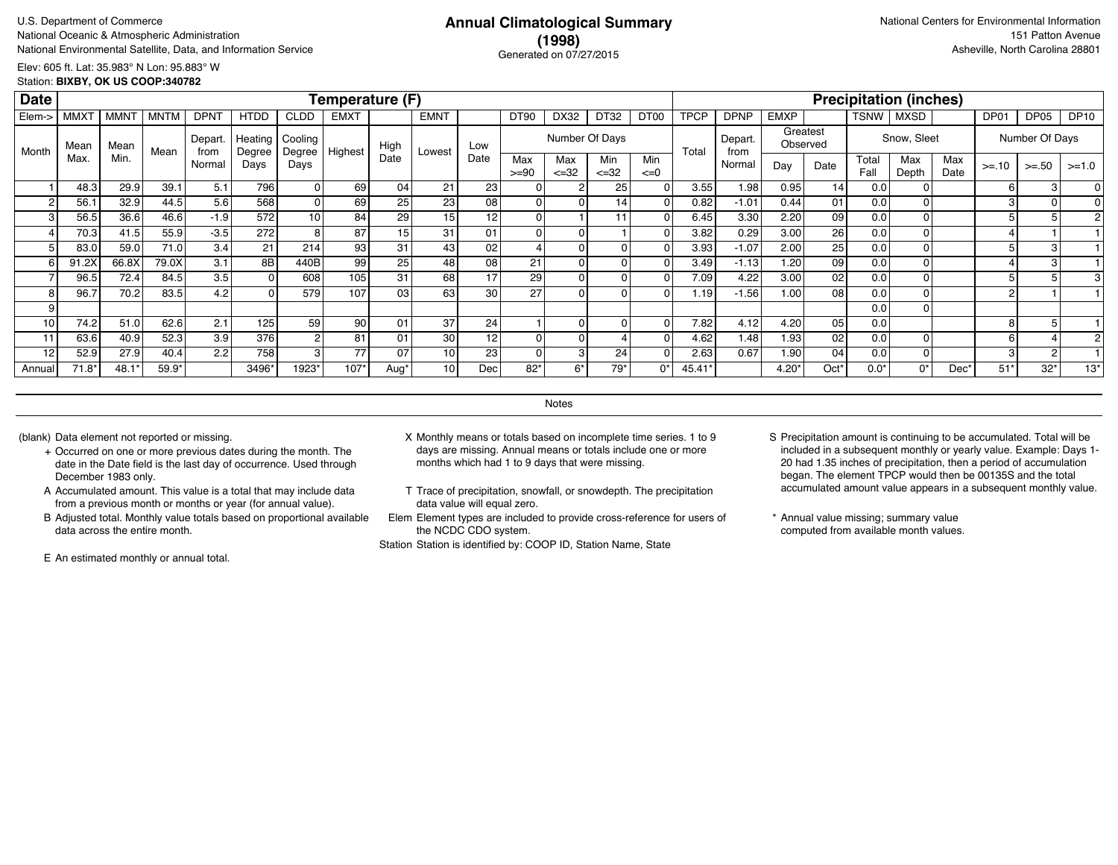# **(1998)** Generated on 07/27/2015

Elev: 605 ft. Lat: 35.983° N Lon: 95.883° W Station: **BIXBY, OK US COOP:340782**

| <b>Date</b> |                  |                  |       |                  |             |                                            | Temperature (F) |      |                 |                 |                |                  |                  |                 |             |                 |             |                      |               | <b>Precipitation (inches)</b> |             |            |                |             |
|-------------|------------------|------------------|-------|------------------|-------------|--------------------------------------------|-----------------|------|-----------------|-----------------|----------------|------------------|------------------|-----------------|-------------|-----------------|-------------|----------------------|---------------|-------------------------------|-------------|------------|----------------|-------------|
| Elem->      | MMX <sub>1</sub> | MMN <sup>-</sup> | MNTM  | <b>DPNT</b>      | <b>HTDD</b> | CLDD                                       | <b>EMXT</b>     |      | <b>EMNT</b>     |                 | DT90           | DX32             | DT32             | DT00            | <b>TPCP</b> | <b>DPNP</b>     | <b>EMXP</b> |                      | TSNW          | MXSD                          |             | DP01       | DP05           | <b>DP10</b> |
| Month       | Mean             | Mean             | Mean  | Depart.<br>from  | Degree      | Heating   Cooling<br><sub>I</sub> Degree I | Highest         | High | Lowest          | Low             |                |                  | Number Of Days   |                 | Total       | Depart.<br>from |             | Greatest<br>Observed |               | Snow, Sleet                   |             |            | Number Of Days |             |
|             | Max.             | Min.             |       | Normal           | Days        | Days                                       |                 | Date |                 | Date            | Max<br>$>= 90$ | Max<br>$\leq 32$ | Min<br>$\leq 32$ | Min<br>$\leq=0$ |             | Normal          | Day         | Date                 | Total<br>Fall | Max<br>Depth                  | Max<br>Date | $>= 10$    | $>= 50$        | $>=1.0$     |
|             | 48.3             | 29.9             | 39.1  | 5.1              | 796         |                                            | 69              | 04   | 21              | <b>231</b>      |                |                  | 25               | 01              | 3.55        | 1.98            | 0.95        | 14                   | 0.0           |                               |             | 6          |                |             |
|             | 56.1             | 32.9             | 44.5  | 5.6              | 568         |                                            | 69              | 25   | 23              | 08 l            |                | ΩI               |                  |                 | 0.82        | $-1.01$         | 0.44        | 01                   | 0.0           |                               |             | З          |                |             |
| з           | 56.5             | 36.6             | 46.6  | $-1.9$           | 572         | 10                                         | 84              | 29   | 15              | 12              |                |                  |                  |                 | 6.45        | 3.30            | 2.20        | 09                   | 0.0           |                               |             |            |                |             |
|             | 70.3             | 41.5             | 55.9  | $-3.5$           | 272         | 8                                          | 87              | 15   | 31              | 01              |                | 0                |                  |                 | 3.82        | 0.29            | 3.00        | 26                   | 0.0           |                               |             |            |                |             |
|             | 83.0             | 59.0             | 71.0  | 3.4              | 21          | 214                                        | 93              | 31   | 43              | 02 <sub>1</sub> |                | ΟI               |                  |                 | 3.93        | $-1.07$         | 2.00        | 25 <sub>1</sub>      | 0.0           |                               |             |            |                |             |
| 6           | 91.2X            | 66.8X            | 79.0X | 3.1              | 8B          | 440B                                       | 99              | 25   | 48              | 08              | 21             | οI               |                  | 01              | 3.49        | $-1.13$         | 1.20        | 09 l                 | 0.0           |                               |             |            |                |             |
|             | 96.5             | 72.4             | 84.5  | 3.5              | 0           | 608                                        | 105             | 31   | 68              | 17              | 29             | οI               |                  | ΩI              | 7.09        | 4.22            | 3.00        | 02 <sub>1</sub>      | 0.0           |                               |             |            |                |             |
|             | 96.7             | 70.2             | 83.5  | 4.2              | $\Omega$    | 579                                        | 107             | 03   | 63              | 30 l            | 27             | 0                |                  |                 | 1.19        | $-1.56$         | 1.00        | 08 l                 | 0.0           |                               |             | $\sqrt{2}$ |                |             |
|             |                  |                  |       |                  |             |                                            |                 |      |                 |                 |                |                  |                  |                 |             |                 |             |                      | 0.0           |                               |             |            |                |             |
| 10          | 74.2             | 51.0             | 62.6  | 2.1              | 125         | 59                                         | 90 <sub>1</sub> | 01   | 37              | 24              |                | ΟI               |                  |                 | 7.82        | 4.12            | 4.20        | 05                   | 0.0           |                               |             | 8          |                |             |
| 11          | 63.6             | 40.9             | 52.3  | 3.9              | 376         |                                            | 81              | 01   | 30 <sub>1</sub> | 12              |                | 0                |                  |                 | 4.62        | 1.48            | 1.93        | 02                   | 0.0           | ΟI                            |             | 6          |                |             |
| 12          | 52.9             | 27.9             | 40.4  | 2.2 <sub>1</sub> | 758         | 3                                          | 77              | 07   | 10 <sub>1</sub> | 23              |                | $\mathbf{3}$     | 24               |                 | 2.63        | 0.67            | 1.90        | 04                   | 0.0           |                               |             | 3          |                |             |
| Annual      | $71.8*$          | 48.1'            | 59.9* |                  | 3496*       | 1923*                                      | $107*$          | Aug* | 10              | Dec             | $82*$          | 6*               | $79*$            | 0*              | 45.41       |                 | $4.20*$     | Oct*                 | $0.0*$        | $0^*$                         | Dec*        | $51*$      | $32*$          | $13*$       |

**Notes** 

- + Occurred on one or more previous dates during the month. The date in the Date field is the last day of occurrence. Used through December 1983 only.
- A Accumulated amount. This value is a total that may include data from a previous month or months or year (for annual value).
- B Adjusted total. Monthly value totals based on proportional available data across the entire month.

E An estimated monthly or annual total.

- (blank) Data element not reported or missing. X Monthly means or totals based on incomplete time series. 1 to 9 days are missing. Annual means or totals include one or more months which had 1 to 9 days that were missing.
	- T Trace of precipitation, snowfall, or snowdepth. The precipitation data value will equal zero.
	- Elem Element types are included to provide cross-reference for users of the NCDC CDO system.

- S Precipitation amount is continuing to be accumulated. Total will be included in a subsequent monthly or yearly value. Example: Days 1- 20 had 1.35 inches of precipitation, then a period of accumulation began. The element TPCP would then be 00135S and the total accumulated amount value appears in a subsequent monthly value.
- \* Annual value missing; summary value computed from available month values.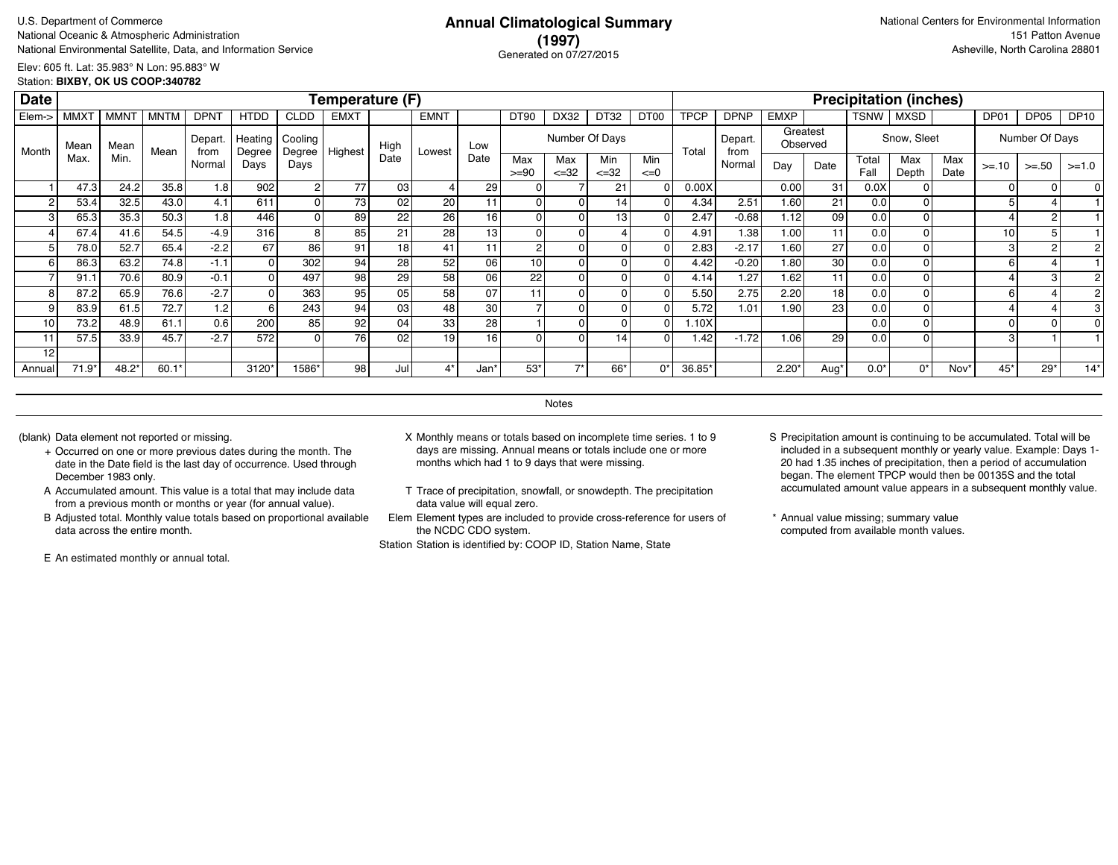# **(1997)** Generated on 07/27/2015

Elev: 605 ft. Lat: 35.983° N Lon: 95.883° W Station: **BIXBY, OK US COOP:340782**

| <b>Date</b> |                  |             |             |                  |                   |                   | Temperature (F) |      |             |      |                |                  |                  |                 |             |                 |             |                      |               | <b>Precipitation (inches)</b> |             |             |                |             |
|-------------|------------------|-------------|-------------|------------------|-------------------|-------------------|-----------------|------|-------------|------|----------------|------------------|------------------|-----------------|-------------|-----------------|-------------|----------------------|---------------|-------------------------------|-------------|-------------|----------------|-------------|
| Elem->      | MMX <sup>-</sup> | <b>MMNT</b> | <b>MNTM</b> | DPN <sup>-</sup> | <b>HTDD</b>       | <b>CLDD</b>       | <b>EMXT</b>     |      | <b>EMNT</b> |      | DT90           | DX32             | DT32             | DT00            | <b>TPCP</b> | <b>DPNP</b>     | <b>EMXP</b> |                      | <b>TSNW</b>   | MXSD                          |             | DP01        | DP05           | <b>DP10</b> |
| Month       | Mean             | Mean        | Mean        | Depart.<br>from  | Heating<br>Degree | Cooling<br>Degree | Highest         | High | Lowest      | Low  |                | Number Of Days   |                  |                 | Total       | Depart.<br>from |             | Greatest<br>Observed |               | Snow, Sleet                   |             |             | Number Of Days |             |
|             | Max.             | Min.        |             | Normal           | Days              | Days              |                 | Date |             | Date | Max<br>$>= 90$ | Max<br>$\leq 32$ | Min<br>$\leq 32$ | Min<br>$\leq=0$ |             | Normal          | Day         | Date                 | Total<br>Fall | Max<br>Depth                  | Max<br>Date | $>= 10$     | $>= 50$        | $>=1.0$     |
|             | 47.3             | 24.2        | 35.8        | 1.8              | 902               |                   | 771             | 03   |             | 29   |                |                  | 21               |                 | 0.00X       |                 | 0.00        | 31                   | 0.0X          |                               |             | $\Omega$    |                |             |
| 2           | 53.4             | 32.5        | 43.0        | 4.1              | 611               |                   | 73 I            | 02   | 20          | 11   |                |                  | 14               |                 | 4.34        | 2.51            | 1.60        | 21                   | 0.0           |                               |             |             |                |             |
| 3           | 65.3             | 35.3        | 50.3        | 1.8              | 446               |                   | 89              | 22   | 26          | 16   |                |                  | 13               |                 | 2.47        | $-0.68$         | 1.12        | 09                   | 0.0           |                               |             |             | 2              |             |
|             | 67.4             | 41.6        | 54.5        | $-4.9$           | 316               |                   | 85              | 21   | 28          | 13   |                |                  |                  |                 | 4.91        | 1.38            | 1.00        | 11                   | 0.0           |                               |             | 10          |                |             |
| 5           | 78.0             | 52.7        | 65.4        | $-2.2$           | 67                | 86                | 91              | 18   | 41          | 11   | $\overline{2}$ |                  |                  |                 | 2.83        | $-2.17$         | 1.60        | 27                   | 0.0           |                               |             | 3           | 2              |             |
| 6           | 86.3             | 63.2        | 74.8        | $-1.1$           |                   | 302               | 94              | 28   | 52          | 06   | 10             |                  |                  |                 | 4.42        | $-0.20$         | 1.80        | 30 <sub>1</sub>      | 0.0           |                               |             | 6           |                |             |
|             | 91.1             | 70.6        | 80.9        | $-0.1$           |                   | 497               | 98              | 29   | 58          | 06   | 22             | O                | 0                |                 | 4.14        | 1.27            | 1.62        | 11                   | 0.0           |                               |             |             | 3              |             |
| 8           | 87.2             | 65.9        | 76.6        | $-2.7$           |                   | 363               | 95 l            | 05   | 58          | 07   |                |                  |                  |                 | 5.50        | 2.75            | 2.20        | 18                   | 0.0           |                               |             | 6           |                |             |
| 9           | 83.9             | 61.5        | 72.7        | 1.2              |                   | 243               | 94              | 03   | 48          | 30   |                |                  |                  |                 | 5.72        | 1.01            | 1.90        | 23                   | 0.0           |                               |             |             |                |             |
| 10          | 73.2             | 48.9        | 61.1        | 0.6              | 200               | 85                | 92              | 04   | 33          | 28   |                |                  |                  |                 | 1.10X       |                 |             |                      | 0.0           |                               |             | $\mathbf C$ |                |             |
| 11          | 57.5             | 33.9        | 45.7        | $-2.7$           | 572               |                   | 76              | 02   | 19          | 16   | $\Omega$       |                  | 14               |                 | 1.42        | $-1.72$         | 1.06        | 29                   | 0.0           |                               |             | 3           |                |             |
| 12          |                  |             |             |                  |                   |                   |                 |      |             |      |                |                  |                  |                 |             |                 |             |                      |               |                               |             |             |                |             |
| Annual      | $71.9*$          | 48.2*       | $60.1*$     |                  | 3120*             | 1586*             | 98              | Jul  | 4*          | Jan* | $53*$          | $\rightarrow$    | 66*              | $0^*$           | 36.85*      |                 | 2.20        | Aug*                 | $0.0*$        | $0^*$                         | Nov'        | $45*$       | $29*$          | $14*$       |

**Notes** 

- + Occurred on one or more previous dates during the month. The date in the Date field is the last day of occurrence. Used through December 1983 only.
- A Accumulated amount. This value is a total that may include data from a previous month or months or year (for annual value).
- B Adjusted total. Monthly value totals based on proportional available data across the entire month.

E An estimated monthly or annual total.

- (blank) Data element not reported or missing. X Monthly means or totals based on incomplete time series. 1 to 9 days are missing. Annual means or totals include one or more months which had 1 to 9 days that were missing.
	- T Trace of precipitation, snowfall, or snowdepth. The precipitation data value will equal zero.
	- Elem Element types are included to provide cross-reference for users of the NCDC CDO system.

- S Precipitation amount is continuing to be accumulated. Total will be included in a subsequent monthly or yearly value. Example: Days 1- 20 had 1.35 inches of precipitation, then a period of accumulation began. The element TPCP would then be 00135S and the total accumulated amount value appears in a subsequent monthly value.
- \* Annual value missing; summary value computed from available month values.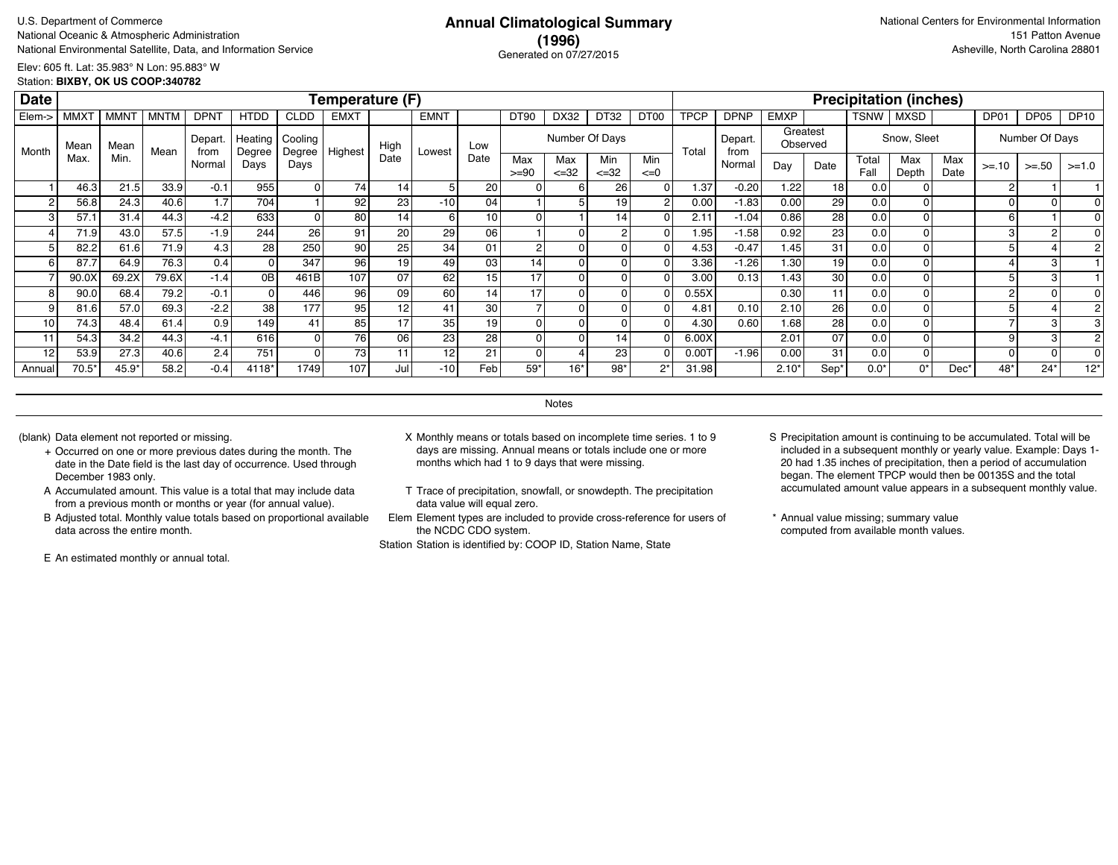# **(1996)** Generated on 07/27/2015

Elev: 605 ft. Lat: 35.983° N Lon: 95.883° W Station: **BIXBY, OK US COOP:340782**

| <b>Date</b> |                  |                  |             |                |                   |                   | Temperature (F) |                 |             |                  |                |                   |                  |                  |             |                 |             |          |               | <b>Precipitation (inches)</b> |             |          |                |             |
|-------------|------------------|------------------|-------------|----------------|-------------------|-------------------|-----------------|-----------------|-------------|------------------|----------------|-------------------|------------------|------------------|-------------|-----------------|-------------|----------|---------------|-------------------------------|-------------|----------|----------------|-------------|
| Elem->      | MMX <sub>1</sub> | MMN <sup>-</sup> | <b>MNTM</b> | <b>DPN1</b>    | <b>HTDD</b>       | <b>CLDD</b>       | <b>EMXT</b>     |                 | <b>EMNT</b> |                  | DT90           | DX32              | DT32             | DT <sub>00</sub> | <b>TPCP</b> | <b>DPNP</b>     | <b>EMXP</b> |          | <b>TSNW</b>   | MXSD                          |             | DP01     | DP05           | <b>DP10</b> |
| Month       | Mean             | Mean             | Mean        | Depart<br>from | Heating<br>Degree | Cooling<br>Degree | Highest         | High            | Lowest      | Low              |                |                   | Number Of Days   |                  | Total       | Depart.<br>from | Observed    | Greatest |               | Snow, Sleet                   |             |          | Number Of Days |             |
|             | Max.             | Min.             |             | Normal         | Days              | Days              |                 | Date            |             | Date             | Max<br>$>= 90$ | Max<br>$\leq$ =32 | Min<br>$\leq 32$ | Min<br>$\leq=0$  |             | Normal          | Day         | Date     | Total<br>Fall | Max<br>Depth                  | Max<br>Date | $>= 10$  | $>= 50$        | $>=1.0$     |
|             | 46.3             | 21.5             | 33.9        | $-0.1$         | 955               |                   | 74 <sub>1</sub> | 14              | 5           | 20               |                |                   | 26 <sub>l</sub>  |                  | 1.37        | $-0.20$         | 1.22        | 18       | 0.0           |                               |             | 2        |                |             |
|             | 56.8             | 24.3             | 40.6        | 1.7            | 704               |                   | 92              | 23              | $-10$       | 04               |                |                   | 19 <sup>1</sup>  |                  | 0.00        | $-1.83$         | 0.00        | 29       | 0.0           |                               |             | $\Omega$ |                |             |
|             | 57.1             | 31.4             | 44.3        | $-4.2$         | 633               | $\Omega$          | 80              | 14.             | 6 I         | 10               | O              |                   | 14               |                  | 2.1         | $-1.04$         | 0.86        | 28       | 0.0           |                               |             | 6        |                |             |
|             | 71.9             | 43.0             | 57.5        | $-1.9$         | 244               | 26 <sub>l</sub>   | 91              | 20              | 29          | 06               |                |                   |                  |                  | 1.95        | $-1.58$         | 0.92        | 23       | 0.0           |                               |             | 3        | $\sim$         |             |
|             | 82.2             | 61.6             | 71.9        | 4.3            | 28                | 250               | 90              | 25              | 34          | 01               | $\overline{2}$ |                   | $\Omega$         |                  | 4.53        | $-0.47$         | 1.45        | 31       | 0.0           |                               |             | 5        |                |             |
|             | 87.7             | 64.9             | 76.3        | 0.4            |                   | 347               | 96              | 19 <sub>1</sub> | 49          | 03               | 14             |                   | $\Omega$         |                  | 3.36        | $-1.26$         | 1.30        | 19       | 0.0           |                               |             |          | 3              |             |
|             | 90.0X            | 69.2X            | 79.6X       | $-1.4$         | 0B                | 461B              | 107             | 07              | 62          | 15               | 17             |                   | $\Omega$         |                  | 3.00        | 0.13            | 1.43        | 30       | 0.0           |                               |             | 5        | 3              |             |
|             | 90.0             | 68.4             | 79.2        | $-0.1$         |                   | 446               | 96              | 09              | 60 l        | 14               | 17             |                   | $\Omega$         |                  | 0.55X       |                 | 0.30        | 11       | 0.0           |                               |             | 2        |                |             |
|             | 81.6             | 57.0             | 69.3        | $-2.2$         | 38                | 177               | 95              | 12              | 41          | 30               |                |                   | 0                |                  | 4.81        | 0.10            | 2.10        | 26       | 0.0           |                               |             |          |                |             |
| 10          | 74.3             | 48.4             | 61.4        | 0.9            | 149               | 41                | 85              | 17              | 35          | 19               |                |                   | 0                |                  | 4.30        | 0.60            | 1.68.       | 28       | 0.0           |                               |             |          |                |             |
| 11          | 54.3             | 34.2             | 44.3        | $-4.1$         | 616               | $\Omega$          | 76              | 06              | 23          | 28               |                |                   | 14               |                  | 6.00X       |                 | 2.01        | 07       | 0.0           |                               |             | g        |                |             |
| 12          | 53.9             | 27.3             | 40.6        | 2.4            | 751               | $\Omega$          | 73              |                 | 12          | 21               | 0              |                   | 23               |                  | 0.007       | $-1.96$         | 0.00        | 31       | 0.0           |                               |             | $\Omega$ |                |             |
| Annual      | $70.5*$          | 45.9*            | 58.2        | $-0.4$         | 4118*             | 1749              | 107             | Jull            | $-101$      | Feb <sub>1</sub> | $59*$          | $16*$             | $98*$            | $2^*$            | 31.98       |                 | $2.10*$     | Sep'     | $0.0*$        | 0*                            | Dec'        | $48*$    | $24*$          | $12*$       |

**Notes** 

- + Occurred on one or more previous dates during the month. The date in the Date field is the last day of occurrence. Used through December 1983 only.
- A Accumulated amount. This value is a total that may include data from a previous month or months or year (for annual value).
- B Adjusted total. Monthly value totals based on proportional available data across the entire month.

E An estimated monthly or annual total.

- (blank) Data element not reported or missing. X Monthly means or totals based on incomplete time series. 1 to 9 days are missing. Annual means or totals include one or more months which had 1 to 9 days that were missing.
	- T Trace of precipitation, snowfall, or snowdepth. The precipitation data value will equal zero.
	- Elem Element types are included to provide cross-reference for users of the NCDC CDO system.

- S Precipitation amount is continuing to be accumulated. Total will be included in a subsequent monthly or yearly value. Example: Days 1- 20 had 1.35 inches of precipitation, then a period of accumulation began. The element TPCP would then be 00135S and the total accumulated amount value appears in a subsequent monthly value.
- \* Annual value missing; summary value computed from available month values.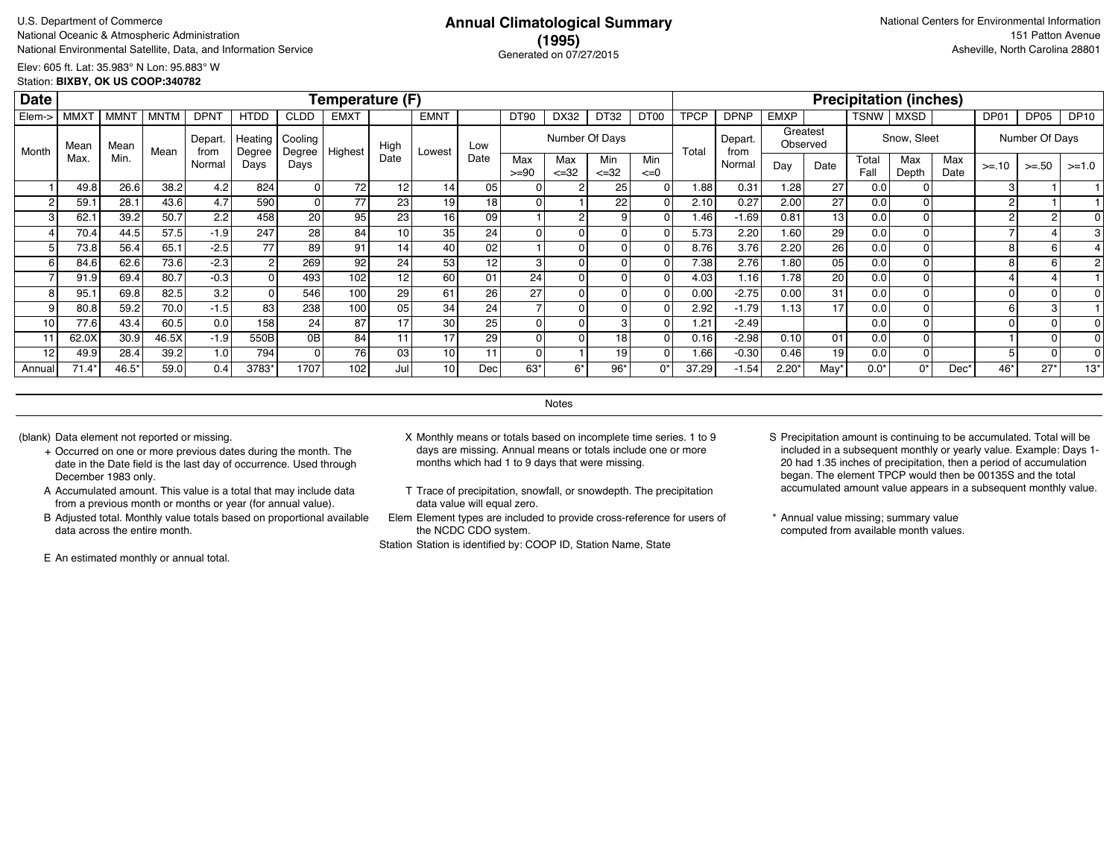# **(1995)** Generated on 07/27/2015

Elev: 605 ft. Lat: 35.983° N Lon: 95.883° W Station: **BIXBY, OK US COOP:340782**

| <b>Date</b> |                  |                  |             |                 |                   |                   | Temperature (F) |                 |             |                 |                |                  |                  |                  |             |                 |                      |                 |               | <b>Precipitation (inches)</b> |             |          |                |             |
|-------------|------------------|------------------|-------------|-----------------|-------------------|-------------------|-----------------|-----------------|-------------|-----------------|----------------|------------------|------------------|------------------|-------------|-----------------|----------------------|-----------------|---------------|-------------------------------|-------------|----------|----------------|-------------|
| Elem->      | MMX <sup>-</sup> | MMN <sup>-</sup> | <b>MNTM</b> | <b>DPNT</b>     | <b>HTDD</b>       | CLDD              | <b>EMXT</b>     |                 | <b>EMNT</b> |                 | <b>DT90</b>    | DX32             | DT32             | DT <sub>00</sub> | <b>TPCP</b> | <b>DPNP</b>     | <b>EMXP</b>          |                 | TSNW          | MXSD                          |             | DP01     | DP05           | <b>DP10</b> |
| Month       | Mean             | Mean             | Mean        | Depart.<br>from | Heating<br>Degree | Cooling<br>Degree | Highest         | High            | Lowest      | Low             |                | Number Of Days   |                  |                  | Total       | Depart.<br>from | Greatest<br>Observed |                 |               | Snow, Sleet                   |             |          | Number Of Days |             |
|             | Max              | Min.             |             | Normal          | Days              | Days              |                 | Date            |             | Date            | Max<br>$>= 90$ | Max<br>$\leq 32$ | Min<br>$\leq$ 32 | Min<br>$\leq 0$  |             | Normal          | Day                  | Date            | Total<br>Fall | Max<br>Depth                  | Max<br>Date | $>= 10$  | $>=.50$        | $>=1.0$     |
|             | 49.8             | 26.6             | 38.2        | 4.2             | 824               |                   | 72              | 12              | 14          | 05              |                |                  | 25               |                  | 1.88        | 0.31            | 1.28                 | 27              | 0.0           |                               |             | 3        |                |             |
|             | 59.1             | 28.1             | 43.6        | 4.7             | 590               | $\Omega$          | 77              | 23              | 19          | 181             | O              |                  | 22               |                  | 2.10        | 0.27            | 2.00                 | 27              | 0.0           |                               |             | 2        |                |             |
|             | 62.              | 39.2             | 50.7        | 2.2             | 458               | 20                | 95              | 23 l            | 16          | 09              |                |                  |                  |                  | 1.46        | $-1.69$         | 0.81                 | 13 <sup>1</sup> | 0.0           |                               |             | 2        |                |             |
|             | 70.4             | 44.5             | 57.5        | $-1.9$          | 247               | 281               | 84              | 10 <sup>1</sup> | 35          | 24              | O              |                  |                  |                  | 5.73        | 2.20            | 1.60                 | 29              | 0.0           |                               |             |          |                |             |
|             | 73.8             | 56.4             | 65.1        | $-2.5$          | 77                | 89                | 91              | 14              | 40          | 02              |                |                  |                  |                  | 8.76        | 3.76            | 2.20                 | 26              | 0.0           |                               |             | 8        |                |             |
|             | 84.6             | 62.6             | 73.6        | $-2.3$          |                   | 269               | 92              | 24              | 53          | 12              | з              |                  |                  |                  | 7.38        | 2.76            | 1.80                 | 0 <sub>5</sub>  | 0.0           |                               |             |          |                |             |
|             | 91.9             | 69.4             | 80.7        | $-0.3$          |                   | 493               | 102             | 12              | 60          | 01              | 24             |                  |                  |                  | 4.03        | 1.16            | 1.78                 | 20              | 0.0           |                               |             |          |                |             |
|             | 95.              | 69.8             | 82.5        | 3.2             |                   | 546               | 100             | 29              | 61          | 26              | 27             |                  |                  |                  | 0.00        | $-2.75$         | 0.00                 | 31              | 0.0           |                               |             | $\Omega$ |                |             |
|             | 80.8             | 59.2             | 70.0        | $-1.5$          | 83                | 238               | 100             | 05              | 34          | 24              |                |                  |                  |                  | 2.92        | $-1.79$         | 1.13                 | 17              | 0.0           |                               |             | 6        |                |             |
| 10          | 77.6             | 43.4             | 60.5        | 0.0             | 158               | 24                | 87              | 17              | 30          | 25 <sub>1</sub> | 0              |                  |                  |                  | 1.21        | $-2.49$         |                      |                 | 0.0           |                               |             | $\Omega$ |                |             |
| 11          | 62.0X            | 30.9             | 46.5X       | $-1.9$          | 550B              | 0B                | 84              | 11              | 17          | 29              | 0              |                  | 18               |                  | 0.16        | $-2.98$         | 0.10                 | 01              | 0.0           |                               |             |          |                |             |
| 12          | 49.9             | 28.4             | 39.2        | 1.0             | 794               |                   | 76              | 03              | 10          |                 | $\Omega$       |                  | 19               |                  | 1.66        | $-0.30$         | 0.46                 | 19              | 0.0           |                               |             | 5        |                |             |
| Annual      | $71.4*$          | 46.5*            | 59.0        | 0.4             | 3783*             | 1707              | 102             | Jul             | 10          | Dec             | 63*            |                  | $96*$            | በ*               | 37.29       | $-1.54$         | $2.20^{\circ}$       | May             | $0.0*$        | $0^*$                         | Dec'        | 46*      | $27*$          | $13*$       |

**Notes** 

- + Occurred on one or more previous dates during the month. The date in the Date field is the last day of occurrence. Used through December 1983 only.
- A Accumulated amount. This value is a total that may include data from a previous month or months or year (for annual value).
- B Adjusted total. Monthly value totals based on proportional available data across the entire month.

E An estimated monthly or annual total.

- (blank) Data element not reported or missing. X Monthly means or totals based on incomplete time series. 1 to 9 days are missing. Annual means or totals include one or more months which had 1 to 9 days that were missing.
	- T Trace of precipitation, snowfall, or snowdepth. The precipitation data value will equal zero.
	- Elem Element types are included to provide cross-reference for users of the NCDC CDO system.

- S Precipitation amount is continuing to be accumulated. Total will be included in a subsequent monthly or yearly value. Example: Days 1- 20 had 1.35 inches of precipitation, then a period of accumulation began. The element TPCP would then be 00135S and the total accumulated amount value appears in a subsequent monthly value.
- \* Annual value missing; summary value computed from available month values.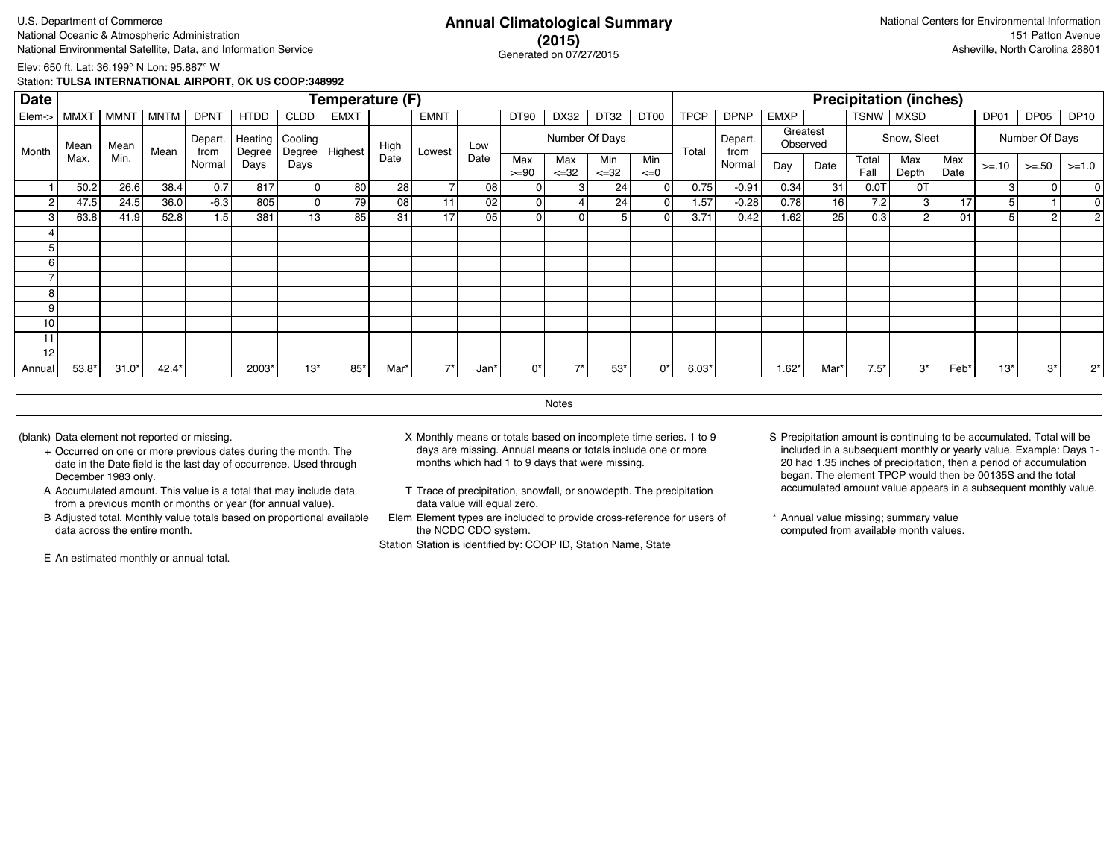U.S. Department of Commerce **Annual Climatological Summary** National Oceanic & Atmospheric Administration 151 Patton Avenue 151 Patton Avenue 151 Patton Avenue 151 Patton Avenue National Environmental Satellite, Data, and Information Service **Asheville, North Carolina 28801** Concreted an OZ/27/015

#### **(2015)** Generated on 07/27/2015

Elev: 650 ft. Lat: 36.199° N Lon: 95.887° W

Station: **TULSA INTERNATIONAL AIRPORT, OK US COOP:348992**

| <b>MMXT</b> | <b>MMNT</b> | <b>MNTM</b> | <b>DPNT</b>  | <b>HTDD</b> | <b>CLDD</b>             | <b>EMXT</b> |                          | <b>EMNT</b>            |                                       | DT90           | DX32              | DT32                                   | DT00            | <b>TPCP</b> | <b>DPNP</b> | <b>EMXP</b>  |         | <b>TSNW</b>          | <b>MXSD</b>  |                  | DP01                                         | DP05           | <b>DP10</b>    |
|-------------|-------------|-------------|--------------|-------------|-------------------------|-------------|--------------------------|------------------------|---------------------------------------|----------------|-------------------|----------------------------------------|-----------------|-------------|-------------|--------------|---------|----------------------|--------------|------------------|----------------------------------------------|----------------|----------------|
| Mean        | Mean        |             | Depart.      | Heating     | Cooling                 |             | High                     |                        | Low                                   |                |                   |                                        |                 |             | Depart.     |              |         |                      |              |                  |                                              |                |                |
|             |             |             | Normal       | Days        | Days                    |             |                          |                        |                                       | Max<br>$>= 90$ | Max<br>$\leq$ =32 | Min<br>$\leq 32$                       | Min<br>$\leq=0$ |             | Normal      | Day          | Date    | Total<br>Fall        | Max<br>Depth | Max<br>Date      | $>= 10$                                      | $>= 50$        | $>=1.0$        |
| 50.2        |             | 38.4        | 0.7          | 817         |                         |             |                          |                        | 08                                    |                |                   |                                        |                 |             | $-0.91$     | 0.34         | 31      | 0.0T                 | 0T           |                  | 3                                            | 0              |                |
| 47.5        | 24.5        | 36.0        |              | 805         |                         |             |                          | 11                     | 02                                    |                |                   | 24                                     |                 | 1.57        |             | 0.78         | 16      |                      |              | 17               | 5                                            |                |                |
| 63.8        | 41.9        | 52.8        |              | 381         |                         |             | 31                       | 17                     | 05                                    |                |                   |                                        |                 | 3.71        | 0.42        | 1.62         | 25      | 0.3                  |              | 01               | 5                                            | $\overline{2}$ |                |
|             |             |             |              |             |                         |             |                          |                        |                                       |                |                   |                                        |                 |             |             |              |         |                      |              |                  |                                              |                |                |
|             |             |             |              |             |                         |             |                          |                        |                                       |                |                   |                                        |                 |             |             |              |         |                      |              |                  |                                              |                |                |
|             |             |             |              |             |                         |             |                          |                        |                                       |                |                   |                                        |                 |             |             |              |         |                      |              |                  |                                              |                |                |
|             |             |             |              |             |                         |             |                          |                        |                                       |                |                   |                                        |                 |             |             |              |         |                      |              |                  |                                              |                |                |
|             |             |             |              |             |                         |             |                          |                        |                                       |                |                   |                                        |                 |             |             |              |         |                      |              |                  |                                              |                |                |
|             |             |             |              |             |                         |             |                          |                        |                                       |                |                   |                                        |                 |             |             |              |         |                      |              |                  |                                              |                |                |
|             |             |             |              |             |                         |             |                          |                        |                                       |                |                   |                                        |                 |             |             |              |         |                      |              |                  |                                              |                |                |
|             |             |             |              |             |                         |             |                          |                        |                                       |                |                   |                                        |                 |             |             |              |         |                      |              |                  |                                              |                |                |
|             |             |             |              |             |                         |             |                          |                        |                                       |                |                   |                                        |                 |             |             |              |         |                      |              |                  |                                              |                |                |
| 53.8*       | $31.0*$     | $42.4*$     |              | 2003*       | $13*$                   | $85*$       | Mar'                     | $7*$                   | Jan*                                  | 0*             | $\rightarrow$     | $53*$                                  | 0*              | $6.03*$     |             | $1.62*$      | Mar'    | $7.5*$               | $3^*$        | Feb <sup>*</sup> | $13*$                                        | $3^*$          | $2^*$          |
|             | Max.        | Min.        | Mean<br>26.6 | from        | Degree<br>$-6.3$<br>1.5 | Degree      | Highest<br>01<br>0<br>13 | Date<br>80<br>79<br>85 | Temperature (F)<br>Lowest<br>28<br>08 | Date           |                   | 01<br>$\overline{0}$<br>$\overline{0}$ | Number Of Days  | 24<br>51    | Total       | from<br>0.75 | $-0.28$ | Greatest<br>Observed |              | 7.2              | <b>Precipitation (inches)</b><br>Snow, Sleet |                | Number Of Days |

**Notes** 

- + Occurred on one or more previous dates during the month. The date in the Date field is the last day of occurrence. Used through December 1983 only.
- A Accumulated amount. This value is a total that may include data from a previous month or months or year (for annual value).
- B Adjusted total. Monthly value totals based on proportional available data across the entire month.

E An estimated monthly or annual total.

- (blank) Data element not reported or missing. X Monthly means or totals based on incomplete time series. 1 to 9 days are missing. Annual means or totals include one or more months which had 1 to 9 days that were missing.
	- T Trace of precipitation, snowfall, or snowdepth. The precipitation data value will equal zero.
	- Elem Element types are included to provide cross-reference for users of the NCDC CDO system.

- S Precipitation amount is continuing to be accumulated. Total will be included in a subsequent monthly or yearly value. Example: Days 1- 20 had 1.35 inches of precipitation, then a period of accumulation began. The element TPCP would then be 00135S and the total accumulated amount value appears in a subsequent monthly value.
- \* Annual value missing; summary value computed from available month values.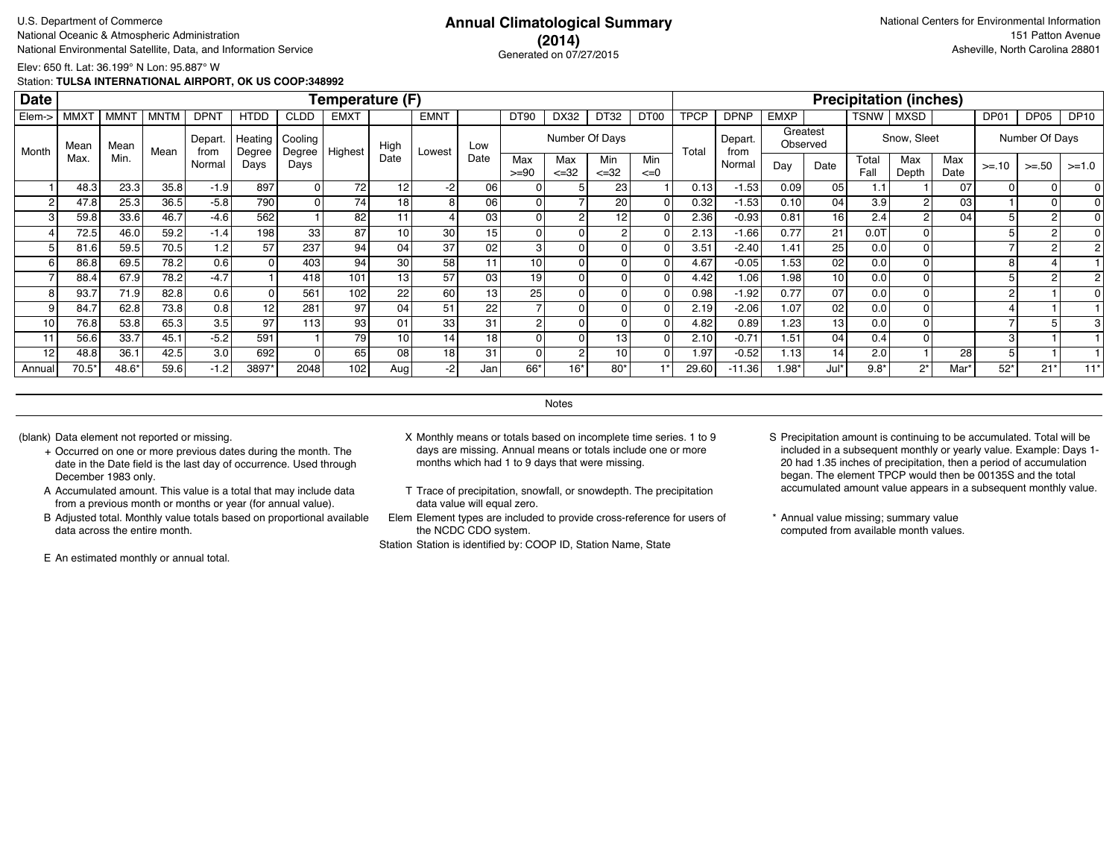### **(2014)** Generated on 07/27/2015

Elev: 650 ft. Lat: 36.199° N Lon: 95.887° W

Station: **TULSA INTERNATIONAL AIRPORT, OK US COOP:348992**

| <b>Date</b> |             |             |             |                |                   |                   | Temperature (F) |                 |                 |      |                |                   |                  |                 |             |                 |             |                      |               | <b>Precipitation (inches)</b> |             |         |                |             |
|-------------|-------------|-------------|-------------|----------------|-------------------|-------------------|-----------------|-----------------|-----------------|------|----------------|-------------------|------------------|-----------------|-------------|-----------------|-------------|----------------------|---------------|-------------------------------|-------------|---------|----------------|-------------|
| Elem->      | <b>MMXT</b> | <b>MMNT</b> | <b>MNTM</b> | <b>DPNT</b>    | <b>HTDD</b>       | <b>CLDD</b>       | <b>EMXT</b>     |                 | <b>EMNT</b>     |      | <b>DT90</b>    | DX32              | DT32             | DT00            | <b>TPCP</b> | <b>DPNP</b>     | <b>EMXP</b> |                      | TSNW          | <b>MXSD</b>                   |             | DP01    | DP05           | <b>DP10</b> |
| Month       | Mean        | Mean        | Mean        | Depart<br>from | Heating<br>Degree | Cooling<br>Degree | Highest         | High            | Lowest          | Low  |                |                   | Number Of Days   |                 | Total       | Depart.<br>from |             | Greatest<br>Observed |               | Snow, Sleet                   |             |         | Number Of Days |             |
|             | Max.        | Min.        |             | Normal         | Days              | Days              |                 | Date            |                 | Date | Max<br>$>= 90$ | Max<br>$\leq$ =32 | Min<br>$\leq 32$ | Min<br>$\leq=0$ |             | Normal          | Day         | Date                 | Total<br>Fall | Max<br>Depth                  | Max<br>Date | $>= 10$ | $>=.50$        | $>=1.0$     |
|             | 48.3        | 23.3        | 35.8        | $-1.9$         | 897               | 01                | 72              | 12              | -2              | 06   |                |                   | 23               |                 | 0.13        | $-1.53$         | 0.09        | 05                   | 1.1           |                               | 07          |         | $\Omega$       |             |
|             | 47.8        | 25.3        | 36.5        | $-5.8$         | 790               | $\overline{0}$    | 741             | 18              | 8               | 06   |                |                   | 20               |                 | 0.32        | $-1.53$         | 0.10        | 04                   | 3.9           |                               | 03          |         |                |             |
| 3           | 59.8        | 33.6        | 46.7        | $-4.6$         | 562               |                   | 82              |                 |                 | 03   |                | 2                 | 12               |                 | 2.36        | $-0.93$         | 0.81        | 16 <sup>1</sup>      | 2.4           |                               | 04          |         |                |             |
|             | 72.5        | 46.0        | 59.2        | $-1.4$         | 198               | 33                | 87              | 10              | 30 <sub>l</sub> | 15   |                |                   |                  |                 | 2.13        | $-1.66$         | 0.77        | 21                   | 0.0T          |                               |             |         |                |             |
|             | 81.6        | 59.5        | 70.5        | 1.2            | 57                | 237               | 94              | 04              | 37              | 02   | 3              |                   |                  |                 | 3.51        | $-2.40$         | 1.41        | 25                   | 0.0           |                               |             |         |                |             |
| 6           | 86.8        | 69.5        | 78.2        | 0.6            |                   | 403               | 94              | 30              | 58              | 11   | 10             | O                 |                  |                 | 4.67        | $-0.05$         | 1.53        | 02                   | 0.0           |                               |             | 8       |                |             |
|             | 88.4        | 67.9        | 78.2        | $-4.7$         |                   | 418               | 101             | 13 <sub>1</sub> | 57              | 03   | 19             |                   |                  |                 | 4.42        | 1.06            | 1.98        | 10 <sup>1</sup>      | 0.0           |                               |             |         |                |             |
| 8           | 93.7        | 71.9        | 82.8        | 0.6            |                   | 561               | 102             | 22              | 60              | 13   | 25             |                   |                  |                 | 0.98        | $-1.92$         | 0.77        | 07                   | 0.0           |                               |             | 2       |                |             |
|             | 84.7        | 62.8        | 73.8        | 0.8            | 12                | 281               | 97              | 04              | 51              | 22   |                |                   |                  |                 | 2.19        | $-2.06$         | 1.07        | 02                   | 0.0           |                               |             |         |                |             |
| 10          | 76.8        | 53.8        | 65.3        | 3.5            | 97                | 113               | 93              | 01              | 33              | 31   | $\sim$         |                   |                  |                 | 4.82        | 0.89            | 1.23        | 13                   | 0.0           |                               |             |         |                |             |
| 11          | 56.6        | 33.7        | 45.1        | $-5.2$         | 591               |                   | 79              | 10              | 14 <sub>1</sub> | 18   |                |                   | 13 <sub>1</sub>  |                 | 2.10        | $-0.71$         | 1.51        | 04                   | 0.4           |                               |             | з       |                |             |
| 12          | 48.8        | 36.1        | 42.5        | 3.0            | 692               | ΩI                | 65              | 08              | 18              | 31   |                |                   | 10               |                 | 1.97        | $-0.52$         | 1.13        | 14                   | 2.0           |                               | 28          | 5       |                |             |
| Annual      | $70.5*$     | 48.6*       | 59.6        | $-1.2$         | 3897*             | 2048              | 102             | Augl            | $-2$            | Jan  | 66*            | 16*               | 80'              |                 | 29.60       | $-11.36$        | $1.98*$     | Jul*                 | $9.8*$        | $2^*$                         | Mar'        | $52*$   | $21*$          | $11*$       |

**Notes** 

- + Occurred on one or more previous dates during the month. The date in the Date field is the last day of occurrence. Used through December 1983 only.
- A Accumulated amount. This value is a total that may include data from a previous month or months or year (for annual value).
- B Adjusted total. Monthly value totals based on proportional available data across the entire month.

E An estimated monthly or annual total.

- (blank) Data element not reported or missing. X Monthly means or totals based on incomplete time series. 1 to 9 days are missing. Annual means or totals include one or more months which had 1 to 9 days that were missing.
	- T Trace of precipitation, snowfall, or snowdepth. The precipitation data value will equal zero.
	- Elem Element types are included to provide cross-reference for users of the NCDC CDO system.

- S Precipitation amount is continuing to be accumulated. Total will be included in a subsequent monthly or yearly value. Example: Days 1- 20 had 1.35 inches of precipitation, then a period of accumulation began. The element TPCP would then be 00135S and the total accumulated amount value appears in a subsequent monthly value.
- \* Annual value missing; summary value computed from available month values.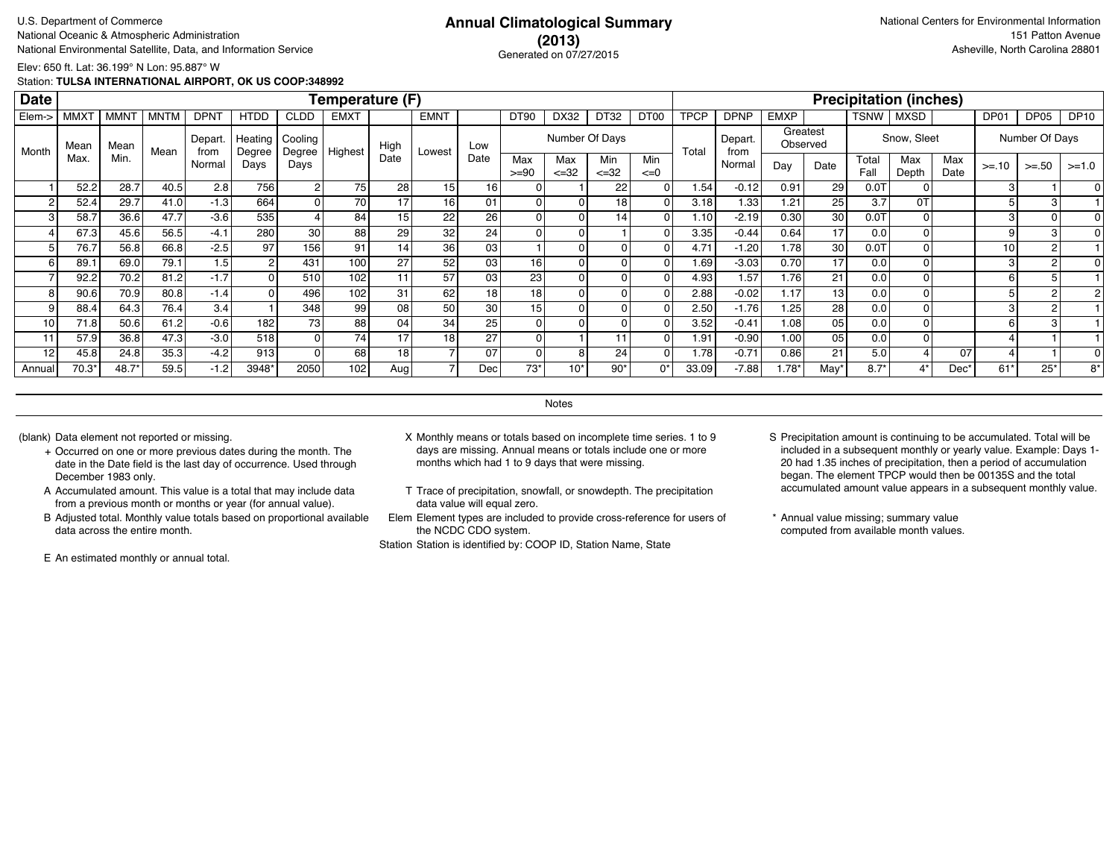### **(2013)** Generated on 07/27/2015

Elev: 650 ft. Lat: 36.199° N Lon: 95.887° W

Station: **TULSA INTERNATIONAL AIRPORT, OK US COOP:348992**

| <b>Date</b> |             |             |             |                |                   |                   | Temperature (F) |                 |                 |                 |                 |                   |                  |                 |             |                 |             |                      |               | <b>Precipitation (inches)</b> |             |         |                |             |
|-------------|-------------|-------------|-------------|----------------|-------------------|-------------------|-----------------|-----------------|-----------------|-----------------|-----------------|-------------------|------------------|-----------------|-------------|-----------------|-------------|----------------------|---------------|-------------------------------|-------------|---------|----------------|-------------|
| Elem->      | <b>MMXT</b> | <b>MMNT</b> | <b>MNTM</b> | <b>DPNT</b>    | <b>HTDD</b>       | <b>CLDD</b>       | <b>EMXT</b>     |                 | <b>EMNT</b>     |                 | <b>DT90</b>     | DX32              | DT32             | DT00            | <b>TPCP</b> | <b>DPNP</b>     | <b>EMXP</b> |                      | TSNW          | <b>MXSD</b>                   |             | DP01    | DP05           | <b>DP10</b> |
| Month       | Mean        | Mean        | Mean        | Depart<br>from | Heating<br>Degree | Cooling<br>Degree | Highest         | High            | Lowest          | Low             |                 |                   | Number Of Days   |                 | Total       | Depart.<br>from |             | Greatest<br>Observed |               | Snow, Sleet                   |             |         | Number Of Days |             |
|             | Max.        | Min.        |             | Normal         | Days              | Days              |                 | Date            |                 | Date            | Max<br>$>= 90$  | Max<br>$\leq$ =32 | Min<br>$\leq 32$ | Min<br>$\leq=0$ |             | Normal          | Day         | Date                 | Total<br>Fall | Max<br>Depth                  | Max<br>Date | $>= 10$ | $>=.50$        | $>=1.0$     |
|             | 52.2        | 28.7        | 40.5        | 2.8            | 756               | 2                 | 75              | 28              | 15              | 16 <sub>1</sub> |                 |                   | 22               |                 | 1.54        | $-0.12$         | 0.91        | 29                   | 0.0T          |                               |             |         |                |             |
|             | 52.4        | 29.7        | 41.0        | $-1.3$         | 664               | 0                 | 70              |                 | 16 <sub>1</sub> | 01              |                 |                   | 18               |                 | 3.18        | 1.33            | 1.21        | 25 <sub>1</sub>      | 3.7           | 0T                            |             |         |                |             |
| 3           | 58.7        | 36.6        | 47.7        | $-3.6$         | 535               |                   | 84              | 15              | 22              | 26              |                 | 0                 | 14.              |                 | 1.10        | $-2.19$         | 0.30        | 30                   | 0.0T          |                               |             |         |                |             |
|             | 67.3        | 45.6        | 56.5        | $-4.1$         | 280               | 30 <sup>°</sup>   | 88              | 29              | 32              | 24              |                 |                   |                  |                 | 3.35        | $-0.44$         | 0.64        | 17                   | 0.0           |                               |             | 9       | з              |             |
|             | 76.7        | 56.8        | 66.8        | $-2.5$         | 97                | 156               | 91              | 14              | 36              | 03              |                 |                   |                  |                 | 4.71        | $-1.20$         | 1.78        | 30                   | 0.0T          |                               |             | 10      | 2              |             |
| 6           | 89.1        | 69.0        | 79.1        | 1.5            |                   | 431               | 100             | 27              | 52              | 03              | 16 <sub>1</sub> | O                 |                  |                 | 1.69        | $-3.03$         | 0.70        | 17                   | 0.0           |                               |             | 3       | 2              |             |
|             | 92.2        | 70.2        | 81.2        | $-1.7$         |                   | 510               | 102             | 11              | 57              | 03              | 23              |                   |                  |                 | 4.93        | 1.57            | 1.76        | 21                   | 0.0           |                               |             | 6       | 5              |             |
| 8           | 90.6        | 70.9        | 80.8        | $-1.4$         |                   | 496               | 102             | 31              | 62              | 18              | 18              |                   |                  |                 | 2.88        | $-0.02$         | 1.17        | 13                   | 0.0           |                               |             |         |                |             |
|             | 88.4        | 64.3        | 76.4        | 3.4            |                   | 348               | 99              | 08 <sub>1</sub> | 50              | 30              | 15              |                   |                  |                 | 2.50        | $-1.76$         | 1.25        | 28 <sup>1</sup>      | 0.0           |                               |             |         |                |             |
| 10          | 71.8        | 50.6        | 61.2        | $-0.6$         | 182               | 73 l              | 88              | 04              | 34              | 25              |                 |                   |                  |                 | 3.52        | $-0.41$         | 1.08        | 05                   | 0.0           |                               |             |         |                |             |
| 11          | 57.9        | 36.8        | 47.3        | $-3.0$         | 518               | 0                 | 74              | 17              | 18 <sub>1</sub> | 27              |                 |                   |                  |                 | 1.91        | $-0.90$         | 1.00        | 05                   | 0.0           |                               |             |         |                |             |
| 12          | 45.8        | 24.8        | 35.3        | $-4.2$         | 913               | ΩI                | 68              | 18              |                 | 07              |                 |                   | 24               |                 | 1.78        | $-0.71$         | 0.86        | 21                   | 5.0           |                               | 07          |         |                |             |
| Annual      | $70.3*$     | 48.7*       | 59.5        | $-1.2$         | 3948*             | 2050              | 102             | Aug             |                 | Dec             | $73*$           | $10*$             | 90'              | 0*              | 33.09       | $-7.88$         | $1.78*$     | May                  | $8.7*$        | $4*$                          | Dec'        | $61*$   | $25*$          | $8*$        |

**Notes** 

- + Occurred on one or more previous dates during the month. The date in the Date field is the last day of occurrence. Used through December 1983 only.
- A Accumulated amount. This value is a total that may include data from a previous month or months or year (for annual value).
- B Adjusted total. Monthly value totals based on proportional available data across the entire month.

E An estimated monthly or annual total.

- (blank) Data element not reported or missing. X Monthly means or totals based on incomplete time series. 1 to 9 days are missing. Annual means or totals include one or more months which had 1 to 9 days that were missing.
	- T Trace of precipitation, snowfall, or snowdepth. The precipitation data value will equal zero.
	- Elem Element types are included to provide cross-reference for users of the NCDC CDO system.

- S Precipitation amount is continuing to be accumulated. Total will be included in a subsequent monthly or yearly value. Example: Days 1- 20 had 1.35 inches of precipitation, then a period of accumulation began. The element TPCP would then be 00135S and the total accumulated amount value appears in a subsequent monthly value.
- \* Annual value missing; summary value computed from available month values.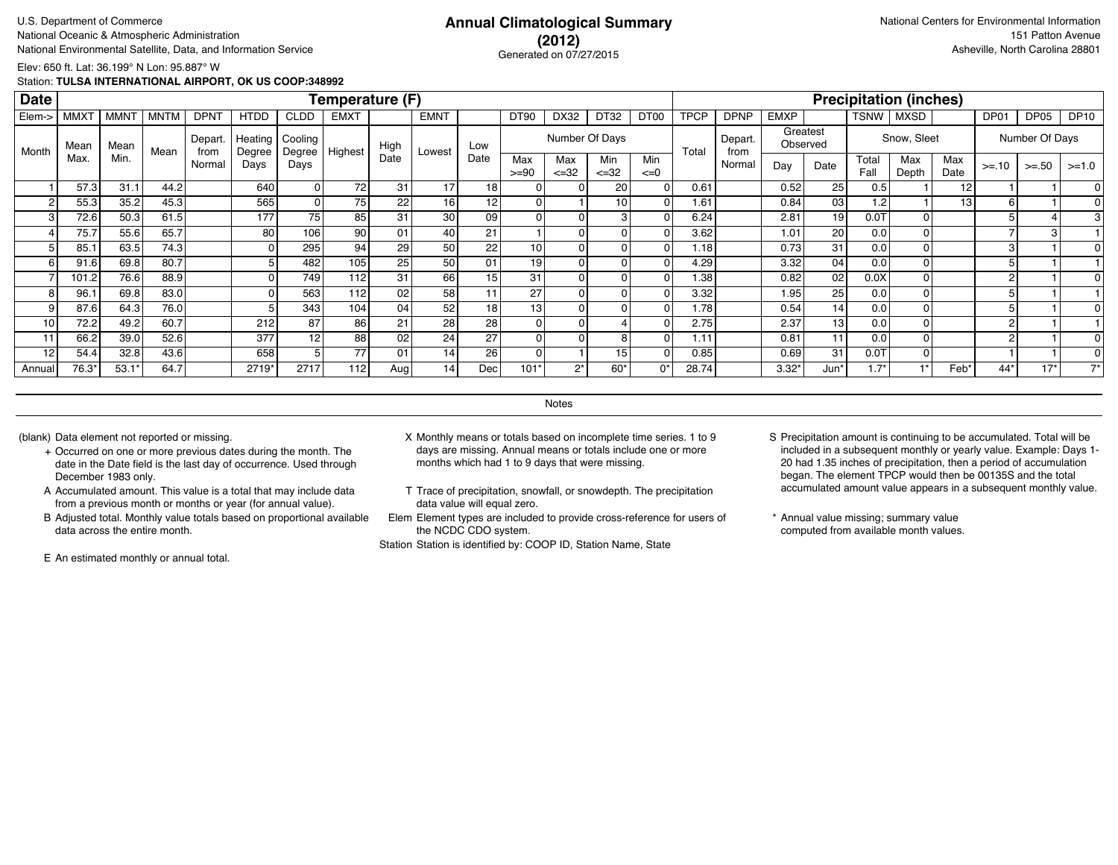### **(2012)** Generated on 07/27/2015

Elev: 650 ft. Lat: 36.199° N Lon: 95.887° W

Station: **TULSA INTERNATIONAL AIRPORT, OK US COOP:348992**

| <b>Date</b> |             |             |      |                 |                   |                   | Temperature (F)  |      |                 |      |                 |                   |                  |                  |             |                 |       |                      |               | <b>Precipitation (inches)</b> |             |                |                |             |
|-------------|-------------|-------------|------|-----------------|-------------------|-------------------|------------------|------|-----------------|------|-----------------|-------------------|------------------|------------------|-------------|-----------------|-------|----------------------|---------------|-------------------------------|-------------|----------------|----------------|-------------|
| Elem->      | <b>MMXT</b> | <b>MMNT</b> | MNTM | <b>DPNT</b>     | <b>HTDD</b>       | <b>CLDD</b>       | <b>EMXT</b>      |      | <b>EMNT</b>     |      | <b>DT90</b>     | DX32              | DT32             | DT <sub>00</sub> | <b>TPCP</b> | <b>DPNP</b>     | EMXP  |                      | <b>TSNW</b>   | MXSD                          |             | DP01           | DP05           | <b>DP10</b> |
| Month       | Mean        | Mean        | Mean | Depart.<br>from | Heating<br>Degree | Cooling<br>Degree | Highest          | High | Lowest          | Low  |                 | Number Of Days    |                  |                  | Total       | Depart.<br>from |       | Greatest<br>Observed |               | Snow, Sleet                   |             |                | Number Of Days |             |
|             | Max.        | Min.        |      | Normal          | Days              | Days              |                  | Date |                 | Date | Max<br>$>= 90$  | Max<br>$\leq$ =32 | Min<br>$\leq 32$ | Min<br>$\leq=0$  |             | Normal          | Day   | Date                 | Total<br>Fall | Max<br>Depth                  | Max<br>Date | $>= 10$        | $>=.50$        | $>=1.0$     |
|             | 57.3        | 31.1        | 44.2 |                 | 640               | ٥I                | 72               | 31   | 17              | 18   |                 |                   | 20               |                  | 0.61        |                 | 0.52  | 25                   | 0.5           |                               | 12          |                |                |             |
| -2          | 55.3        | 35.2        | 45.3 |                 | 565               | Οl                | 75               | 22   | 16 <sub>1</sub> | 12   | 0               |                   | 10               |                  | 1.61        |                 | 0.84  | 03                   | 1.2           |                               |             | 6              |                |             |
| 3           | 72.6        | 50.3        | 61.5 |                 | 177               | 75                | 85               | 31   | 30 <sub>1</sub> | 09   | 0               |                   |                  |                  | 6.24        |                 | 2.81  | 19 l                 | 0.01          | οI                            |             |                |                |             |
|             | 75.7        | 55.6        | 65.7 |                 | 80                | 106               | 90               | 01   | 40 l            | 21   |                 |                   | 0                |                  | 3.62        |                 | 1.01  | 20 l                 | 0.0           | 01                            |             |                |                |             |
|             | 85.1        | 63.5        | 74.3 |                 |                   | 295               | 94               | 29   | 50 <sub>1</sub> | 22   | 10 <sup>1</sup> |                   | 0                |                  | 1.18        |                 | 0.73  | 31                   | 0.0           | οI                            |             | 3 <sub>l</sub> |                |             |
| 6           | 91.6        | 69.8        | 80.7 |                 |                   | 482               | 105              | 25   | 50 <sub>1</sub> | 01   | 19              |                   | 0                |                  | 4.29        |                 | 3.32  | 04 l                 | 0.0           | οI                            |             |                |                |             |
|             | 101.2       | 76.6        | 88.9 |                 |                   | 749               | 112              | 31   | 66              | 15   | 31              |                   | 0                |                  | 1.38        |                 | 0.82  | 02 <sub>1</sub>      | 0.0X          | οI                            |             | 2              |                |             |
|             | 96.1        | 69.8        | 83.0 |                 |                   | 563               | 112              | 02   | 58 <sub>1</sub> |      | 27              |                   |                  |                  | 3.32        |                 | 1.95  | 25 <sub>1</sub>      | 0.0           | ΩI                            |             |                |                |             |
|             | 87.6        | 64.3        | 76.0 |                 |                   | 343               | 104 <sub>1</sub> | 04   | 52              | 18   | 13 <sub>1</sub> |                   |                  |                  | 1.78        |                 | 0.54  | 14                   | 0.0           | ΩI                            |             |                |                |             |
| 10          | 72.2        | 49.2        | 60.7 |                 | 212               | 87                | 86               | 21   | 28              | 28   |                 |                   |                  |                  | 2.75        |                 | 2.37  | 13                   | 0.0           |                               |             | $\sim$         |                |             |
| 11          | 66.2        | 39.0        | 52.6 |                 | 377               | 12                | 88               | 02   | 24              | 27   |                 |                   | 8                |                  | 1.11        |                 | 0.81  | 11                   | 0.0           | $\Omega$                      |             | 2              |                |             |
| 12          | 54.4        | 32.8        | 43.6 |                 | 658               | 5                 | 77               | 01   | 14              | 26   |                 |                   | 15               |                  | 0.85        |                 | 0.69  | 31                   | 0.07          | οI                            |             |                |                |             |
| Annual      | 76.3*       | $53.1*$     | 64.7 |                 | 2719*             | 2717              | 112              | Aug  | 14 <sub>1</sub> | Dec  | 101'            | $2^*$             | $60*$            | $0^*$            | 28.74       |                 | 3.32' | Jun*                 | $1.7*$        | $^*$                          | Feb'        | $44*$          | $17*$          | $7^*$       |

**Notes** 

- + Occurred on one or more previous dates during the month. The date in the Date field is the last day of occurrence. Used through December 1983 only.
- A Accumulated amount. This value is a total that may include data from a previous month or months or year (for annual value).
- B Adjusted total. Monthly value totals based on proportional available data across the entire month.

E An estimated monthly or annual total.

- (blank) Data element not reported or missing. X Monthly means or totals based on incomplete time series. 1 to 9 days are missing. Annual means or totals include one or more months which had 1 to 9 days that were missing.
	- T Trace of precipitation, snowfall, or snowdepth. The precipitation data value will equal zero.
	- Elem Element types are included to provide cross-reference for users of the NCDC CDO system.

- S Precipitation amount is continuing to be accumulated. Total will be included in a subsequent monthly or yearly value. Example: Days 1- 20 had 1.35 inches of precipitation, then a period of accumulation began. The element TPCP would then be 00135S and the total accumulated amount value appears in a subsequent monthly value.
- \* Annual value missing; summary value computed from available month values.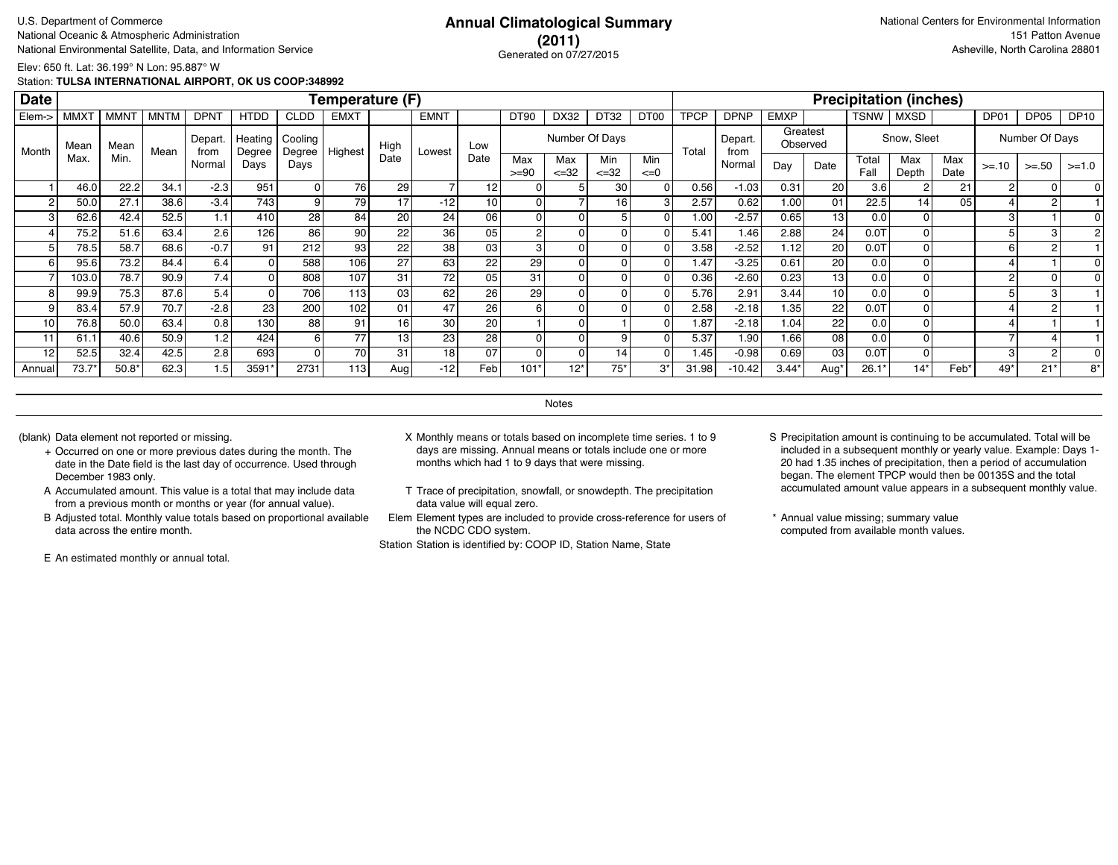### **(2011)** Generated on 07/27/2015

Elev: 650 ft. Lat: 36.199° N Lon: 95.887° W

Station: **TULSA INTERNATIONAL AIRPORT, OK US COOP:348992**

| <b>Date</b>     |                  |             |             |                 |                   |                   | Temperature (F) |                 |             |      |                  |                  |                  |                  |             |                 |                   |                      |               | <b>Precipitation (inches)</b> |             |         |                |             |
|-----------------|------------------|-------------|-------------|-----------------|-------------------|-------------------|-----------------|-----------------|-------------|------|------------------|------------------|------------------|------------------|-------------|-----------------|-------------------|----------------------|---------------|-------------------------------|-------------|---------|----------------|-------------|
| Elem->          | MMX <sup>-</sup> | <b>MMNT</b> | <b>MNTM</b> | <b>DPNT</b>     | <b>HTDD</b>       | <b>CLDD</b>       | <b>EMXT</b>     |                 | <b>EMNT</b> |      | DT <sub>90</sub> | DX32             | DT32             | DT <sub>00</sub> | <b>TPCP</b> | <b>DPNP</b>     | <b>EMXP</b>       |                      | <b>TSNW</b>   | MXSD                          |             | DP01    | DP05           | <b>DP10</b> |
| Month           | Mean             | Mean        | Mean        | Depart.<br>from | Heating<br>Degree | Cooling<br>Degree | Highest         | High            | Lowest      | Low  |                  |                  | Number Of Days   |                  | Total       | Depart.<br>from |                   | Greatest<br>Observed |               | Snow, Sleet                   |             |         | Number Of Days |             |
|                 | Max              | Min.        |             | Normal          | Days              | Days              |                 | Date            |             | Date | Max<br>$>= 90$   | Max<br>$\leq 32$ | Min<br>$\leq 32$ | Min<br>$\leq=0$  |             | Normal          | Day               | Date                 | Total<br>Fall | Max<br>Depth                  | Max<br>Date | $>= 10$ | $>= 50$        | $>=1.0$     |
|                 | 46.0             | 22.2        | 34.1        | $-2.3$          | 951               |                   | 76              | 29              |             | 12   | $\Omega$         |                  | 30 <sup>1</sup>  |                  | 0.56        | $-1.03$         | 0.31              | 20                   | 3.6           |                               | 21          |         |                |             |
| 2               | 50.0             | 27.1        | 38.6        | $-3.4$          | 743               |                   | 79              | 17              | $-12$       | 10   | $\overline{0}$   |                  | 16 I             |                  | 2.57        | 0.62            | 1.00              | 01                   | 22.5          | 14 <sup>1</sup>               | 05          |         |                |             |
| 3 <sub>1</sub>  | 62.6             | 42.4        | 52.5        | 1.1             | 410               | 28                | 84              | 20 <sup>1</sup> | 24          | 06   | $\overline{0}$   |                  | 51               |                  | 1.00        | $-2.57$         | 0.65              | 13                   | 0.0           |                               |             | 3       |                |             |
|                 | 75.2             | 51.6        | 63.4        | 2.6             | 126               | 86                | 90              | 22              | 36          | 05   | 2                |                  | οI               |                  | 5.41        | 1.46            | 2.88              | 24                   | 0.07          |                               |             |         |                |             |
|                 | 78.5             | 58.7        | 68.6        | $-0.7$          | 91                | 212               | 93              | 22              | 38          | 03   | 3                |                  | οI               |                  | 3.58        | $-2.52$         | 1.12              | 20 <sub>l</sub>      | 0.07          |                               |             | 6       |                |             |
| 6 <sup>1</sup>  | 95.6             | 73.2        | 84.4        | 6.4             |                   | 588               | 106             | 27              | 63          | 22   | 29               |                  | οI               |                  | 1.47        | $-3.25$         | 0.61              | 20                   | 0.0           |                               |             |         |                |             |
|                 | 103.0            | 78.7        | 90.9        | 7.4             |                   | 808               | 107             | 31              | 72          | 05   | 31               |                  | 01               |                  | 0.36        | $-2.60$         | 0.23              | 13                   | 0.0           |                               |             |         |                |             |
| 8               | 99.9             | 75.3        | 87.6        | 5.4             |                   | 706               | 113             | 03              | 62          | 26   | 29               |                  | Οl               |                  | 5.76        | 2.91            | 3.44              | 10 <sup>1</sup>      | 0.0           |                               |             |         |                |             |
| 9               | 83.4             | 57.9        | 70.7        | $-2.8$          | 23                | 200               | 102             | 01              | 47          | 26   | 6                |                  | ΩI               |                  | 2.58        | $-2.18$         | 1.35 <sub>1</sub> | 22                   | 0.07          |                               |             |         |                |             |
| 10 <sub>1</sub> | 76.8             | 50.0        | 63.4        | 0.8             | 130 <sub>l</sub>  | 88                | 91              | 16 I            | 30          | 20   |                  |                  |                  |                  | 1.87        | $-2.18$         | 1.04.             | 22                   | 0.0           |                               |             |         |                |             |
| 11              | 61.1             | 40.6        | 50.9        | 1.2             | 424               |                   | 77              | 131             | 23          | 28   | $\overline{0}$   |                  | 9                |                  | 5.37        | 1.90            | 1.66              | 08                   | 0.0           |                               |             |         |                |             |
| 12              | 52.5             | 32.4        | 42.5        | 2.8             | 693               |                   | 70              | 31              | 18          | 07   | $\overline{0}$   |                  | 14 <sub>l</sub>  |                  | 1.45        | $-0.98$         | 0.69              | 03                   | 0.07          |                               |             | 3       |                |             |
| Annual          | $73.7*$          | $50.8*$     | 62.3        | 1.5             | 3591*             | 2731              | 113             | Aug             | $-12$       | Feb  | 101*             | $12*$            | $75*$            | $3^*$            | 31.98       | $-10.42$        | $3.44*$           | Aug'                 | 26.1          | $14*$                         | Feb'        | 49*     | $21*$          | $8*$        |

**Notes** 

- + Occurred on one or more previous dates during the month. The date in the Date field is the last day of occurrence. Used through December 1983 only.
- A Accumulated amount. This value is a total that may include data from a previous month or months or year (for annual value).
- B Adjusted total. Monthly value totals based on proportional available data across the entire month.

E An estimated monthly or annual total.

- (blank) Data element not reported or missing. X Monthly means or totals based on incomplete time series. 1 to 9 days are missing. Annual means or totals include one or more months which had 1 to 9 days that were missing.
	- T Trace of precipitation, snowfall, or snowdepth. The precipitation data value will equal zero.
	- Elem Element types are included to provide cross-reference for users of the NCDC CDO system.

- S Precipitation amount is continuing to be accumulated. Total will be included in a subsequent monthly or yearly value. Example: Days 1- 20 had 1.35 inches of precipitation, then a period of accumulation began. The element TPCP would then be 00135S and the total accumulated amount value appears in a subsequent monthly value.
- \* Annual value missing; summary value computed from available month values.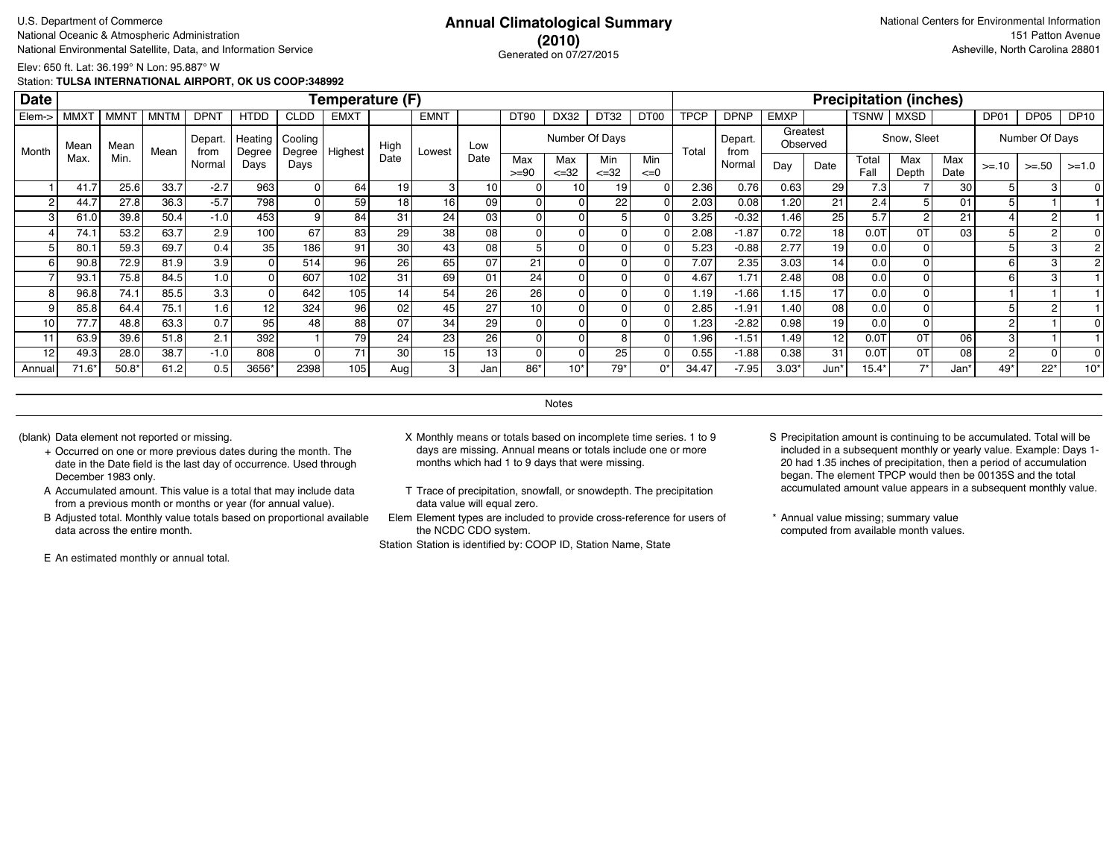### **(2010)** Generated on 07/27/2015

Elev: 650 ft. Lat: 36.199° N Lon: 95.887° W

Station: **TULSA INTERNATIONAL AIRPORT, OK US COOP:348992**

| <b>Date</b>     |             |             |             |                 |                   |                   | Temperature (F)  |                 |                 |      |                 |                   |                  |                  |             |                 |             |                      |               | <b>Precipitation (inches)</b> |             |                |                |             |
|-----------------|-------------|-------------|-------------|-----------------|-------------------|-------------------|------------------|-----------------|-----------------|------|-----------------|-------------------|------------------|------------------|-------------|-----------------|-------------|----------------------|---------------|-------------------------------|-------------|----------------|----------------|-------------|
| Elem->          | <b>MMXT</b> | <b>MMNT</b> | <b>MNTM</b> | <b>DPNT</b>     | <b>HTDD</b>       | <b>CLDD</b>       | <b>EMXT</b>      |                 | <b>EMNT</b>     |      | <b>DT90</b>     | DX32              | DT32             | DT <sub>00</sub> | <b>TPCP</b> | <b>DPNP</b>     | <b>EMXP</b> |                      | TSNW          | MXSD                          |             | DP01           | DP05           | <b>DP10</b> |
| Month           | Mean        | Mean        | Mean        | Depart.<br>from | Heating<br>Degree | Cooling<br>Degree | Highest          | High            | Lowest          | Low  |                 |                   | Number Of Days   |                  | Total       | Depart.<br>from |             | Greatest<br>Observed |               | Snow, Sleet                   |             |                | Number Of Days |             |
|                 | Max         | Min.        |             | Normal          | Days              | Days              |                  | Date            |                 | Date | Max<br>$>= 90$  | Max<br>$\leq$ =32 | Min<br>$\leq 32$ | Min<br>$\leq=0$  |             | Normal          | Day         | Date                 | Total<br>Fall | Max<br>Depth                  | Max<br>Date | $>= 10$        | $>=.50$        | $>=1.0$     |
|                 | 41.7        | 25.6        | 33.7        | $-2.7$          | 963               |                   | 64               | 19              | 31              | 10   |                 | 10 <sub>1</sub>   | 19               |                  | 2.36        | 0.76            | 0.63        | 29                   | 7.3           |                               | 30          |                | З              |             |
| 2               | 44.7        | 27.8        | 36.3        | $-5.7$          | 798               |                   | 59               | 18              | 16 <sub>1</sub> | 09   |                 |                   | 22               |                  | 2.03        | 0.08            | 1.20        | 21                   | 2.4           |                               | 01          |                |                |             |
| 3               | 61.0        | 39.8        | 50.4        | $-1.0$          | 453               | 9                 | 84               | 31              | 24              | 03   | $\overline{0}$  |                   |                  |                  | 3.25        | $-0.32$         | 1.46        | 25                   | 5.7           |                               | 21          |                |                |             |
|                 | 74.1        | 53.2        | 63.7        | 2.9             | 100               | 67                | 83               | 29              | 38              | 08   | 0               |                   |                  |                  | 2.08        | $-1.87$         | 0.72        | 18 <sup>1</sup>      | 0.0T          | 0T                            | 03          |                |                |             |
|                 | 80.1        | 59.3        | 69.7        | 0.4             | 35                | 186               | 91               | 30              | 43              | 08   | 5               |                   |                  |                  | 5.23        | $-0.88$         | 2.77        | 19 l                 | 0.0           |                               |             |                | 3              |             |
| 6               | 90.8        | 72.9        | 81.9        | 3.9             |                   | 514               | 96               | 26 <sub>1</sub> | 65              | 07   | 21              |                   |                  |                  | 7.07        | 2.35            | 3.03        | 14 <sup>1</sup>      | 0.0           |                               |             | 6              | 3              |             |
|                 | 93.1        | 75.8        | 84.5        | 1.0             |                   | 607               | 102              | 31              | 69              | 01   | 24              |                   |                  |                  | 4.67        | 1.71            | 2.48        | 08                   | 0.0           |                               |             | 6              | з              |             |
| 8               | 96.8        | 74.1        | 85.5        | 3.3             |                   | 642               | 105 <sub>1</sub> | 14 <sub>1</sub> | 54              | 26   | 26              |                   |                  |                  | 1.19        | $-1.66$         | 1.15        | 17                   | 0.0           |                               |             |                |                |             |
| 9               | 85.8        | 64.4        | 75.1        | 1.6             | 12                | 324               | 96               | 02              | 45              | 27   | 10 <sub>1</sub> |                   |                  |                  | 2.85        | $-1.91$         | 1.40        | 08                   | 0.0           |                               |             |                |                |             |
| 10 <sub>1</sub> | 77.7        | 48.8        | 63.3        | 0.7             | 95                | 48                | 88               | 07              | 34              | 29   |                 |                   |                  |                  | 1.23        | $-2.82$         | 0.98        | 19 l                 | 0.0           |                               |             | $\sim$         |                |             |
| 11              | 63.9        | 39.6        | 51.8        | 2.1             | 392               |                   | 79               | 24              | 23              | 26   |                 |                   |                  |                  | 1.96        | $-1.51$         | 1.49        | 12                   | 0.01          | 0T                            | 06          | 3              |                |             |
| 12              | 49.3        | 28.0        | 38.7        | $-1.0$          | 808               | 0                 | 71               | 30              | 15 <sub>1</sub> | 13   |                 |                   | 25               |                  | 0.55        | $-1.88$         | 0.38        | 31                   | $0.0$ T       | 0T                            | 08          | $\overline{2}$ |                |             |
| Annual          | $71.6*$     | $50.8*$     | 61.2        | 0.5             | 3656*             | 2398              | 105 <sub>1</sub> | Aug             | -3 I            | Jan  | 86*             | $10*$             | 79'              | $0^*$            | 34.47       | $-7.95$         | $3.03*$     | Jun*                 | $15.4*$       | $7*$                          | Jan*        | 49*            | $22*$          | $10*$       |

**Notes** 

- + Occurred on one or more previous dates during the month. The date in the Date field is the last day of occurrence. Used through December 1983 only.
- A Accumulated amount. This value is a total that may include data from a previous month or months or year (for annual value).
- B Adjusted total. Monthly value totals based on proportional available data across the entire month.

E An estimated monthly or annual total.

- (blank) Data element not reported or missing. X Monthly means or totals based on incomplete time series. 1 to 9 days are missing. Annual means or totals include one or more months which had 1 to 9 days that were missing.
	- T Trace of precipitation, snowfall, or snowdepth. The precipitation data value will equal zero.
	- Elem Element types are included to provide cross-reference for users of the NCDC CDO system.

- S Precipitation amount is continuing to be accumulated. Total will be included in a subsequent monthly or yearly value. Example: Days 1- 20 had 1.35 inches of precipitation, then a period of accumulation began. The element TPCP would then be 00135S and the total accumulated amount value appears in a subsequent monthly value.
- \* Annual value missing; summary value computed from available month values.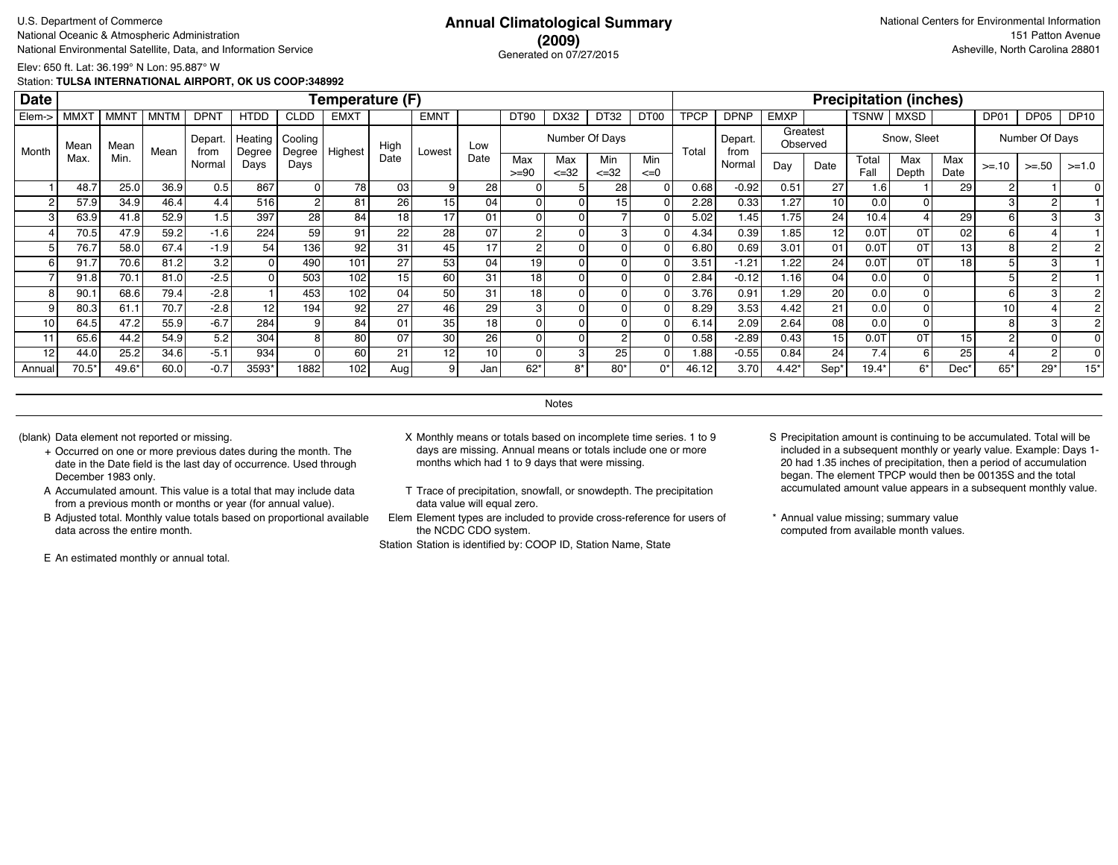### **(2009)** Generated on 07/27/2015

Elev: 650 ft. Lat: 36.199° N Lon: 95.887° W

Station: **TULSA INTERNATIONAL AIRPORT, OK US COOP:348992**

| <b>Date</b> |             |             |             |                |                   |                   | Temperature (F) |                 |                 |                 |                |                   |                  |                 |             |                 |             |                      |               | <b>Precipitation (inches)</b> |                 |         |                |             |
|-------------|-------------|-------------|-------------|----------------|-------------------|-------------------|-----------------|-----------------|-----------------|-----------------|----------------|-------------------|------------------|-----------------|-------------|-----------------|-------------|----------------------|---------------|-------------------------------|-----------------|---------|----------------|-------------|
| Elem->      | <b>MMXT</b> | <b>MMNT</b> | <b>MNTM</b> | <b>DPNT</b>    | <b>HTDD</b>       | <b>CLDD</b>       | <b>EMXT</b>     |                 | <b>EMNT</b>     |                 | <b>DT90</b>    | DX32              | DT32             | DT00            | <b>TPCP</b> | <b>DPNP</b>     | <b>EMXP</b> |                      | TSNW          | <b>MXSD</b>                   |                 | DP01    | DP05           | <b>DP10</b> |
| Month       | Mean        | Mean        | Mean        | Depart<br>from | Heating<br>Degree | Cooling<br>Degree | Highest         | High            | Lowest          | Low             |                | Number Of Days    |                  |                 | Total       | Depart.<br>from |             | Greatest<br>Observed |               | Snow, Sleet                   |                 |         | Number Of Days |             |
|             | Max.        | Min.        |             | Normal         | Days              | Days              |                 | Date            |                 | Date            | Max<br>$>= 90$ | Max<br>$\leq$ =32 | Min<br>$\leq 32$ | Min<br>$\leq=0$ |             | Normal          | Day         | Date                 | Total<br>Fall | Max<br>Depth                  | Max<br>Date     | $>= 10$ | $>=.50$        | $>=1.0$     |
|             | 48.7        | 25.0        | 36.9        | 0.5            | 867               | 01                | 78              | 03              | 9 <sub>1</sub>  | 28              |                |                   | 28               |                 | 0.68        | $-0.92$         | 0.51        | 27                   | 1.6           |                               | 29              | -2      |                |             |
|             | 57.9        | 34.9        | 46.4        | 4.4            | 516               |                   | 81              | 26              | 15 <sub>1</sub> | 04 <sub>1</sub> |                |                   | 15               |                 | 2.28        | 0.33            | 1.27        | 10 <sup>1</sup>      | 0.0           |                               |                 |         |                |             |
|             | 63.9        | 41.8        | 52.9        | 1.5            | 397               | 28 <sub>l</sub>   | 84              | 18 <sub>1</sub> | 17              | 01              |                |                   |                  |                 | 5.02        | 1.45            | 1.75        | 24                   | 10.4          |                               | 29              | 6       | З              |             |
|             | 70.5        | 47.9        | 59.2        | $-1.6$         | 224               | 59                | 91              | 22              | 28              | 07              | 2              |                   |                  |                 | 4.34        | 0.39            | 1.85        | 12                   | 0.0T          | 0T                            | 02              | 6       |                |             |
|             | 76.7        | 58.0        | 67.4        | $-1.9$         | 54                | 136               | 92              | 31              | 45              | 17              | $\overline{2}$ |                   |                  |                 | 6.80        | 0.69            | 3.01        | 01                   | 0.0T          | 0T                            | 13              | 8       | $\overline{2}$ |             |
| 6           | 91.7        | 70.6        | 81.2        | 3.2            |                   | 490               | 101             | 27              | 53              | 04              | 19             |                   |                  |                 | 3.51        | $-1.21$         | 1.22        | 24                   | 0.0T          | 0T                            | 18              |         | 3              |             |
|             | 91.8        | 70.1        | 81.0        | $-2.5$         |                   | 503               | 102             | 15              | 60              | 31              | 18             |                   |                  |                 | 2.84        | $-0.12$         | 1.16        | 04                   | 0.0           |                               |                 |         |                |             |
| 8           | 90.1        | 68.6        | 79.4        | $-2.8$         |                   | 453               | 102             | 04              | 50              | 31              | 18             |                   |                  |                 | 3.76        | 0.91            | 1.29        | 20                   | 0.0           |                               |                 | 6       | з              |             |
|             | 80.3        | 61.1        | 70.7        | $-2.8$         | 12                | 194               | 92              | 27              | 46              | 29              |                |                   |                  |                 | 8.29        | 3.53            | 4.42        | 21                   | 0.0           |                               |                 | 10      |                |             |
| 10          | 64.5        | 47.2        | 55.9        | $-6.7$         | 284               |                   | 84              | 01              | 35              | 18              |                |                   |                  |                 | 6.14        | 2.09            | 2.64        | 08                   | 0.0           |                               |                 |         |                |             |
| 11          | 65.6        | 44.2        | 54.9        | 5.2            | 304               | 8                 | 80              | 07              | 30              | 26              |                |                   |                  |                 | 0.58        | $-2.89$         | 0.43        | 15 <sup>1</sup>      | $0.0$ T       | 0T                            | 15 <sub>1</sub> | 2       |                |             |
| 12          | 44.0        | 25.2        | 34.6        | $-5.1$         | 934               | 0                 | 60              | 21              | 12              | 10 <sub>1</sub> |                |                   | 25               |                 | 1.88        | $-0.55$         | 0.84        | 24                   | 7.4           | 6                             | 25              |         |                |             |
| Annual      | $70.5*$     | 49.6*       | 60.0        | $-0.7$         | 3593*             | 1882              | 102             | Aug             | 91              | Jan             | $62*$          | 8*                | $80^{\circ}$     | $0^*$           | 46.12       | 3.70            | $4.42*$     | Sep <sup>®</sup>     | $19.4*$       | $6*$                          | Dec'            | 65*     | $29*$          | $15*$       |

**Notes** 

- + Occurred on one or more previous dates during the month. The date in the Date field is the last day of occurrence. Used through December 1983 only.
- A Accumulated amount. This value is a total that may include data from a previous month or months or year (for annual value).
- B Adjusted total. Monthly value totals based on proportional available data across the entire month.

E An estimated monthly or annual total.

- (blank) Data element not reported or missing. X Monthly means or totals based on incomplete time series. 1 to 9 days are missing. Annual means or totals include one or more months which had 1 to 9 days that were missing.
	- T Trace of precipitation, snowfall, or snowdepth. The precipitation data value will equal zero.
	- Elem Element types are included to provide cross-reference for users of the NCDC CDO system.

- S Precipitation amount is continuing to be accumulated. Total will be included in a subsequent monthly or yearly value. Example: Days 1- 20 had 1.35 inches of precipitation, then a period of accumulation began. The element TPCP would then be 00135S and the total accumulated amount value appears in a subsequent monthly value.
- \* Annual value missing; summary value computed from available month values.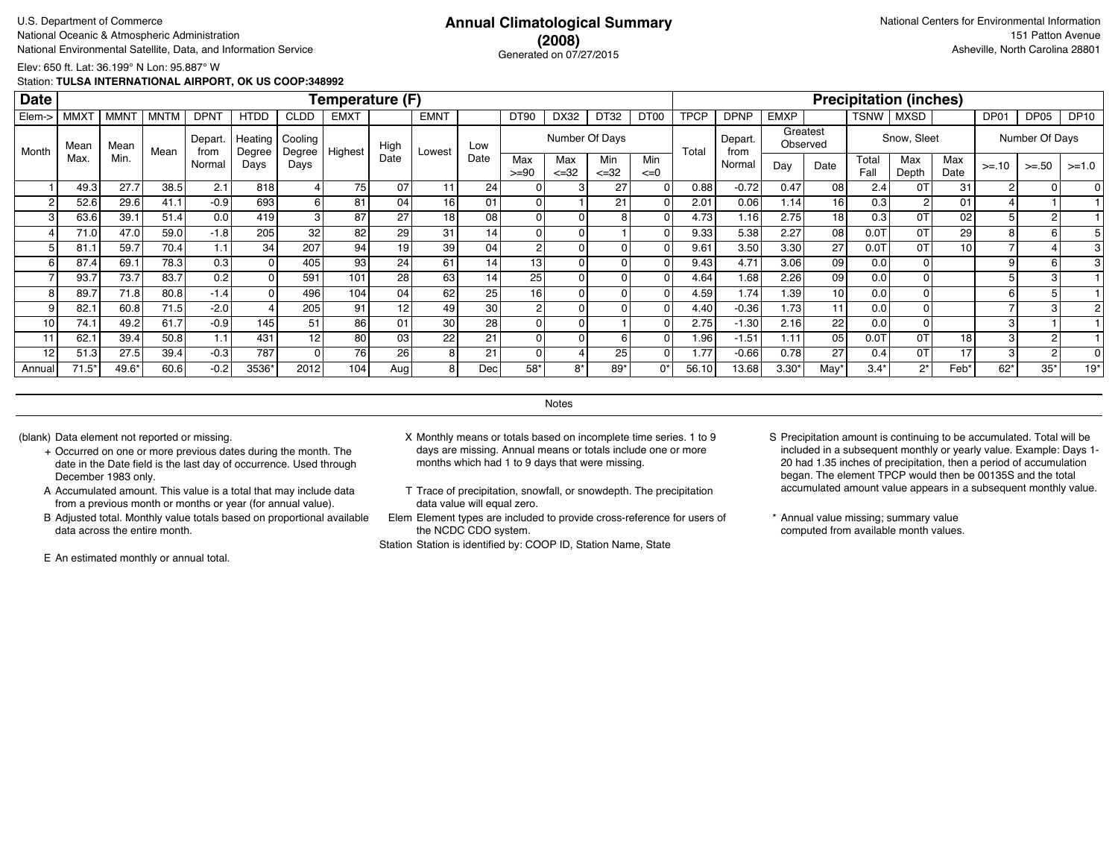### **(2008)** Generated on 07/27/2015

Elev: 650 ft. Lat: 36.199° N Lon: 95.887° W

Station: **TULSA INTERNATIONAL AIRPORT, OK US COOP:348992**

| <b>Date</b>     |                  |             |             |                 |                   |                   | Temperature (F) |                 |                 |      |                 |                   |                  |                  |             |                 |             |                      |               | <b>Precipitation (inches)</b> |             |         |                |             |
|-----------------|------------------|-------------|-------------|-----------------|-------------------|-------------------|-----------------|-----------------|-----------------|------|-----------------|-------------------|------------------|------------------|-------------|-----------------|-------------|----------------------|---------------|-------------------------------|-------------|---------|----------------|-------------|
| Elem->          | MMX <sup>-</sup> | <b>MMNT</b> | <b>MNTM</b> | <b>DPNT</b>     | <b>HTDD</b>       | <b>CLDD</b>       | <b>EMXT</b>     |                 | <b>EMNT</b>     |      | DT90            | DX32              | DT32             | DT <sub>00</sub> | <b>TPCP</b> | <b>DPNP</b>     | <b>EMXP</b> |                      | TSNW          | <b>MXSD</b>                   |             | DP01    | DP05           | <b>DP10</b> |
| Month           | Mean             | Mean        | Mean        | Depart.<br>from | Heating<br>Degree | Cooling<br>Degree | Highest         | High            | Lowest          | Low  |                 | Number Of Days    |                  |                  | Total       | Depart.<br>from |             | Greatest<br>Observed |               | Snow, Sleet                   |             |         | Number Of Days |             |
|                 | Max              | Min.        |             | Normal          | Days              | Days              |                 | Date            |                 | Date | Max<br>$>= 90$  | Max<br>$\leq$ =32 | Min<br>$\leq$ 32 | Min<br>$\leq=0$  |             | Normal          | Day         | Date                 | Total<br>Fall | Max<br>Depth                  | Max<br>Date | $>= 10$ | $>=.50$        | $>=1.0$     |
|                 | 49.3             | 27.7        | 38.5        | 2.1             | 818               |                   | 75              | 07              | 11              | 24   |                 |                   | 27               |                  | 0.88        | $-0.72$         | 0.47        | 08                   | 2.4           | 0T                            | 31          |         |                |             |
| 2               | 52.6             | 29.6        | 41.1        | $-0.9$          | 693               |                   | 81              | 04              | 16 <sub>1</sub> | 01   | $\overline{0}$  |                   | 21               |                  | 2.01        | 0.06            | 1.14        | 16                   | 0.3           |                               | 01          |         |                |             |
| 3 <sub>1</sub>  | 63.6             | 39.1        | 51.4        | 0.0             | 419               |                   | 87              | 27              | 18              | 08   | 0               |                   |                  |                  | 4.73        | 1.16            | 2.75        | 18 <sup>1</sup>      | 0.3           | 0T                            | 02          |         |                |             |
|                 | 71.0             | 47.0        | 59.0        | $-1.8$          | 205               | 32                | 82              | 29              | 31              | 14   | $\overline{0}$  |                   |                  |                  | 9.33        | 5.38            | 2.27        | 08 l                 | $0.0$ T       | 0T                            | 29          | 8       | 6              |             |
|                 | 81.1             | 59.7        | 70.4        | 1.1             | 34                | 207               | 94 <sub>1</sub> | 19              | 39              | 04   | 2               |                   |                  |                  | 9.61        | 3.50            | 3.30        | 27                   | $0.0$ T       | 0T                            | 10          |         |                |             |
| 61              | 87.4             | 69.1        | 78.3        | 0.3             |                   | 405               | 93 <sub>1</sub> | 24              | 61              | 14   | 13 <sub>1</sub> |                   |                  |                  | 9.43        | 4.71            | 3.06        | 09                   | 0.0           |                               |             |         | 6              |             |
|                 | 93.7             | 73.7        | 83.7        | 0.2             |                   | 591               | 101             | 28 <sub>1</sub> | 63              | 14   | 25              |                   |                  |                  | 4.64        | 1.68            | 2.26        | 09                   | 0.0           |                               |             |         |                |             |
| 8               | 89.7             | 71.8        | 80.8        | $-1.4$          |                   | 496               | 104             | 04              | 62              | 25   | 16              |                   |                  |                  | 4.59        | 1.74            | 1.39        | 10 <sup>1</sup>      | 0.0           |                               |             |         |                |             |
| 9               | 82.7             | 60.8        | 71.5        | $-2.0$          |                   | 205               | 91              | 12              | 49              | 30   | 2               |                   |                  |                  | 4.40        | $-0.36$         | 1.73        | 11                   | 0.0           |                               |             |         |                |             |
| 10 <sub>1</sub> | 74.1             | 49.2        | 61.7        | $-0.9$          | 145               | 51                | 86              | 01              | 30 <sup>°</sup> | 28   |                 |                   |                  |                  | 2.75        | $-1.30$         | 2.16        | 22                   | 0.0           |                               |             |         |                |             |
| 11              | 62.1             | 39.4        | 50.8        | 1.1             | 431               | 12                | 80              | 03 <sub>1</sub> | 22              | 21   |                 |                   |                  |                  | 1.96        | $-1.51$         | 1.11        | 05 <sub>l</sub>      | 0.0T          | 0T                            | 18          |         |                |             |
| 12              | 51.3             | 27.5        | 39.4        | $-0.3$          | 787               | 0                 | 76              | 26 <sub>1</sub> | 8               | 21   | 0               |                   | 25 <sub>1</sub>  |                  | 1.77        | $-0.66$         | 0.78        | 27                   | 0.4           | 0T                            | 17          |         |                |             |
| Annual          | $71.5*$          | 49.6*       | 60.6        | $-0.2$          | 3536*             | 2012              | 104.            | Aug             | 8               | Dec  | 58*             | $8*$              | $89*$            | 0*               | 56.10       | 13.681          | 3.30'       | May'                 | $3.4*$        | $2^*$                         | Feb*        | $62*$   | $35*$          | $19*$       |

**Notes** 

- + Occurred on one or more previous dates during the month. The date in the Date field is the last day of occurrence. Used through December 1983 only.
- A Accumulated amount. This value is a total that may include data from a previous month or months or year (for annual value).
- B Adjusted total. Monthly value totals based on proportional available data across the entire month.

E An estimated monthly or annual total.

- (blank) Data element not reported or missing. X Monthly means or totals based on incomplete time series. 1 to 9 days are missing. Annual means or totals include one or more months which had 1 to 9 days that were missing.
	- T Trace of precipitation, snowfall, or snowdepth. The precipitation data value will equal zero.
	- Elem Element types are included to provide cross-reference for users of the NCDC CDO system.

- S Precipitation amount is continuing to be accumulated. Total will be included in a subsequent monthly or yearly value. Example: Days 1- 20 had 1.35 inches of precipitation, then a period of accumulation began. The element TPCP would then be 00135S and the total accumulated amount value appears in a subsequent monthly value.
- \* Annual value missing; summary value computed from available month values.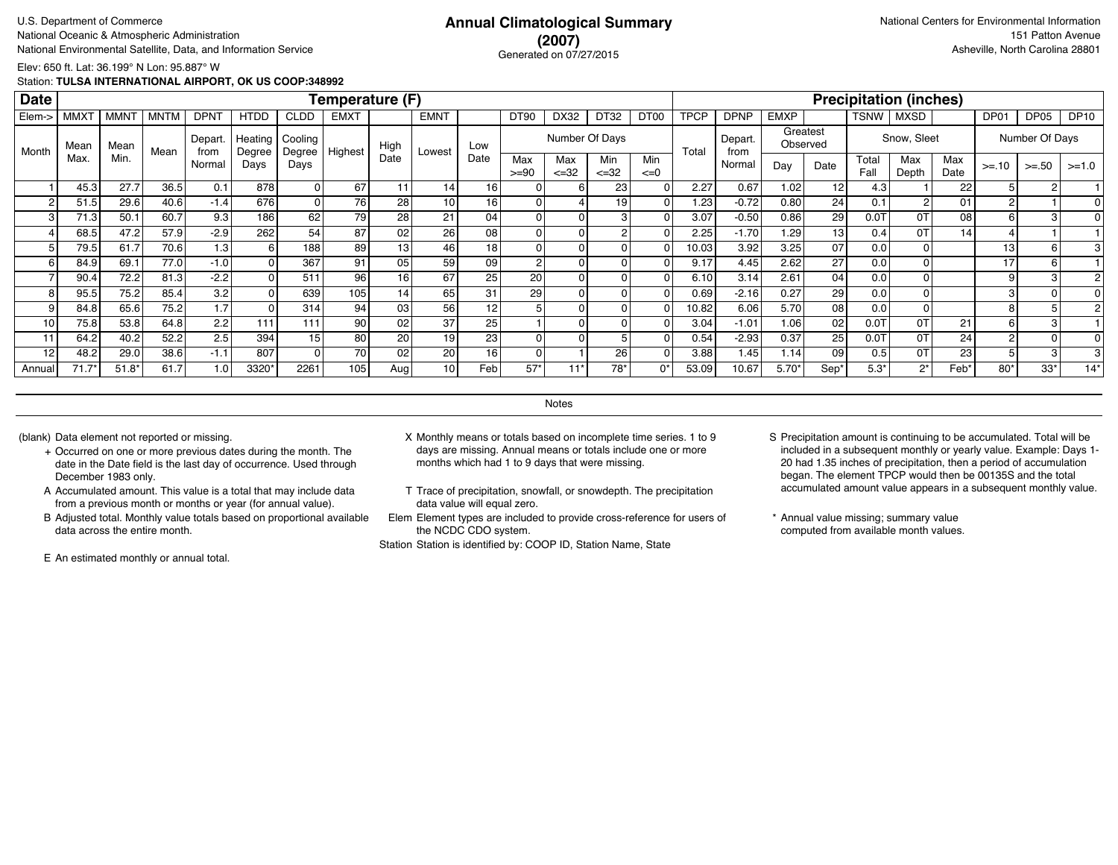### **(2007)** Generated on 07/27/2015

Elev: 650 ft. Lat: 36.199° N Lon: 95.887° W

Station: **TULSA INTERNATIONAL AIRPORT, OK US COOP:348992**

| <b>Date</b>     |                  |             |             |                 |                   |                   | Temperature (F) |                 |                 |                 |                |                   |                  |                  |             |                 |             |                      |               | <b>Precipitation (inches)</b> |             |                |                |             |
|-----------------|------------------|-------------|-------------|-----------------|-------------------|-------------------|-----------------|-----------------|-----------------|-----------------|----------------|-------------------|------------------|------------------|-------------|-----------------|-------------|----------------------|---------------|-------------------------------|-------------|----------------|----------------|-------------|
| Elem->          | MMX <sup>-</sup> | <b>MMNT</b> | <b>MNTM</b> | <b>DPNT</b>     | <b>HTDD</b>       | <b>CLDD</b>       | <b>EMXT</b>     |                 | <b>EMNT</b>     |                 | <b>DT90</b>    | DX32              | DT32             | DT <sub>00</sub> | <b>TPCP</b> | <b>DPNP</b>     | <b>EMXP</b> |                      | TSNW          | <b>MXSD</b>                   |             | DP01           | DP05           | <b>DP10</b> |
| Month           | Mear             | Mean        | Mean        | Depart.<br>from | Heating<br>Degree | Cooling<br>Degree | Highest         | High            | Lowest          | Low             |                | Number Of Days    |                  |                  | Total       | Depart.<br>from |             | Greatest<br>Observed |               | Snow, Sleet                   |             |                | Number Of Days |             |
|                 | Max              | Min.        |             | Normal          | Days              | Days              |                 | Date            |                 | Date            | Max<br>$>= 90$ | Max<br>$\leq$ =32 | Min<br>$\leq$ 32 | Min<br>$\leq=0$  |             | Normal          | Day         | Date                 | Total<br>Fall | Max<br>Depth                  | Max<br>Date | $>= 10$        | $>=.50$        | $>=1.0$     |
|                 | 45.3             | 27.7        | 36.5        | 0.1             | 878               |                   | 67              |                 | 14              | 16              |                |                   | 23 <sub>1</sub>  |                  | 2.27        | 0.67            | 1.02        | 12                   | 4.3           |                               | 22          |                | 2              |             |
|                 | 51.5             | 29.6        | 40.6        | $-1.4$          | 676               |                   | 76              | 28 <sub>1</sub> | 10 <sub>l</sub> | 16 <sub>1</sub> | 0              |                   | 19               |                  | 1.23        | $-0.72$         | 0.80        | 24 <sub>1</sub>      | 0.1           |                               | 01          |                |                |             |
| 3               | 71.3             | 50.1        | 60.7        | 9.3             | 186               | 62                | 79              | 28 <sub>1</sub> | 21              | 04              | $\overline{0}$ |                   |                  |                  | 3.07        | $-0.50$         | 0.86        | 29                   | $0.0$ T       | 0T                            | 08          | 6              |                |             |
|                 | 68.5             | 47.2        | 57.9        | $-2.9$          | 262               | 54                | 87              | 02              | 26              | 08              | $\Omega$       |                   |                  |                  | 2.25        | $-1.70$         | 1.29        | 13 <sup>1</sup>      | 0.4           | 0T                            | 14          |                |                |             |
|                 | 79.5             | 61.7        | 70.6        | 1.3             | 6                 | 188               | 89              | 13              | 46              | 18              | $\overline{0}$ |                   |                  |                  | 10.03       | 3.92            | 3.25        | 07                   | 0.0           |                               |             | 13             | 6              |             |
| 6               | 84.9             | 69.1        | 77.0        | $-1.0$          |                   | 367               | 91              | 05 <sub>1</sub> | 59              | 09              | $\overline{2}$ |                   |                  |                  | 9.17        | 4.45            | 2.62        | 27                   | 0.0           |                               |             | 17             | 6              |             |
|                 | 90.4             | 72.2        | 81.3        | $-2.2$          |                   | 511               | 96 <sub>1</sub> | 16 <sub>1</sub> | 67              | 25 <sub>1</sub> | 20             |                   |                  |                  | 6.10        | 3.14            | 2.61        | 04                   | 0.0           |                               |             |                | з              |             |
| 8               | 95.5             | 75.2        | 85.4        | 3.2             |                   | 639               | 105             | 14              | 65              | 31              | 29             |                   |                  |                  | 0.69        | $-2.16$         | 0.27        | 29                   | 0.0           |                               |             |                |                |             |
| 9               | 84.8             | 65.6        | 75.2        | 1.7             |                   | 314               | 94              | 03 <sub>1</sub> | 56              | 12              |                |                   |                  |                  | 10.82       | 6.06            | 5.70        | 08                   | 0.0           |                               |             |                |                |             |
| 10 <sub>1</sub> | 75.8             | 53.8        | 64.8        | 2.2             | 111               | 111               | 90              | 02              | 37              | 25              |                |                   |                  |                  | 3.04        | $-1.01$         | 1.06        | 02                   | $0.0$ T       | 0T                            | 21          | 6              |                |             |
| 11              | 64.2             | 40.2        | 52.2        | 2.5             | 394               | 15                | 80              | 20              | 19 <sub>1</sub> | 23              |                |                   |                  |                  | 0.54        | $-2.93$         | 0.37        | 25                   | $0.0$ T       | 0T                            | 24          | $\overline{c}$ |                |             |
| 12              | 48.2             | 29.0        | 38.6        | $-1.1$          | 807               | 0                 | 70              | 02              | 20              | 16              |                |                   | 26               |                  | 3.88        | 1.45            | 1.14        | 09                   | 0.5           | 0T                            | 23          |                |                |             |
| Annual          | $71.7*$          | $51.8*$     | 61.7        | 1.0             | 3320*             | 2261              | 105.            | Aug             | 10 <sup>1</sup> | Feb             | $57*$          | 4 4 *             | 78*              | 0*               | 53.09       | 10.67           | $5.70*$     | Sep <sup>®</sup>     | $5.3*$        | $2^*$                         | Feb*        | $80*$          | $33*$          | $14*$       |

**Notes** 

- + Occurred on one or more previous dates during the month. The date in the Date field is the last day of occurrence. Used through December 1983 only.
- A Accumulated amount. This value is a total that may include data from a previous month or months or year (for annual value).
- B Adjusted total. Monthly value totals based on proportional available data across the entire month.

E An estimated monthly or annual total.

- (blank) Data element not reported or missing. X Monthly means or totals based on incomplete time series. 1 to 9 days are missing. Annual means or totals include one or more months which had 1 to 9 days that were missing.
	- T Trace of precipitation, snowfall, or snowdepth. The precipitation data value will equal zero.
	- Elem Element types are included to provide cross-reference for users of the NCDC CDO system.

- S Precipitation amount is continuing to be accumulated. Total will be included in a subsequent monthly or yearly value. Example: Days 1- 20 had 1.35 inches of precipitation, then a period of accumulation began. The element TPCP would then be 00135S and the total accumulated amount value appears in a subsequent monthly value.
- \* Annual value missing; summary value computed from available month values.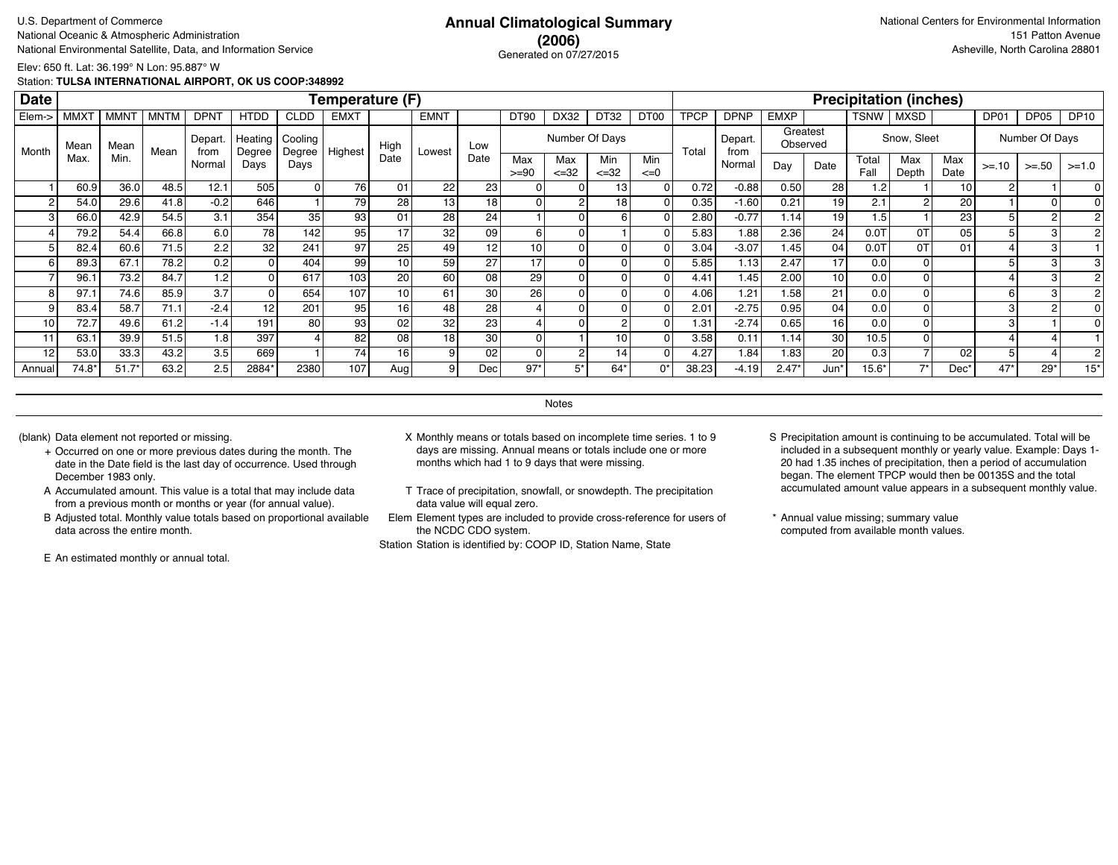## **(2006)** Generated on 07/27/2015

Elev: 650 ft. Lat: 36.199° N Lon: 95.887° W

Station: **TULSA INTERNATIONAL AIRPORT, OK US COOP:348992**

| <b>Date</b> |             |             |             |                 |                   |                     | Temperature (F) |                 |                 |      |                 |                  |                  |                  |             |                 |             |                      |               | <b>Precipitation (inches)</b> |             |         |                |             |
|-------------|-------------|-------------|-------------|-----------------|-------------------|---------------------|-----------------|-----------------|-----------------|------|-----------------|------------------|------------------|------------------|-------------|-----------------|-------------|----------------------|---------------|-------------------------------|-------------|---------|----------------|-------------|
| Elem->      | <b>MMXT</b> | <b>MMNT</b> | <b>MNTM</b> | <b>DPNT</b>     | <b>HTDD</b>       | <b>CLDD</b>         | <b>EMXT</b>     |                 | <b>EMNT</b>     |      | <b>DT90</b>     | DX32             | DT32             | DT <sub>00</sub> | <b>TPCP</b> | <b>DPNP</b>     | <b>EMXP</b> |                      | <b>TSNW</b>   | <b>MXSD</b>                   |             | DP01    | DP05           | <b>DP10</b> |
| Month       | Mean        | Mean        | Mean        | Depart.<br>from | Heating<br>Degree | Cooling<br>Degree ' | Highest         | High            | Lowest          | Low  |                 |                  | Number Of Days   |                  | Total       | Depart.<br>from |             | Greatest<br>Observed |               | Snow, Sleet                   |             |         | Number Of Days |             |
|             | Max.        | Min.        |             | Normal          | Days              | Days                |                 | Date            |                 | Date | Max<br>$>= 90$  | Max<br>$\leq 32$ | Min<br>$\leq 32$ | Min<br>$\leq=0$  |             | Normal          | Day         | Date                 | Total<br>Fall | Max<br>Depth                  | Max<br>Date | $>= 10$ | $>=.50$        | $>=1.0$     |
|             | 60.9        | 36.0        | 48.5        | 12.1            | 505               |                     | 76              | 01              | 22              | 23   | $\Omega$        |                  | 131              |                  | 0.72        | $-0.88$         | 0.50        | 28 <sup>1</sup>      | 1.2           |                               | 10          |         |                |             |
| c           | 54.0        | 29.6        | 41.8        | $-0.2$          | 646               |                     | 79              | 28              | 13 <sub>1</sub> | 18   | Οl              |                  | 18 <sup>1</sup>  |                  | 0.35        | $-1.60$         | 0.21        | 19 <sup>1</sup>      | 2.1           | $\sim$                        | 20          |         |                |             |
| 3           | 66.0        | 42.9        | 54.5        | 3.1             | 354               | 35                  | 93              | 01              | 28              | 24   |                 |                  | 61               |                  | 2.80        | $-0.77$         | 1.14        | 19 <sup>1</sup>      | 1.5           |                               | 23          |         |                |             |
|             | 79.2        | 54.4        | 66.8        | 6.0             | 78                | 142                 | 95              | 17              | 32              | 09   | $6 \mid$        |                  |                  |                  | 5.83        | 1.88            | 2.36        | 24                   | 0.01          | 0T                            | 05          |         |                |             |
|             | 82.4        | 60.6        | 71.5        | 2.2             | 32                | 241                 | 97              | 25              | 49              | 12   | 10 <sup>1</sup> |                  | Οl               |                  | 3.04        | $-3.07$         | 1.45        | 04                   | 0.07          | 0T                            | 01          |         |                |             |
|             | 89.3        | 67.1        | 78.2        | 0.2             | 01                | 404                 | 99              | 10 <sup>1</sup> | 59              | 27   | 17              |                  | 01               |                  | 5.85        | 1.13            | 2.47        | 17                   | 0.0           |                               |             |         | з              |             |
|             | 96.1        | 73.2        | 84.7        | 1.2             | 01                | 617                 | 103             | 20 <sup>1</sup> | 60              | 08   | 29              |                  | οI               |                  | 4.41        | 1.45            | 2.00        | 10 <sup>1</sup>      | 0.0           |                               |             |         | 3              |             |
|             | 97.1        | 74.6        | 85.9        | 3.7             |                   | 654                 | 107             | 10 <sup>1</sup> | 61              | 30   | 26              |                  | οI               |                  | 4.06        | 1.21            | 1.58        | 21                   | 0.0           |                               |             | 6       | з              |             |
|             | 83.4        | 58.7        | 71.1        | $-2.4$          | 12                | 201                 | 95              | 16              | 48              | 28   |                 |                  | οI               |                  | 2.01        | $-2.75$         | 0.95        | 04                   | 0.0           |                               |             |         |                |             |
| 10          | 72.7        | 49.6        | 61.2        | $-1.4$          | 191               | 80                  | 93              | 02 <sub>2</sub> | 32              | 23   |                 |                  | 2                |                  | 1.31        | $-2.74$         | 0.65        | 16 <sup>1</sup>      | 0.0           |                               |             |         |                |             |
| 11          | 63.1        | 39.9        | 51.5        | 1.8             | 397               |                     | 82              | 08              | 18              | 30   | $\Omega$        |                  | 10 <sup>1</sup>  |                  | 3.58        | 0.11            | 1.14        | 30 <sub>1</sub>      | 10.5          |                               |             |         |                |             |
| 12          | 53.0        | 33.3        | 43.2        | 3.5             | 669               |                     | 74              | 16 I            | 9               | 02   | $\overline{0}$  |                  | 14               |                  | 4.27        | 1.84            | 1.83        | 20 <sub>l</sub>      | 0.3           |                               | 02          |         |                |             |
| Annual      | $74.8*$     | $51.7*$     | 63.2        | 2.5             | 2884*             | 2380                | 107             | Aug             | 9               | Dec  | $97*$           | 5*               | $64*$            | $0^*$            | 38.23       | $-4.19$         | $2.47*$     | Jun*                 | $15.6*$       | $7*$                          | Dec'        | $47*$   | $29*$          | $15*$       |

**Notes** 

- + Occurred on one or more previous dates during the month. The date in the Date field is the last day of occurrence. Used through December 1983 only.
- A Accumulated amount. This value is a total that may include data from a previous month or months or year (for annual value).
- B Adjusted total. Monthly value totals based on proportional available data across the entire month.

E An estimated monthly or annual total.

- (blank) Data element not reported or missing. X Monthly means or totals based on incomplete time series. 1 to 9 days are missing. Annual means or totals include one or more months which had 1 to 9 days that were missing.
	- T Trace of precipitation, snowfall, or snowdepth. The precipitation data value will equal zero.
	- Elem Element types are included to provide cross-reference for users of the NCDC CDO system.

- S Precipitation amount is continuing to be accumulated. Total will be included in a subsequent monthly or yearly value. Example: Days 1- 20 had 1.35 inches of precipitation, then a period of accumulation began. The element TPCP would then be 00135S and the total accumulated amount value appears in a subsequent monthly value.
- \* Annual value missing; summary value computed from available month values.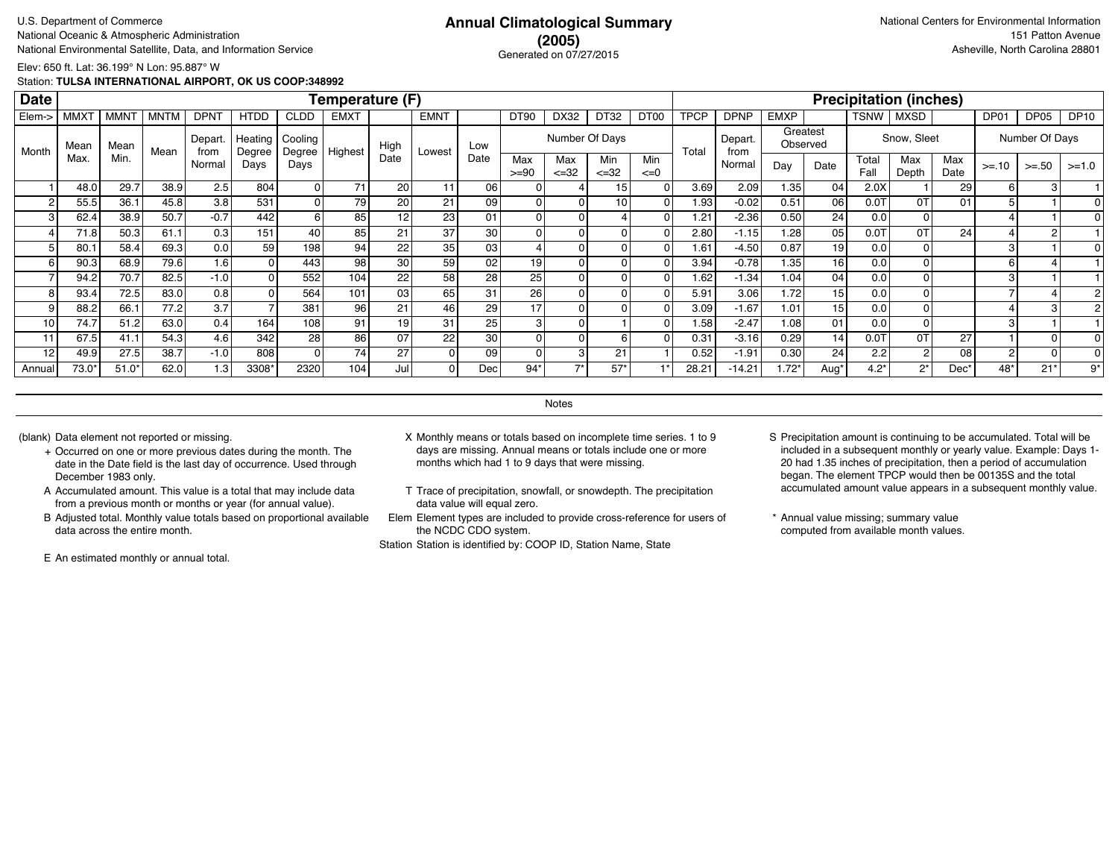## **(2005)** Generated on 07/27/2015

Elev: 650 ft. Lat: 36.199° N Lon: 95.887° W

Station: **TULSA INTERNATIONAL AIRPORT, OK US COOP:348992**

| <b>Date</b>    |             |             |             |                 |                   |                   | Temperature (F) |                 |             |                 |                |                   |                  |                 |                |                 |             |                      |               | <b>Precipitation (inches)</b> |             |                |                |             |
|----------------|-------------|-------------|-------------|-----------------|-------------------|-------------------|-----------------|-----------------|-------------|-----------------|----------------|-------------------|------------------|-----------------|----------------|-----------------|-------------|----------------------|---------------|-------------------------------|-------------|----------------|----------------|-------------|
| Elem->         | <b>MMXT</b> | <b>MMNT</b> | <b>MNTM</b> | <b>DPNT</b>     | <b>HTDD</b>       | <b>CLDD</b>       | <b>EMXT</b>     |                 | <b>EMNT</b> |                 | DT90           | DX32              | DT32             | DT00            | <b>TPCP</b>    | <b>DPNP</b>     | <b>EMXP</b> |                      | TSNW          | <b>MXSD</b>                   |             | DP01           | DP05           | <b>DP10</b> |
| Month          | Mean        | Mean        | Mean        | Depart.<br>from | Heating<br>Degree | Cooling<br>Degree | Highest         | High            | Lowest      | Low             |                | Number Of Days    |                  |                 | Total          | Depart.<br>from |             | Greatest<br>Observed |               | Snow, Sleet                   |             |                | Number Of Days |             |
|                | Max.        | Min.        |             | Normal          | Days              | Days              |                 | Date            |             | Date            | Max<br>$>= 90$ | Max<br>$\leq$ =32 | Min<br>$\leq 32$ | Min<br>$\leq=0$ |                | Normal          | Day         | Date                 | Total<br>Fall | Max<br>Depth                  | Max<br>Date | $>= 10$        | $>=.50$        | $>=1.0$     |
|                | 48.0        | 29.7        | 38.9        | 2.5             | 804               | 01                | 71              | 20              | 11          | 06              |                |                   | 15               |                 | 3.69           | 2.09            | 1.35        | 04                   | 2.0X          |                               | 29          | 6              | З              |             |
| $\overline{2}$ | 55.5        | 36.1        | 45.8        | 3.8             | 531               | $\overline{0}$    | 79              | 20              | 21          | 09              |                |                   | 10               |                 | 1.93           | $-0.02$         | 0.51        | 06                   | $0.0$ T       | 0T                            | 01          |                |                |             |
| 3              | 62.4        | 38.9        | 50.7        | $-0.7$          | 442               | 6 I               | 85              | 12              | 23          | 01              |                |                   |                  |                 | 1.21           | $-2.36$         | 0.50        | 24                   | 0.0           |                               |             |                |                |             |
|                | 71.8        | 50.3        | 61.1        | 0.3             | 151               | 40 l              | 85              | 21              | 37          | 30              |                |                   |                  |                 | 2.80           | $-1.15$         | 1.28        | 05                   | 0.0T          | 0T                            | 24          |                |                |             |
|                | 80.1        | 58.4        | 69.3        | 0.0             | 59                | 198               | 94              | 22              | 35          | 03              |                |                   |                  |                 | 1.61           | $-4.50$         | 0.87        | 19                   | 0.0           |                               |             | 3              |                |             |
| 6              | 90.3        | 68.9        | 79.6        | 1.6             |                   | 443               | 98              | 30 <sub>1</sub> | 59          | 02              | 19             |                   |                  |                 | 3.94           | $-0.78$         | 1.35        | 16 <sup>1</sup>      | 0.0           |                               |             | 6              |                |             |
|                | 94.2        | 70.7        | 82.5        | $-1.0$          |                   | 552               | 104             | 22              | 58          | 28              | 25             |                   |                  |                 | 1.62           | $-1.34$         | 1.04        | 04                   | 0.0           |                               |             |                |                |             |
|                | 93.4        | 72.5        | 83.0        | 0.8             |                   | 564               | 101             | 03              | 65          | 31              | 26             |                   |                  |                 | 5.91           | 3.06            | 1.72        | 15 <sup>1</sup>      | 0.0           |                               |             |                |                |             |
|                | 88.2        | 66.1        | 77.2        | 3.7             |                   | 381               | 96              | 21              | 46          | 29              | 17             |                   |                  |                 | 3.09           | $-1.67$         | 1.01        | 15 <sup>1</sup>      | 0.0           |                               |             |                |                |             |
| 10             | 74.7        | 51.2        | 63.0        | 0.4             | 164               | 108               | 91              | 19              | 31          | 25 <sub>1</sub> |                |                   |                  |                 | 1.58           | $-2.47$         | 1.08        | 01                   | 0.0           |                               |             |                |                |             |
| 11             | 67.5        | 41.1        | 54.3        | 4.6             | 342               | 28 <sub>l</sub>   | 86              | 07              | 22          | 30              |                |                   |                  |                 | 0.31           | $-3.16$         | 0.29        | 14                   | 0.0T          | 0T                            | 27          |                |                |             |
| 12             | 49.9        | 27.5        | 38.7        | $-1.0$          | 808               | 0                 | 741             | 27              | 0           | 09              |                | 3                 | 21               |                 | 0.52           | $-1.91$         | 0.30        | 24                   | 2.2           | 2                             | 08          | $\overline{2}$ |                |             |
| Annual         | $73.0*$     | $51.0*$     | 62.0        | 1.3             | 3308*             | 2320              | 104             | Jul             | 0           | Dec             | $94*$          |                   | $57*$            |                 | $28.2^{\circ}$ | $-14.21$        | $1.72*$     | Aug                  | $4.2*$        | $2^{\prime}$                  | Dec'        | 48*            | $21*$          | 9*          |

**Notes** 

- + Occurred on one or more previous dates during the month. The date in the Date field is the last day of occurrence. Used through December 1983 only.
- A Accumulated amount. This value is a total that may include data from a previous month or months or year (for annual value).
- B Adjusted total. Monthly value totals based on proportional available data across the entire month.

E An estimated monthly or annual total.

- (blank) Data element not reported or missing. X Monthly means or totals based on incomplete time series. 1 to 9 days are missing. Annual means or totals include one or more months which had 1 to 9 days that were missing.
	- T Trace of precipitation, snowfall, or snowdepth. The precipitation data value will equal zero.
	- Elem Element types are included to provide cross-reference for users of the NCDC CDO system.

- S Precipitation amount is continuing to be accumulated. Total will be included in a subsequent monthly or yearly value. Example: Days 1- 20 had 1.35 inches of precipitation, then a period of accumulation began. The element TPCP would then be 00135S and the total accumulated amount value appears in a subsequent monthly value.
- \* Annual value missing; summary value computed from available month values.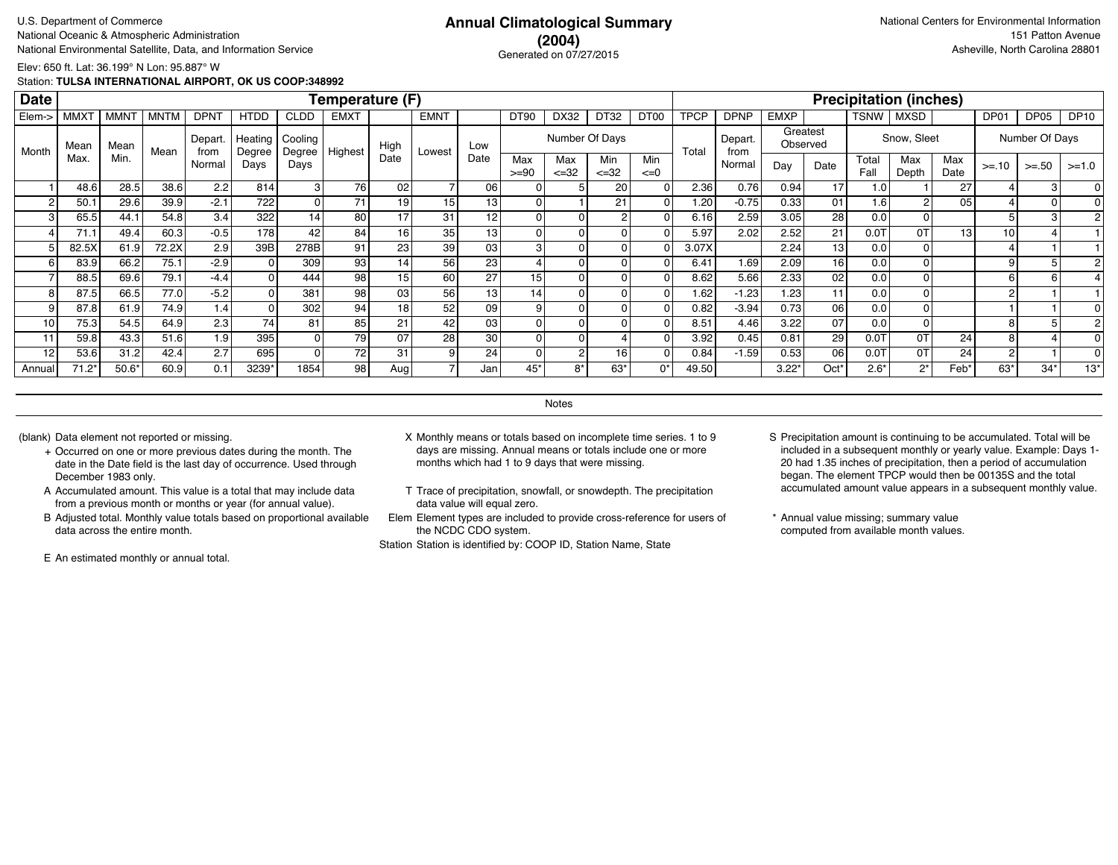### **(2004)** Generated on 07/27/2015

Elev: 650 ft. Lat: 36.199° N Lon: 95.887° W

Station: **TULSA INTERNATIONAL AIRPORT, OK US COOP:348992**

| <b>Date</b> |             |             |             |                |                   |                   | Temperature (F) |                 |                 |                 |                |                  |                  |                 |             |                 |             |                      |               | <b>Precipitation (inches)</b> |             |                |                |             |
|-------------|-------------|-------------|-------------|----------------|-------------------|-------------------|-----------------|-----------------|-----------------|-----------------|----------------|------------------|------------------|-----------------|-------------|-----------------|-------------|----------------------|---------------|-------------------------------|-------------|----------------|----------------|-------------|
| Elem->      | <b>MMXT</b> | <b>MMNT</b> | <b>MNTM</b> | <b>DPNT</b>    | <b>HTDD</b>       | <b>CLDD</b>       | <b>EMXT</b>     |                 | <b>EMNT</b>     |                 | <b>DT90</b>    | DX32             | DT32             | DT00            | <b>TPCP</b> | <b>DPNP</b>     | <b>EMXP</b> |                      | TSNW          | <b>MXSD</b>                   |             | DP01           | DP05           | <b>DP10</b> |
| Month       | Mean        | Mean        | Mean        | Depart<br>from | Heating<br>Degree | Cooling<br>Degree | Highest         | High            | Lowest          | Low             |                |                  | Number Of Days   |                 | Total       | Depart.<br>from |             | Greatest<br>Observed |               | Snow, Sleet                   |             |                | Number Of Days |             |
|             | Max.        | Min.        |             | Normal         | Days              | Days              |                 | Date            |                 | Date            | Max<br>$>= 90$ | Max<br>$\leq 32$ | Min<br>$\leq 32$ | Min<br>$\leq=0$ |             | Normal          | Day         | Date                 | Total<br>Fall | Max<br>Depth                  | Max<br>Date | $>= 10$        | $>= 50$        | $>=1.0$     |
|             | 48.6        | 28.5        | 38.6        | 2.2            | 814               | зI                | 76              | 02              |                 | 06              |                |                  | 20               |                 | 2.36        | 0.76            | 0.94        | 17                   | 1.0           |                               | 27          |                | З              |             |
|             | 50.1        | 29.6        | 39.9        | $-2.1$         | 722               | 0                 | 71              | 19              | 15 <sub>1</sub> | 13              |                |                  | 21               |                 | 1.20        | $-0.75$         | 0.33        | 01                   | 1.6           |                               | 05          |                |                |             |
|             | 65.5        | 44.1        | 54.8        | 3.4            | 322               | 14                | 80              | 17              | 31              | 12              |                |                  |                  |                 | 6.16        | 2.59            | 3.05        | 28                   | 0.0           |                               |             |                |                |             |
|             | 71.1        | 49.4        | 60.3        | $-0.5$         | 178               | 42                | 84              | 16              | 35              | 13 <sub>1</sub> |                |                  |                  |                 | 5.97        | 2.02            | 2.52        | 21                   | 0.0T          | 0T                            | 13          | 10             |                |             |
|             | 82.5X       | 61.9        | 72.2X       | 2.9            | 39B               | 278B              | 91              | 23 <sub>1</sub> | 39              | 03              | 3              |                  |                  |                 | 3.07X       |                 | 2.24        | 13                   | 0.0           |                               |             |                |                |             |
| 6           | 83.9        | 66.2        | 75.1        | $-2.9$         |                   | 309               | 93              | 14              | 56              | 23              |                |                  |                  |                 | 6.41        | 1.69            | 2.09        | 16 <sup>1</sup>      | 0.0           |                               |             | 9              | 5              |             |
|             | 88.5        | 69.6        | 79.1        | $-4.4$         |                   | 444               | 98              | 15              | 60              | 27              | 15             |                  |                  |                 | 8.62        | 5.66            | 2.33        | 02                   | 0.0           |                               |             | 6              | 6              |             |
| 8           | 87.5        | 66.5        | 77.0        | $-5.2$         |                   | 381               | 98              | 03              | 56              | 13              | 14             |                  |                  |                 | 1.62        | $-1.23$         | 1.23        | 11                   | 0.0           |                               |             | 2              |                |             |
|             | 87.8        | 61.9        | 74.9        | 1.4            |                   | 302               | 94              | 18              | 52              | 09              |                |                  |                  |                 | 0.82        | $-3.94$         | 0.73        | 06 l                 | 0.0           |                               |             |                |                |             |
| 10          | 75.3        | 54.5        | 64.9        | 2.3            | 74                | 81                | 85              | 21              | 42              | 03              |                |                  |                  |                 | 8.51        | 4.46            | 3.22        | 07                   | 0.0           |                               |             |                |                |             |
| 11          | 59.8        | 43.3        | 51.6        | 1.9            | 395               | 0                 | 79              | 07              | 28              | 30              |                |                  |                  |                 | 3.92        | 0.45            | 0.81        | 29                   | $0.0$ T       | 0T                            | 24          | 8              |                |             |
| 12          | 53.6        | 31.2        | 42.4        | 2.7            | 695               | ΩI                | 72              | 31              | 9               | 24              |                |                  | 16               |                 | 0.84        | $-1.59$         | 0.53        | 06                   | 0.0T          | 0T                            | 24          | $\overline{2}$ |                |             |
| Annual      | $71.2*$     | $50.6*$     | 60.9        | 0.1            | 3239*             | 1854              | 98              | Aug             |                 | Jan             | 45*            | 8*               | $63*$            | $0^*$           | 49.50       |                 | $3.22*$     | Oct'                 | $2.6*$        | $2^*$                         | Feb*        | 63*            | $34*$          | $13*$       |

**Notes** 

- + Occurred on one or more previous dates during the month. The date in the Date field is the last day of occurrence. Used through December 1983 only.
- A Accumulated amount. This value is a total that may include data from a previous month or months or year (for annual value).
- B Adjusted total. Monthly value totals based on proportional available data across the entire month.

E An estimated monthly or annual total.

- (blank) Data element not reported or missing. X Monthly means or totals based on incomplete time series. 1 to 9 days are missing. Annual means or totals include one or more months which had 1 to 9 days that were missing.
	- T Trace of precipitation, snowfall, or snowdepth. The precipitation data value will equal zero.
	- Elem Element types are included to provide cross-reference for users of the NCDC CDO system.

- S Precipitation amount is continuing to be accumulated. Total will be included in a subsequent monthly or yearly value. Example: Days 1- 20 had 1.35 inches of precipitation, then a period of accumulation began. The element TPCP would then be 00135S and the total accumulated amount value appears in a subsequent monthly value.
- \* Annual value missing; summary value computed from available month values.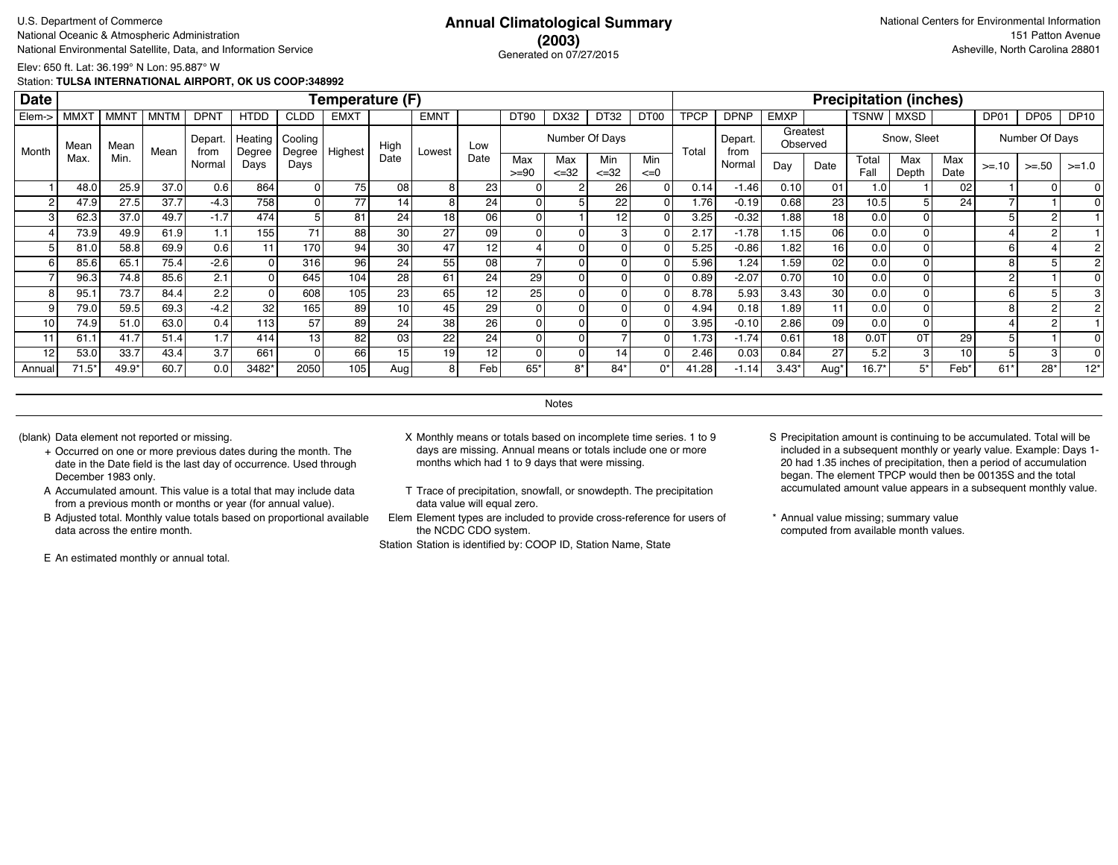### **(2003)** Generated on 07/27/2015

Elev: 650 ft. Lat: 36.199° N Lon: 95.887° W

Station: **TULSA INTERNATIONAL AIRPORT, OK US COOP:348992**

| <b>Date</b> |                  |             |             |                 |                   |                   | Temperature (F) |                 |             |                 |                |                   |                  |                  |             |                 |             |                      |               | <b>Precipitation (inches)</b> |             |         |                  |             |
|-------------|------------------|-------------|-------------|-----------------|-------------------|-------------------|-----------------|-----------------|-------------|-----------------|----------------|-------------------|------------------|------------------|-------------|-----------------|-------------|----------------------|---------------|-------------------------------|-------------|---------|------------------|-------------|
| Elem->      | MMX <sup>-</sup> | <b>MMNT</b> | <b>MNTM</b> | <b>DPNT</b>     | <b>HTDD</b>       | <b>CLDD</b>       | <b>EMXT</b>     |                 | <b>EMNT</b> |                 | <b>DT90</b>    | DX32              | DT32             | DT <sub>00</sub> | <b>TPCP</b> | <b>DPNP</b>     | <b>EMXP</b> |                      | TSNW          | <b>MXSD</b>                   |             | DP01    | DP <sub>05</sub> | <b>DP10</b> |
| Month       | Mear             | Mean        | Mean        | Depart.<br>from | Heating<br>Degree | Cooling<br>Degree | Highest         | High            | Lowest      | Low             |                | Number Of Days    |                  |                  | Total       | Depart.<br>from |             | Greatest<br>Observed |               | Snow, Sleet                   |             |         | Number Of Days   |             |
|             | Max              | Min.        |             | Normal          | Days              | Days              |                 | Date            |             | Date            | Max<br>$>= 90$ | Max<br>$\leq$ =32 | Min<br>$\leq$ 32 | Min<br>$\leq=0$  |             | Normal          | Day         | Date                 | Total<br>Fall | Max<br>Depth                  | Max<br>Date | $>= 10$ | $>=.50$          | $>=1.0$     |
|             | 48.0             | 25.9        | 37.0        | 0.6             | 864               |                   | 75              | 08 <sub>1</sub> | 8           | 23              |                |                   | 26 <sub>1</sub>  |                  | 0.14        | $-1.46$         | 0.10        | 01                   | 1.0           |                               | 02          |         |                  |             |
|             | 47.9             | 27.5        | 37.7        | $-4.3$          | 758               |                   | 77              | 14.             | 8           | 24              | 0              |                   | 22               |                  | 1.76        | $-0.19$         | 0.68        | 23 <sub>l</sub>      | 10.5          |                               | 24          |         |                  |             |
| 3           | 62.3             | 37.0        | 49.7        | $-1.7$          | 474               |                   | 81              | 24              | 18          | 06              | $\overline{0}$ |                   | 12               |                  | 3.25        | $-0.32$         | 1.88        | 18 <sup>1</sup>      | 0.0           |                               |             |         |                  |             |
|             | 73.9             | 49.9        | 61.9        | 1.1             | 155               | 71                | 88              | 30 <sup>1</sup> | 27          | 09              | $\Omega$       |                   |                  |                  | 2.17        | $-1.78$         | 1.15        | 06 l                 | 0.0           |                               |             |         |                  |             |
|             | 81.0             | 58.8        | 69.9        | 0.6             | 11                | 170               | 94              | 30              | 47          | 12 <sub>1</sub> |                |                   |                  |                  | 5.25        | $-0.86$         | 1.82        | 16                   | 0.0           |                               |             | 6       |                  |             |
| 6           | 85.6             | 65.1        | 75.4        | $-2.6$          |                   | 316               | 96              | 24 <sub>1</sub> | 55          | 08              |                |                   |                  |                  | 5.96        | 1.24            | 1.59        | 02                   | 0.0           |                               |             |         | 5                |             |
|             | 96.3             | 74.8        | 85.6        | 2.1             |                   | 645               | 104             | 28              | 61          | 24 <sub>1</sub> | 29             |                   |                  |                  | 0.89        | $-2.07$         | 0.70        | 10 <sup>1</sup>      | 0.0           |                               |             |         |                  |             |
| 8           | 95.1             | 73.7        | 84.4        | 2.2             |                   | 608               | 105             | 23 <sub>1</sub> | 65          | 12              | 25             |                   |                  |                  | 8.78        | 5.93            | 3.43        | 30 l                 | 0.0           |                               |             |         |                  |             |
| 9           | 79.0             | 59.5        | 69.3        | $-4.2$          | 32                | 165               | 89              | 10 <sup>1</sup> | 45          | 29              |                |                   |                  |                  | 4.94        | 0.18            | 1.89        | 11                   | 0.0           |                               |             |         |                  |             |
| 10          | 74.9             | 51.0        | 63.0        | 0.4             | 113               | 57                | 89              | 24              | 38          | 26              |                |                   |                  |                  | 3.95        | $-0.10$         | 2.86        | 09                   | 0.0           |                               |             |         |                  |             |
| 11          | 61.1             | 41.7        | 51.4        | 1.7             | 414               | 13                | 82              | 03              | 22          | 24 <sub>1</sub> |                |                   |                  |                  | 1.73        | $-1.74$         | 0.61        | 18 <sup>1</sup>      | $0.0$ T       | 0T                            | 29          |         |                  |             |
| 12          | 53.0             | 33.7        | 43.4        | 3.7             | 661               |                   | 66              | 15              | 19          | 12              |                |                   |                  |                  | 2.46        | 0.03            | 0.84        | 27                   | 5.2           | $\mathbf{3}$                  | 10          |         |                  |             |
| Annual      | $71.5*$          | 49.9*       | 60.7        | 0.0             | 3482*             | 2050              | 105             | Aug             | 8           | Feb             | $65*$          | $8*$              | $84*$            | 0*               | 41.28       | $-1.14$         | $3.43*$     | Aug                  | $16.7*$       | $5^*$                         | Feb*        | $61*$   | $28*$            | $12*$       |

**Notes** 

- + Occurred on one or more previous dates during the month. The date in the Date field is the last day of occurrence. Used through December 1983 only.
- A Accumulated amount. This value is a total that may include data from a previous month or months or year (for annual value).
- B Adjusted total. Monthly value totals based on proportional available data across the entire month.

E An estimated monthly or annual total.

- (blank) Data element not reported or missing. X Monthly means or totals based on incomplete time series. 1 to 9 days are missing. Annual means or totals include one or more months which had 1 to 9 days that were missing.
	- T Trace of precipitation, snowfall, or snowdepth. The precipitation data value will equal zero.
	- Elem Element types are included to provide cross-reference for users of the NCDC CDO system.

- S Precipitation amount is continuing to be accumulated. Total will be included in a subsequent monthly or yearly value. Example: Days 1- 20 had 1.35 inches of precipitation, then a period of accumulation began. The element TPCP would then be 00135S and the total accumulated amount value appears in a subsequent monthly value.
- \* Annual value missing; summary value computed from available month values.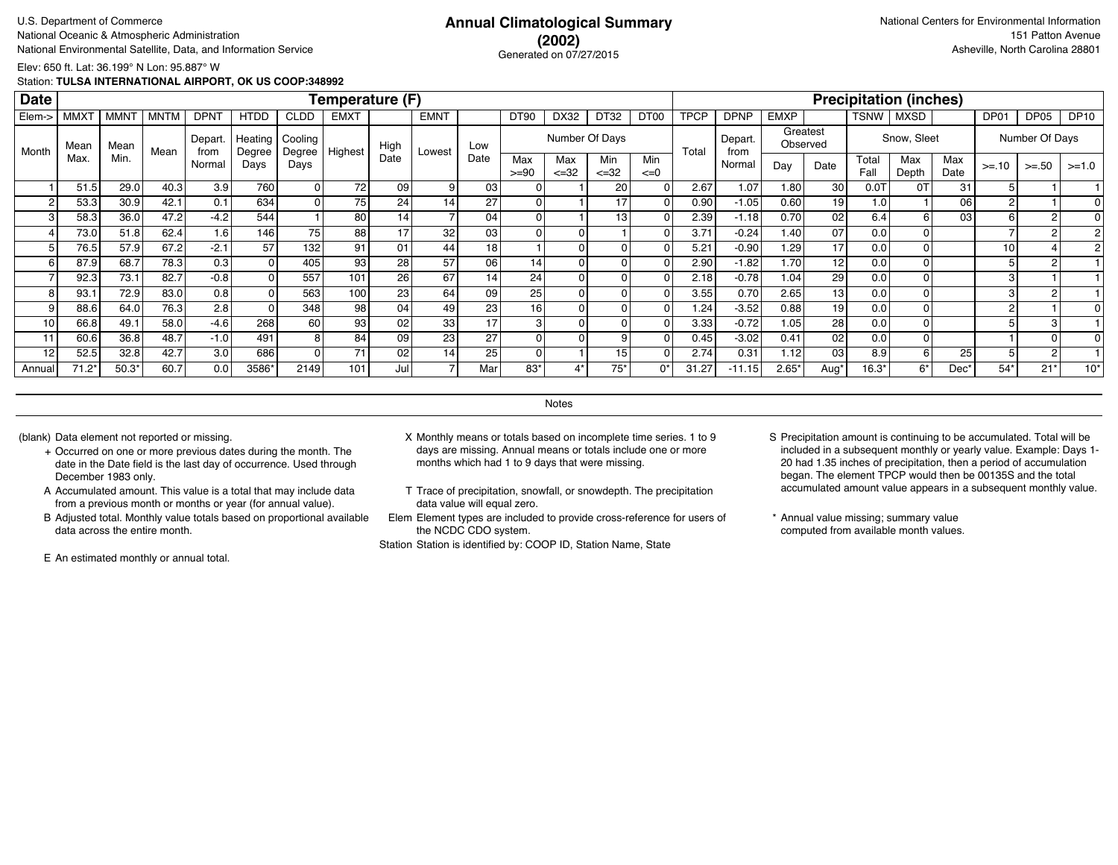### **(2002)** Generated on 07/27/2015

Elev: 650 ft. Lat: 36.199° N Lon: 95.887° W

Station: **TULSA INTERNATIONAL AIRPORT, OK US COOP:348992**

| <b>Date</b> |             |             |             |                |                   |                   | Temperature (F) |                 |                 |                 |                |                  |                  |                 |             |                 |                |                      |               | <b>Precipitation (inches)</b> |             |         |                |             |
|-------------|-------------|-------------|-------------|----------------|-------------------|-------------------|-----------------|-----------------|-----------------|-----------------|----------------|------------------|------------------|-----------------|-------------|-----------------|----------------|----------------------|---------------|-------------------------------|-------------|---------|----------------|-------------|
| Elem->      | <b>MMXT</b> | <b>MMNT</b> | <b>MNTM</b> | <b>DPNT</b>    | <b>HTDD</b>       | <b>CLDD</b>       | <b>EMXT</b>     |                 | <b>EMNT</b>     |                 | <b>DT90</b>    | DX32             | DT32             | DT00            | <b>TPCP</b> | <b>DPNP</b>     | <b>EMXP</b>    |                      | TSNW          | <b>MXSD</b>                   |             | DP01    | DP05           | <b>DP10</b> |
| Month       | Mean        | Mean        | Mean        | Depart<br>from | Heating<br>Degree | Cooling<br>Degree | Highest         | High            | Lowest          | Low             |                | Number Of Days   |                  |                 | Total       | Depart.<br>from |                | Greatest<br>Observed |               | Snow, Sleet                   |             |         | Number Of Days |             |
|             | Max.        | Min.        |             | Normal         | Days              | Days              |                 | Date            |                 | Date            | Max<br>$>= 90$ | Max<br>$\leq 32$ | Min<br>$\leq 32$ | Min<br>$\leq=0$ |             | Normal          | Day            | Date                 | Total<br>Fall | Max<br>Depth                  | Max<br>Date | $>= 10$ | $>=.50$        | $>=1.0$     |
|             | 51.5        | 29.0        | 40.3        | 3.9            | 760               | 01                | 72              | 09              | 9 <sub>1</sub>  | 03              |                |                  | 20 <sub>1</sub>  |                 | 2.67        | 1.07            | 1.80           | 30                   | 0.0T          | 0T                            | 31          |         |                |             |
|             | 53.3        | 30.9        | 42.1        | 0.1            | 634               |                   | 75              | 24              | 14              | 27              |                |                  |                  |                 | 0.90        | $-1.05$         | 0.60           | 19                   | 1.0           |                               | 06          |         |                |             |
| 3           | 58.3        | 36.0        | 47.2        | $-4.2$         | 544               |                   | 80              | 14 <sub>1</sub> |                 | 04              |                |                  | 13               |                 | 2.39        | $-1.18$         | 0.70           | 02 <sub>1</sub>      | 6.4           | h                             | 03          | 6       |                |             |
|             | 73.0        | 51.8        | 62.4        | 1.6            | 146               | 75                | 88              | 17              | 32              | 03              |                |                  |                  |                 | 3.71        | $-0.24$         | 1.40           | 07                   | 0.0           |                               |             |         |                |             |
|             | 76.5        | 57.9        | 67.2        | $-2.1$         | 57                | 132               | 91              | 01              | 44              | 18 <sub>1</sub> |                |                  |                  |                 | 5.21        | $-0.90$         | 1.29           | 17                   | 0.0           |                               |             | 10      |                |             |
| 6           | 87.9        | 68.7        | 78.3        | 0.3            |                   | 405               | 93              | 28              | 57              | 06              | 14             | O                |                  |                 | 2.90        | $-1.82$         | 1.70           | 12                   | 0.0           |                               |             |         |                |             |
|             | 92.3        | 73.1        | 82.7        | $-0.8$         |                   | 557               | 101             | 26              | 67              | 14 <sub>1</sub> | 24             |                  |                  |                 | 2.18        | $-0.78$         | 1.04           | 29                   | 0.0           |                               |             |         |                |             |
| 8           | 93.1        | 72.9        | 83.0        | 0.8            |                   | 563               | 100             | 23              | 64              | 09              | 25             |                  |                  |                 | 3.55        | 0.70            | 2.65           | 13                   | 0.0           |                               |             |         | 2              |             |
|             | 88.6        | 64.0        | 76.3        | 2.8            |                   | 348               | 98              | 04              | 49              | 23              | 16             |                  |                  |                 | 1.24        | $-3.52$         | 0.88           | 19                   | 0.0           |                               |             |         |                |             |
| 10          | 66.8        | 49.1        | 58.0        | $-4.6$         | 268               | 60                | 93              | 02              | 33              | 17              |                |                  |                  |                 | 3.33        | $-0.72$         | 1.05           | 28                   | 0.0           |                               |             |         |                |             |
| 11          | 60.6        | 36.8        | 48.7        | $-1.0$         | 491               | 8                 | 84              | 09              | 23              | 27              |                |                  |                  |                 | 0.45        | $-3.02$         | 0.41           | 02 <sub>1</sub>      | 0.0           |                               |             |         |                |             |
| 12          | 52.5        | 32.8        | 42.7        | 3.0            | 686               | ΩI                | 71              | 02              | 14 <sub>1</sub> | 25              |                |                  | 15               |                 | 2.74        | 0.31            | 1.12           | 03 <sub>1</sub>      | 8.9           | 6                             | 25          | 5       |                |             |
| Annual      | $71.2*$     | $50.3*$     | 60.7        | 0.0            | 3586*             | 2149              | 101             | Jul             | –               | Mar             | 83*            |                  | $75*$            | 0*              | 31.27       | $-11.15$        | $2.65^{\circ}$ | Aug                  | $16.3*$       | $6*$                          | Dec'        | 54*     | $21*$          | $10*$       |

**Notes** 

- + Occurred on one or more previous dates during the month. The date in the Date field is the last day of occurrence. Used through December 1983 only.
- A Accumulated amount. This value is a total that may include data from a previous month or months or year (for annual value).
- B Adjusted total. Monthly value totals based on proportional available data across the entire month.

E An estimated monthly or annual total.

- (blank) Data element not reported or missing. X Monthly means or totals based on incomplete time series. 1 to 9 days are missing. Annual means or totals include one or more months which had 1 to 9 days that were missing.
	- T Trace of precipitation, snowfall, or snowdepth. The precipitation data value will equal zero.
	- Elem Element types are included to provide cross-reference for users of the NCDC CDO system.

- S Precipitation amount is continuing to be accumulated. Total will be included in a subsequent monthly or yearly value. Example: Days 1- 20 had 1.35 inches of precipitation, then a period of accumulation began. The element TPCP would then be 00135S and the total accumulated amount value appears in a subsequent monthly value.
- \* Annual value missing; summary value computed from available month values.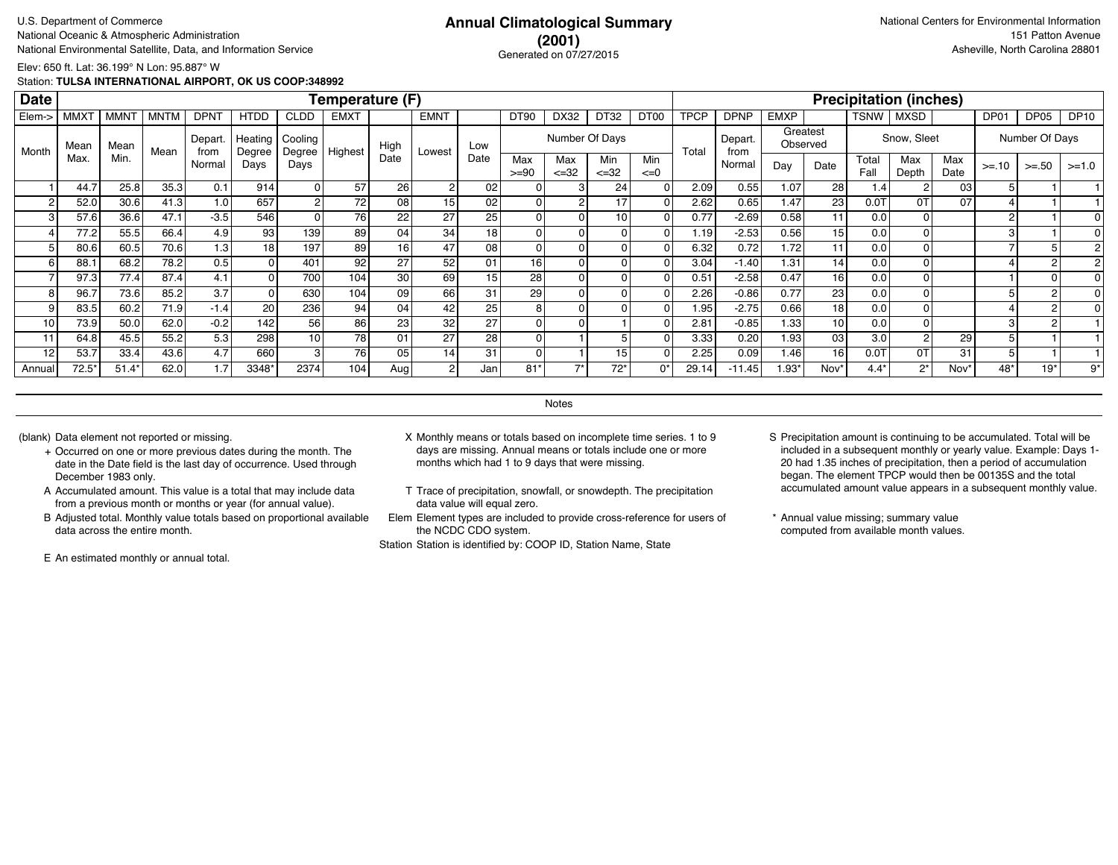### **(2001)** Generated on 07/27/2015

Elev: 650 ft. Lat: 36.199° N Lon: 95.887° W

Station: **TULSA INTERNATIONAL AIRPORT, OK US COOP:348992**

| <b>Date</b> |             |             |             |                 |                   |                   | Temperature (F) |                 |                 |      |                 |                   |                  |                  |             |                 |             |                      |               | <b>Precipitation (inches)</b> |                 |                |                |             |
|-------------|-------------|-------------|-------------|-----------------|-------------------|-------------------|-----------------|-----------------|-----------------|------|-----------------|-------------------|------------------|------------------|-------------|-----------------|-------------|----------------------|---------------|-------------------------------|-----------------|----------------|----------------|-------------|
| Elem->      | <b>MMXT</b> | <b>MMNT</b> | <b>MNTM</b> | <b>DPNT</b>     | <b>HTDD</b>       | <b>CLDD</b>       | <b>EMXT</b>     |                 | <b>EMNT</b>     |      | <b>DT90</b>     | DX32              | DT32             | DT <sub>00</sub> | <b>TPCP</b> | <b>DPNP</b>     | <b>EMXP</b> |                      | <b>TSNW</b>   | MXSD                          |                 | DP01           | DP05           | <b>DP10</b> |
| Month       | Mean        | Mean        | Mean        | Depart.<br>from | Heating<br>Degree | Cooling<br>Degree | Highest         | High            | Lowest          | Low  |                 | Number Of Days    |                  |                  | Total       | Depart.<br>from |             | Greatest<br>Observed |               | Snow, Sleet                   |                 |                | Number Of Days |             |
|             | Max.        | Min.        |             | Normal          | Days              | Days              |                 | Date            |                 | Date | Max<br>$>= 90$  | Max<br>$\leq$ =32 | Min<br>$\leq$ 32 | Min<br>$\leq=0$  |             | Normal          | Day         | Date                 | Total<br>Fall | Max<br>Depth                  | Max<br>Date     | $>= 10$        | $>=.50$        | $>=1.0$     |
|             | 44.7        | 25.8        | 35.3        | 0.1             | 914               | ٥I                | 57              | 26              | $\overline{2}$  | 02   |                 |                   | 24               |                  | 2.09        | 0.55            | 1.07        | 28                   | 1.4           |                               | 03 <sub>l</sub> |                |                |             |
|             | 52.0        | 30.6        | 41.3        | 1.0             | 657               |                   | 72              | 08 <sub>1</sub> | 15 <sub>1</sub> | 02   |                 |                   |                  |                  | 2.62        | 0.65            | 1.47        | 23 <sub>l</sub>      | 0.07          | 0T                            | 07              |                |                |             |
|             | 57.6        | 36.6        | 47.1        | $-3.5$          | 546               | 01                | 76              | 22              | 27              | 25   | 0               |                   | 10               |                  | 0.77        | $-2.69$         | 0.58        | 11                   | 0.0           | 01                            |                 | 2              |                |             |
|             | 77.2        | 55.5        | 66.4        | 4.9             | 93                | 139               | 89              | 04              | 34              | 18   | 0               |                   |                  |                  | 1.19        | $-2.53$         | 0.56        | 15 <sup>1</sup>      | 0.0           | οI                            |                 | 3              |                |             |
|             | 80.6        | 60.5        | 70.6        | 1.3             | 18 <sub>1</sub>   | 197               | 89              | 16              | 47              | 08   | 0               |                   |                  |                  | 6.32        | 0.72            | 1.72        | 11 <sub>1</sub>      | 0.0           | ΩI                            |                 |                |                |             |
| 6           | 88.1        | 68.2        | 78.2        | 0.5             |                   | 401               | 92              | 27              | 52              | 01   | 16 <sub>1</sub> |                   |                  |                  | 3.04        | $-1.40$         | 1.31        | 14 <sup>1</sup>      | 0.0           | ΩI                            |                 |                |                |             |
|             | 97.3        | 77.4        | 87.4        | 4.1             |                   | 700               | 104             | 30              | 69              | 15   | 28              |                   |                  |                  | 0.51        | $-2.58$         | 0.47        | 16                   | 0.0           | $\overline{0}$                |                 |                |                |             |
| 8           | 96.7        | 73.6        | 85.2        | 3.7             |                   | 630               | 104             | 09              | 66              | 31   | 29              |                   |                  |                  | 2.26        | $-0.86$         | 0.77        | 23 <sub>l</sub>      | 0.0           |                               |                 |                |                |             |
|             | 83.5        | 60.2        | 71.9        | $-1.4$          | 20                | 236               | 94              | 04              | 42              | 25   | 8               |                   |                  |                  | 1.95        | $-2.75$         | 0.66        | 18 <sup>1</sup>      | 0.0           |                               |                 |                |                |             |
| 10          | 73.9        | 50.0        | 62.0        | $-0.2$          | 142               | 56 l              | 86              | 23 <sub>1</sub> | 32              | 27   |                 |                   |                  |                  | 2.81        | $-0.85$         | 1.33        | 10 <sup>1</sup>      | 0.0           | ΩI                            |                 | 3              |                |             |
| 11          | 64.8        | 45.5        | 55.2        | 5.3             | 298               | 10 <sup>1</sup>   | 78              | 01              | 27              | 28   |                 |                   |                  |                  | 3.33        | 0.20            | 1.93        | 03                   | 3.0           |                               | 29              |                |                |             |
| 12          | 53.7        | 33.4        | 43.6        | 4.7             | 660               | зI                | 76              | 05 <sub>1</sub> | 14 <sub>1</sub> | 31   |                 |                   | 15               |                  | 2.25,       | 0.09            | 1.46        | 16                   | 0.07          | 0T                            | 31              | 5 <sup>1</sup> |                |             |
| Annual      | $72.5*$     | $51.4*$     | 62.0        | 1.7             | 3348*             | 2374              | 104             | Aug             | $\overline{2}$  | Jan  | 81'             | $\rightarrow$     | $72*$            | $0^*$            | 29.14       | $-11.45$        | 1.93*       | Nov*                 | $4.4*$        | $2^*$                         | Nov'            | 48*            | $19*$          | 9*          |

**Notes** 

- + Occurred on one or more previous dates during the month. The date in the Date field is the last day of occurrence. Used through December 1983 only.
- A Accumulated amount. This value is a total that may include data from a previous month or months or year (for annual value).
- B Adjusted total. Monthly value totals based on proportional available data across the entire month.

E An estimated monthly or annual total.

- (blank) Data element not reported or missing. X Monthly means or totals based on incomplete time series. 1 to 9 days are missing. Annual means or totals include one or more months which had 1 to 9 days that were missing.
	- T Trace of precipitation, snowfall, or snowdepth. The precipitation data value will equal zero.
	- Elem Element types are included to provide cross-reference for users of the NCDC CDO system.

- S Precipitation amount is continuing to be accumulated. Total will be included in a subsequent monthly or yearly value. Example: Days 1- 20 had 1.35 inches of precipitation, then a period of accumulation began. The element TPCP would then be 00135S and the total accumulated amount value appears in a subsequent monthly value.
- \* Annual value missing; summary value computed from available month values.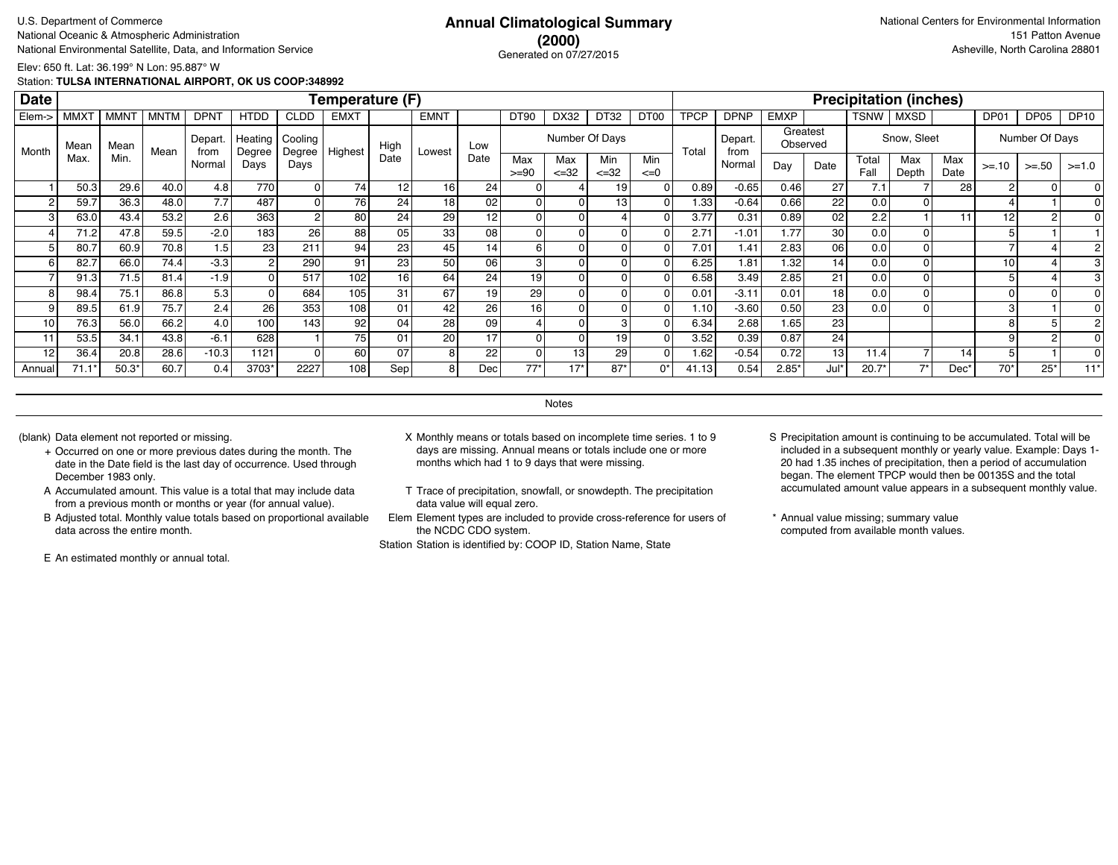## **(2000)** Generated on 07/27/2015

Elev: 650 ft. Lat: 36.199° N Lon: 95.887° W

Station: **TULSA INTERNATIONAL AIRPORT, OK US COOP:348992**

| <b>Date</b>     |             |             |             |                 |                   |                   | Temperature (F)  |                 |                 |                 |                 |                   |                  |                  |             |                 |             |                      |               | <b>Precipitation (inches)</b> |             |         |                |             |
|-----------------|-------------|-------------|-------------|-----------------|-------------------|-------------------|------------------|-----------------|-----------------|-----------------|-----------------|-------------------|------------------|------------------|-------------|-----------------|-------------|----------------------|---------------|-------------------------------|-------------|---------|----------------|-------------|
| Elem->          | <b>MMXT</b> | <b>MMNT</b> | <b>MNTM</b> | <b>DPNT</b>     | <b>HTDD</b>       | <b>CLDD</b>       | <b>EMXT</b>      |                 | <b>EMNT</b>     |                 | DT90            | DX32              | DT32             | DT <sub>00</sub> | <b>TPCP</b> | <b>DPNP</b>     | <b>EMXP</b> |                      | TSNW          | MXSD                          |             | DP01    | DP05           | <b>DP10</b> |
| Month           | Mean        | Mean        | Mean        | Depart.<br>from | Heating<br>Degree | Cooling<br>Degree | Highest          | High            | Lowest          | Low             |                 |                   | Number Of Days   |                  | Total       | Depart.<br>from |             | Greatest<br>Observed |               | Snow, Sleet                   |             |         | Number Of Days |             |
|                 | Max         | Min.        |             | Normal          | Days              | Days              |                  | Date            |                 | Date            | Max<br>$>= 90$  | Max<br>$\leq$ =32 | Min<br>$\leq$ 32 | Min<br>$\leq=0$  |             | Normal          | Day         | Date                 | Total<br>Fall | Max<br>Depth                  | Max<br>Date | $>= 10$ | $>=.50$        | $>=1.0$     |
|                 | 50.3        | 29.6        | 40.0        | 4.8             | 770               |                   | 74               | 12              | 16 <sub>1</sub> | 24              |                 |                   | 19               |                  | 0.89        | $-0.65$         | 0.46        | 27                   | 7.1           |                               | 28          | 2       |                |             |
| 2               | 59.7        | 36.3        | 48.0        | 7.7             | 487               |                   | 76               | 24              | 18 <sub>1</sub> | 02              | $\Omega$        |                   | 13               |                  | 1.33        | $-0.64$         | 0.66        | 221                  | 0.0           |                               |             |         |                |             |
| 3 <sub>1</sub>  | 63.0        | 43.4        | 53.2        | 2.6             | 363               | 2                 | 80               | 24              | 29              | 12              | 0               |                   |                  |                  | 3.77        | 0.31            | 0.89        | 021                  | 2.2           |                               | 11          | 12      | 2              |             |
|                 | 71.2        | 47.8        | 59.5        | $-2.0$          | 183               | 26                | 88               | 05 <sub>1</sub> | 33 <sub>1</sub> | 08              | 0               |                   |                  |                  | 2.71        | $-1.01$         | 1.77        | 30 l                 | 0.0           |                               |             |         |                |             |
|                 | 80.7        | 60.9        | 70.8        | 1.5             | 23 <sub>1</sub>   | 211               | 94               | 23 <sub>1</sub> | 45              | 14 <sub>1</sub> | 6               |                   |                  |                  | 7.01        | 1.41            | 2.83        | 06 l                 | 0.0           |                               |             |         |                |             |
| 6               | 82.7        | 66.0        | 74.4        | $-3.3$          |                   | 290               | 91               | 23 <sub>1</sub> | 50 <sub>1</sub> | 06              | 3               |                   |                  |                  | 6.25        | 1.81            | 1.32        | 14 <sup>1</sup>      | 0.0           |                               |             | 10      |                |             |
|                 | 91.3        | 71.5        | 81.4        | $-1.9$          |                   | 517               | 102              | 16              | 64              | 24              | 19              |                   |                  |                  | 6.58        | 3.49            | 2.85        | 21                   | 0.0           |                               |             |         |                |             |
| 8 <sup>1</sup>  | 98.4        | 75.1        | 86.8        | 5.3             |                   | 684               | 105 <sub>1</sub> | 31              | 67              | 19 <sub>1</sub> | 29              |                   |                  |                  | 0.01        | $-3.11$         | 0.01        | 18 <sup>1</sup>      | 0.0           |                               |             |         | 0              |             |
| 9               | 89.5        | 61.9        | 75.7        | 2.4             | 26                | 353               | 108              | 01              | 42              | 26              | 16 <sub>1</sub> |                   |                  |                  | 1.10        | $-3.60$         | 0.50        | 23 <sub>1</sub>      | 0.0           |                               |             |         |                |             |
| 10 <sup>1</sup> | 76.3        | 56.0        | 66.2        | 4.0             | 100               | 143               | 92               | 04              | 28              | 09              |                 |                   |                  |                  | 6.34        | 2.68            | 1.65        | 23                   |               |                               |             |         |                |             |
| 11              | 53.5        | 34.1        | 43.8        | $-6.1$          | 628               |                   | 75               | 01              | 20 <sub>1</sub> | 17              |                 |                   | 19               |                  | 3.52        | 0.39            | 0.87        | 24                   |               |                               |             |         |                |             |
| 12              | 36.4        | 20.8        | 28.6        | $-10.3$         | 1121              |                   | 60               | 07              | 8               | 22              | $\Omega$        | 13                | 29               |                  | 1.62        | $-0.54$         | 0.72        | 13 I                 | 11.4          |                               | 14          |         |                |             |
| Annual          | 71.1'       | $50.3*$     | 60.7        | 0.4             | 3703*             | 2227              | 108              | Sep             | 81              | Dec             | $77*$           | $17*$             | 87'              | $0^*$            | 41.13       | 0.54            | 2.85'       | Jul*                 | $20.7*$       | 7'                            | Dec'        | $70*$   | $25*$          | $11*$       |

**Notes** 

- + Occurred on one or more previous dates during the month. The date in the Date field is the last day of occurrence. Used through December 1983 only.
- A Accumulated amount. This value is a total that may include data from a previous month or months or year (for annual value).
- B Adjusted total. Monthly value totals based on proportional available data across the entire month.

E An estimated monthly or annual total.

- (blank) Data element not reported or missing. X Monthly means or totals based on incomplete time series. 1 to 9 days are missing. Annual means or totals include one or more months which had 1 to 9 days that were missing.
	- T Trace of precipitation, snowfall, or snowdepth. The precipitation data value will equal zero.
	- Elem Element types are included to provide cross-reference for users of the NCDC CDO system.

- S Precipitation amount is continuing to be accumulated. Total will be included in a subsequent monthly or yearly value. Example: Days 1- 20 had 1.35 inches of precipitation, then a period of accumulation began. The element TPCP would then be 00135S and the total accumulated amount value appears in a subsequent monthly value.
- \* Annual value missing; summary value computed from available month values.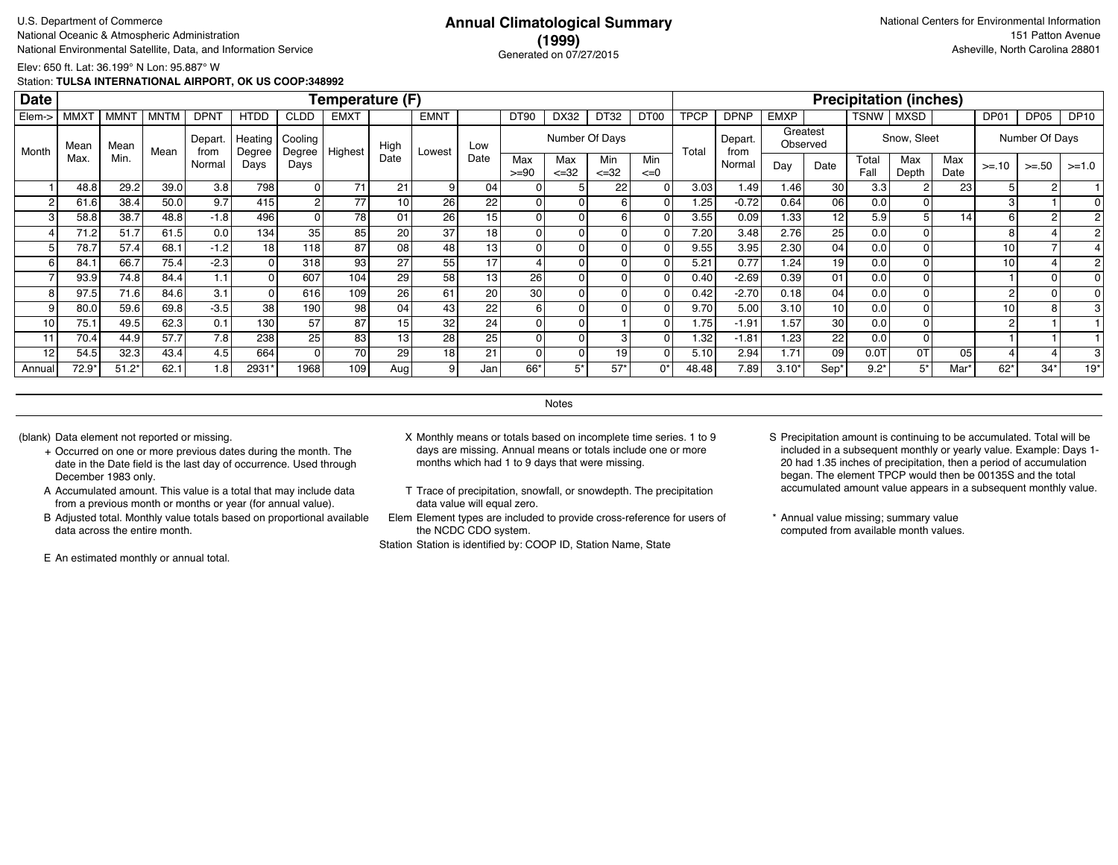### **(1999)** Generated on 07/27/2015

Elev: 650 ft. Lat: 36.199° N Lon: 95.887° W

Station: **TULSA INTERNATIONAL AIRPORT, OK US COOP:348992**

| <b>Date</b> |             |             |             |                |                   |                   | Temperature (F) |      |                |                 |                |                   |                  |                 |             |                 |             |                      |               | <b>Precipitation (inches)</b> |             |                |                |             |
|-------------|-------------|-------------|-------------|----------------|-------------------|-------------------|-----------------|------|----------------|-----------------|----------------|-------------------|------------------|-----------------|-------------|-----------------|-------------|----------------------|---------------|-------------------------------|-------------|----------------|----------------|-------------|
| Elem->      | <b>MMXT</b> | <b>MMNT</b> | <b>MNTM</b> | <b>DPNT</b>    | <b>HTDD</b>       | <b>CLDD</b>       | <b>EMXT</b>     |      | <b>EMNT</b>    |                 | <b>DT90</b>    | DX32              | DT32             | DT00            | <b>TPCP</b> | <b>DPNP</b>     | <b>EMXP</b> |                      | TSNW          | <b>MXSD</b>                   |             | DP01           | DP05           | <b>DP10</b> |
| Month       | Mean        | Mean        | Mean        | Depart<br>from | Heating<br>Degree | Cooling<br>Degree | Highest         | High | Lowest         | Low             |                |                   | Number Of Days   |                 | Total       | Depart.<br>from |             | Greatest<br>Observed |               | Snow, Sleet                   |             |                | Number Of Days |             |
|             | Max.        | Min.        |             | Normal         | Days              | Days              |                 | Date |                | Date            | Max<br>$>= 90$ | Max<br>$\leq$ =32 | Min<br>$\leq 32$ | Min<br>$\leq=0$ |             | Normal          | Day         | Date                 | Total<br>Fall | Max<br>Depth                  | Max<br>Date | $>= 10$        | $>=.50$        | $>=1.0$     |
|             | 48.8        | 29.2        | 39.0        | 3.8            | 798               | 01                | 71              | 21   | 9 <sub>1</sub> | 04              |                |                   | 22               |                 | 3.03        | 1.49            | 1.46        | 30                   | 3.3           |                               | 23          |                |                |             |
|             | 61.6        | 38.4        | 50.0        | 9.7            | 415               | 2                 | 77              |      | 26             | 22              |                |                   |                  |                 | 1.25        | $-0.72$         | 0.64        | 06                   | 0.0           |                               |             |                |                |             |
| 3           | 58.8        | 38.7        | 48.8        | $-1.8$         | 496               | 0                 | 78              | 01   | 26             | 15 <sub>1</sub> |                |                   |                  |                 | 3.55        | 0.09            | 1.33        | 12                   | 5.9           |                               | 14          | 6              |                |             |
|             | 71.2        | 51.7        | 61.5        | 0.0            | 134               | 35 <sub>1</sub>   | 85              | 20   | 37             | 18 <sub>1</sub> |                |                   |                  |                 | 7.20        | 3.48            | 2.76        | 25 <sub>1</sub>      | 0.0           |                               |             | 8              |                |             |
|             | 78.7        | 57.4        | 68.1        | $-1.2$         | 18 <sub>1</sub>   | 118               | 87              | 08   | 48             | 13 <sub>1</sub> |                |                   |                  |                 | 9.55        | 3.95            | 2.30        | 04                   | 0.0           |                               |             | 10             |                |             |
| 6           | 84.1        | 66.7        | 75.4        | $-2.3$         |                   | 318               | 93              | 27   | 55             | 17              |                |                   |                  |                 | 5.21        | 0.77            | 1.24        | 19 <sup>1</sup>      | 0.0           |                               |             | 10             |                |             |
|             | 93.9        | 74.8        | 84.4        | 1.1            |                   | 607               | 104             | 29   | 58             | 13              | 26             |                   |                  |                 | 0.40        | $-2.69$         | 0.39        | 01                   | 0.0           |                               |             |                | 0              |             |
| 8           | 97.5        | 71.6        | 84.6        | 3.1            |                   | 616               | 109             | 26   | 61             | 20              | 30             |                   |                  |                 | 0.42        | $-2.70$         | 0.18        | 04                   | 0.0           |                               |             | $\overline{c}$ | 0              |             |
|             | 80.0        | 59.6        | 69.8        | $-3.5$         | 38                | 190               | 98              | 04   | 43             | 22              | 6              |                   |                  |                 | 9.70        | 5.00            | 3.10        | 10 <sup>1</sup>      | 0.0           |                               |             | 10             |                |             |
| 10          | 75.1        | 49.5        | 62.3        | 0.1            | 130.              | 57                | 87              | 15   | 32             | 24 <sub>1</sub> |                |                   |                  |                 | 1.75        | $-1.91$         | 1.57        | 30 <sup>1</sup>      | 0.0           |                               |             | 2              |                |             |
| 11          | 70.4        | 44.9        | 57.7        | 7.8            | 238               | 25                | 83              | 13   | 28             | 25              |                |                   |                  |                 | 1.32        | $-1.81$         | 1.23        | 221                  | 0.0           |                               |             |                |                |             |
| 12          | 54.5        | 32.3        | 43.4        | 4.5            | 664               | ΩI                | 70              | 29   | 18             | 21              |                |                   | 19               |                 | 5.10        | 2.94            | 1.71        | 09                   | 0.0T          | 0T                            | 05          |                |                |             |
| Annual      | $72.9*$     | $51.2*$     | 62.1        | 1.8            | 2931*             | 1968              | 109             | Aug  | 91             | Jan             | 66*            | 5*                | $57*$            | $0^*$           | 48.48       | 7.89            | 3.10'       | Sep <sup>®</sup>     | $9.2*$        | $5*$                          | Mar'        | $62*$          | $34*$          | $19*$       |

**Notes** 

- + Occurred on one or more previous dates during the month. The date in the Date field is the last day of occurrence. Used through December 1983 only.
- A Accumulated amount. This value is a total that may include data from a previous month or months or year (for annual value).
- B Adjusted total. Monthly value totals based on proportional available data across the entire month.

E An estimated monthly or annual total.

- (blank) Data element not reported or missing. X Monthly means or totals based on incomplete time series. 1 to 9 days are missing. Annual means or totals include one or more months which had 1 to 9 days that were missing.
	- T Trace of precipitation, snowfall, or snowdepth. The precipitation data value will equal zero.
	- Elem Element types are included to provide cross-reference for users of the NCDC CDO system.

- S Precipitation amount is continuing to be accumulated. Total will be included in a subsequent monthly or yearly value. Example: Days 1- 20 had 1.35 inches of precipitation, then a period of accumulation began. The element TPCP would then be 00135S and the total accumulated amount value appears in a subsequent monthly value.
- \* Annual value missing; summary value computed from available month values.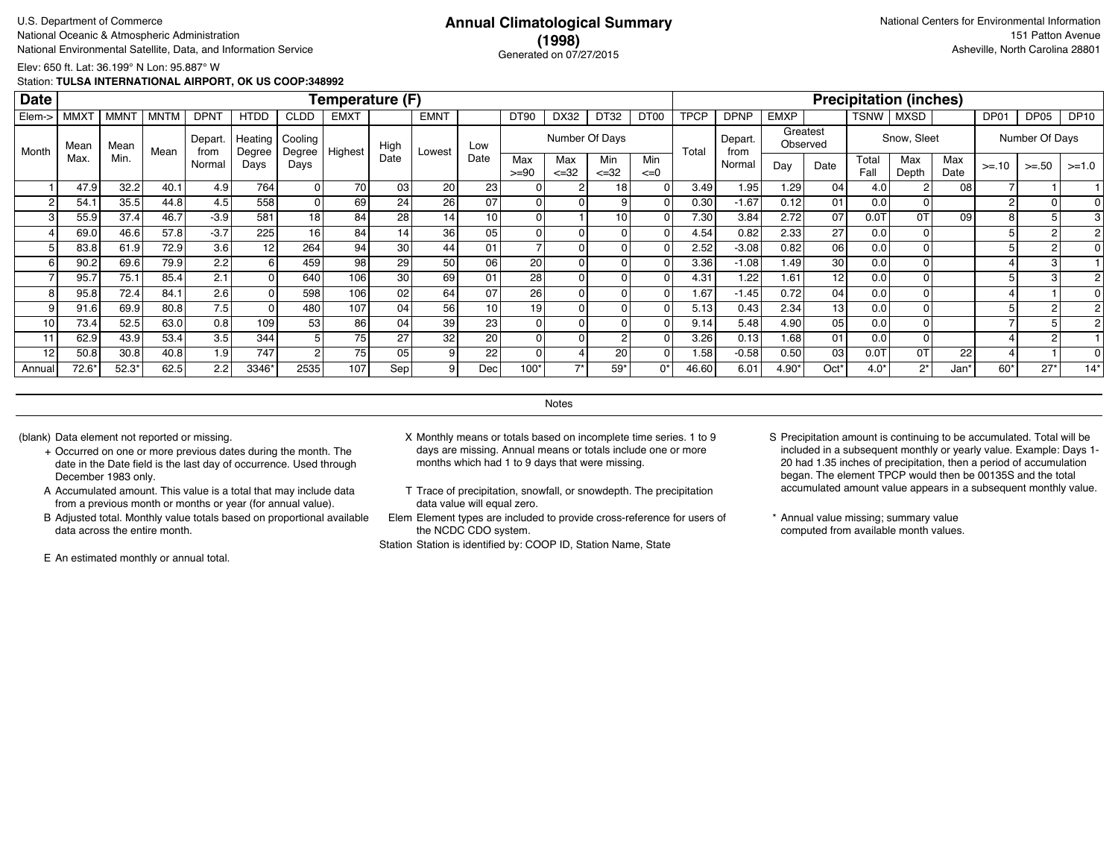## **(1998)** Generated on 07/27/2015

Elev: 650 ft. Lat: 36.199° N Lon: 95.887° W

Station: **TULSA INTERNATIONAL AIRPORT, OK US COOP:348992**

| <b>Date</b>     |             |             |             |                 |                   |                   | Temperature (F) |                 |                 |      |                |                   |                  |                  |             |                 |             |                      |               | <b>Precipitation (inches)</b> |             |         |                |             |
|-----------------|-------------|-------------|-------------|-----------------|-------------------|-------------------|-----------------|-----------------|-----------------|------|----------------|-------------------|------------------|------------------|-------------|-----------------|-------------|----------------------|---------------|-------------------------------|-------------|---------|----------------|-------------|
| Elem->          | <b>MMXT</b> | <b>MMNT</b> | <b>MNTM</b> | <b>DPNT</b>     | <b>HTDD</b>       | <b>CLDD</b>       | <b>EMXT</b>     |                 | <b>EMNT</b>     |      | <b>DT90</b>    | DX32              | DT32             | DT <sub>00</sub> | <b>TPCP</b> | <b>DPNP</b>     | <b>EMXP</b> |                      | TSNW          | MXSD                          |             | DP01    | DP05           | <b>DP10</b> |
| Month           | Mean        | Mean        | Mean        | Depart.<br>from | Heating<br>Degree | Cooling<br>Degree | Highest         | High            | Lowest          | Low  |                |                   | Number Of Days   |                  | Total       | Depart.<br>from |             | Greatest<br>Observed |               | Snow, Sleet                   |             |         | Number Of Days |             |
|                 | Max         | Min.        |             | Normal          | Days              | Days              |                 | Date            |                 | Date | Max<br>$>= 90$ | Max<br>$\leq$ =32 | Min<br>$\leq$ 32 | Min<br>$\leq=0$  |             | Normal          | Day         | Date                 | Total<br>Fall | Max<br>Depth                  | Max<br>Date | $>= 10$ | $>=.50$        | $>=1.0$     |
|                 | 47.9        | 32.2        | 40.1        | 4.9             | 764               |                   | 70              | 03 <sub>1</sub> | 20 <sub>2</sub> | 23   |                |                   | 18               |                  | 3.49        | 1.95            | 1.29        | 04 <sub>1</sub>      | 4.0           |                               | 08          |         |                |             |
|                 | 54.1        | 35.5        | 44.8        | 4.5             | 558               |                   | 69              | 24              | 26              | 07   |                |                   |                  |                  | 0.30        | $-1.67$         | 0.12        | 01                   | 0.0           |                               |             | $\sim$  |                |             |
| 3               | 55.9        | 37.4        | 46.7        | $-3.9$          | 581               | 18                | 84              | 28              | 14              | 10   | 0              |                   | 10               |                  | 7.30        | 3.84            | 2.72        | 07                   | $0.0$ T       | 0T                            | 09          |         |                |             |
|                 | 69.0        | 46.6        | 57.8        | $-3.7$          | 225               | 16 <sup>1</sup>   | 84              | 14              | 36              | 05   | 0              |                   |                  |                  | 4.54        | 0.82            | 2.33        | 27                   | 0.0           |                               |             |         |                |             |
|                 | 83.8        | 61.9        | 72.9        | 3.6             | 12                | 264               | 94 <sub>1</sub> | 30              | 44              | 01   |                |                   |                  |                  | 2.52        | $-3.08$         | 0.82        | 06                   | 0.0           |                               |             |         |                |             |
| 6               | 90.2        | 69.6        | 79.9        | 2.2             | 6 I               | 459               | 98              | 29              | 50 <sub>1</sub> | 06   | 20             |                   |                  |                  | 3.36        | $-1.08$         | 1.49        | 30 l                 | 0.0           |                               |             |         | з              |             |
|                 | 95.7        | 75.1        | 85.4        | 2.1             |                   | 640               | 106             | 30              | 69              | 01   | 28             |                   |                  |                  | 4.31        | 1.22            | 1.61        | 12 <sup>1</sup>      | 0.0           |                               |             |         | з              |             |
| 8               | 95.8        | 72.4        | 84.1        | 2.6             |                   | 598               | 106             | 02              | 64              | 07   | 26             |                   |                  |                  | 1.67        | $-1.45$         | 0.72        | 04                   | 0.0           |                               |             |         |                |             |
| 9               | 91.6        | 69.9        | 80.8        | 7.5             |                   | 480               | 107             | 04              | 56              | 10   | 19             |                   |                  |                  | 5.13        | 0.43            | 2.34        | 13 <sup>1</sup>      | 0.0           |                               |             |         |                |             |
| 10 <sub>1</sub> | 73.4        | 52.5        | 63.0        | 0.8             | 109               | 53                | 86              | 04              | 39              | 23   |                |                   |                  |                  | 9.14        | 5.48            | 4.90        | 05                   | 0.0           |                               |             |         |                |             |
| 11              | 62.9        | 43.9        | 53.4        | 3.5             | 344               |                   | 75              | 27              | 32              | 20   |                |                   |                  |                  | 3.26        | 0.13            | 1.68        | 01                   | 0.0           |                               |             |         |                |             |
| 12              | 50.8        | 30.8        | 40.8        | 1.9             | 747               | 2                 | 75              | 05 <sub>1</sub> | 9 <sup>1</sup>  | 22   |                |                   | 20               |                  | 1.58        | $-0.58$         | 0.50        | 03                   | $0.0$ T       | 0T                            | 22          |         |                |             |
| Annual          | $72.6*$     | $52.3*$     | 62.5        | 2.2             | 3346*             | 2535              | 107             | Sep             | 91              | Dec  | $100*$         | $\rightarrow$     | 59'              | $0^*$            | 46.60       | 6.01            | 4.90*       | Oct'                 | $4.0*$        | $2^*$                         | Jan*        | $60*$   | $27*$          | $14*$       |

**Notes** 

- + Occurred on one or more previous dates during the month. The date in the Date field is the last day of occurrence. Used through December 1983 only.
- A Accumulated amount. This value is a total that may include data from a previous month or months or year (for annual value).
- B Adjusted total. Monthly value totals based on proportional available data across the entire month.

E An estimated monthly or annual total.

- (blank) Data element not reported or missing. X Monthly means or totals based on incomplete time series. 1 to 9 days are missing. Annual means or totals include one or more months which had 1 to 9 days that were missing.
	- T Trace of precipitation, snowfall, or snowdepth. The precipitation data value will equal zero.
	- Elem Element types are included to provide cross-reference for users of the NCDC CDO system.

- S Precipitation amount is continuing to be accumulated. Total will be included in a subsequent monthly or yearly value. Example: Days 1- 20 had 1.35 inches of precipitation, then a period of accumulation began. The element TPCP would then be 00135S and the total accumulated amount value appears in a subsequent monthly value.
- \* Annual value missing; summary value computed from available month values.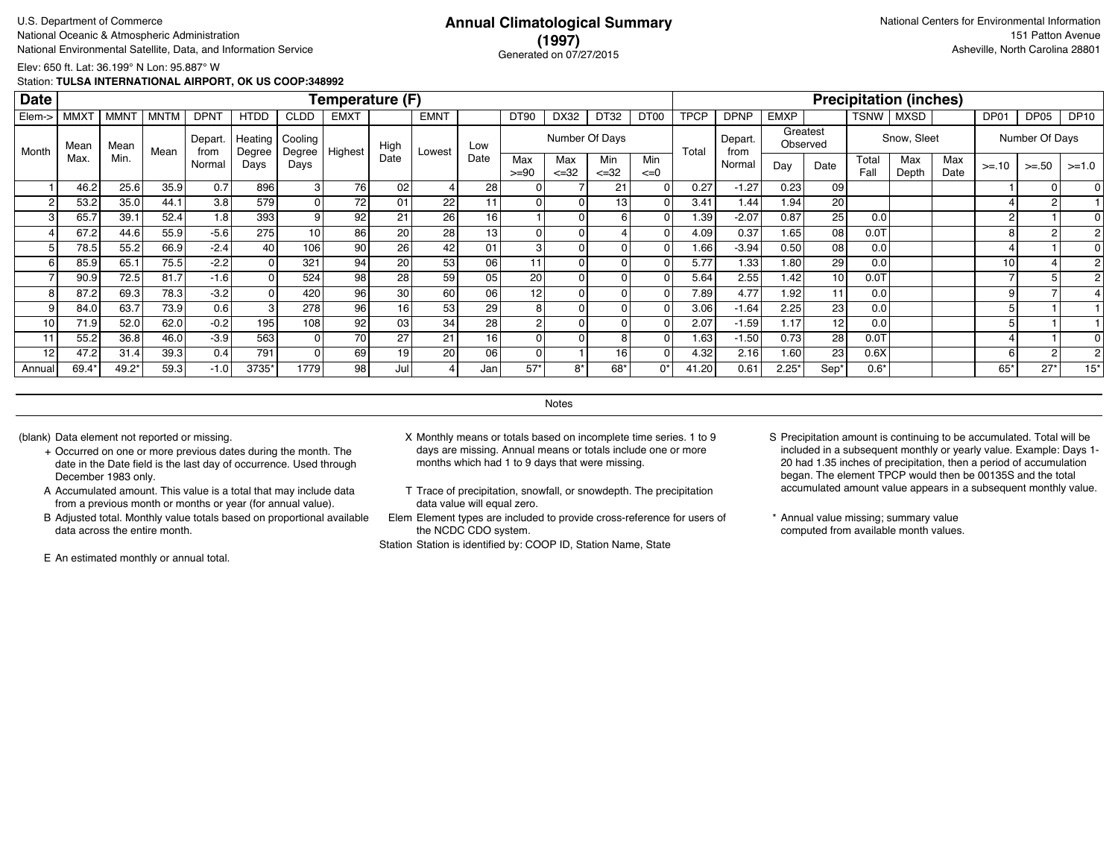### **(1997)** Generated on 07/27/2015

Elev: 650 ft. Lat: 36.199° N Lon: 95.887° W

Station: **TULSA INTERNATIONAL AIRPORT, OK US COOP:348992**

| <b>Date</b>     |                  |             |             |                 |                   |                   | Temperature (F) |                 |                 |      |                |                   |                  |                  |             |                 |             |                      |               | <b>Precipitation (inches)</b> |             |         |                  |             |
|-----------------|------------------|-------------|-------------|-----------------|-------------------|-------------------|-----------------|-----------------|-----------------|------|----------------|-------------------|------------------|------------------|-------------|-----------------|-------------|----------------------|---------------|-------------------------------|-------------|---------|------------------|-------------|
| Elem->          | MMX <sup>-</sup> | <b>MMNT</b> | <b>MNTM</b> | <b>DPNT</b>     | <b>HTDD</b>       | <b>CLDD</b>       | <b>EMXT</b>     |                 | <b>EMNT</b>     |      | <b>DT90</b>    | DX32              | DT32             | DT <sub>00</sub> | <b>TPCP</b> | <b>DPNP</b>     | <b>EMXP</b> |                      | TSNW          | <b>MXSD</b>                   |             | DP01    | DP <sub>05</sub> | <b>DP10</b> |
| Month           | Mean             | Mean        | Mean        | Depart.<br>from | Heating<br>Degree | Cooling<br>Degree | Highest         | High            | Lowest          | Low  |                |                   | Number Of Days   |                  | Total       | Depart.<br>from |             | Greatest<br>Observed |               | Snow, Sleet                   |             |         | Number Of Days   |             |
|                 | Max              | Min.        |             | Normal          | Days              | Days              |                 | Date            |                 | Date | Max<br>$>= 90$ | Max<br>$\leq$ =32 | Min<br>$\leq$ 32 | Min<br>$\leq=0$  |             | Normal          | Day         | Date                 | Total<br>Fall | Max<br>Depth                  | Max<br>Date | $>= 10$ | $>=.50$          | $>=1.0$     |
|                 | 46.2             | 25.6        | 35.9        | 0.7             | 896               |                   | 76              | 02              |                 | 28   |                |                   | 21               |                  | 0.27        | $-1.27$         | 0.23        | 09                   |               |                               |             |         |                  |             |
| 2               | 53.2             | 35.0        | 44.1        | 3.8             | 579               | 0                 | 72              | 01              | 22              | 11   | $\Omega$       |                   | 13               |                  | 3.41        | 1.44            | 1.94        | 20                   |               |                               |             |         |                  |             |
| 3 <sub>1</sub>  | 65.7             | 39.1        | 52.4        | 1.8             | 393               | 9                 | 92 <sub>1</sub> | 21              | 26              | 16   |                |                   | 6                |                  | 1.39        | $-2.07$         | 0.87        | 25 <sub>1</sub>      | 0.0           |                               |             | 2       |                  |             |
|                 | 67.2             | 44.6        | 55.9        | $-5.6$          | 275               | 10 <sup>1</sup>   | 86              | 20              | 28              | 13   | 0              |                   |                  |                  | 4.09        | 0.37            | 1.65        | 08 l                 | $0.0$ T       |                               |             | 8       | 2                |             |
|                 | 78.5             | 55.2        | 66.9        | $-2.4$          | 40                | 106               | 90              | 26 <sub>1</sub> | 42              | 01   | 3              |                   |                  |                  | 1.66        | $-3.94$         | 0.50        | 08 l                 | 0.0           |                               |             |         |                  |             |
| 6 <sup>1</sup>  | 85.9             | 65.1        | 75.5        | $-2.2$          |                   | 321               | 94              | 20              | 53              | 06   |                |                   |                  |                  | 5.77        | 1.33            | 1.80        | 29                   | 0.0           |                               |             | 10      |                  |             |
|                 | 90.9             | 72.5        | 81.7        | $-1.6$          |                   | 524               | 98              | 28 <sub>1</sub> | 59              | 05   | 20             |                   |                  |                  | 5.64        | 2.55            | 1.42        | 10 <sup>1</sup>      | 0.01          |                               |             |         |                  |             |
| 8               | 87.2             | 69.3        | 78.3        | $-3.2$          |                   | 420               | 96              | 30              | 60              | 06   | 12             |                   |                  |                  | 7.89        | 4.77            | 1.92        | 11                   | 0.0           |                               |             |         |                  |             |
| 9               | 84.0             | 63.7        | 73.9        | 0.6             |                   | 278               | 96              | 16              | 53              | 29   | 8              |                   |                  |                  | 3.06        | $-1.64$         | 2.25        | 23                   | 0.0           |                               |             |         |                  |             |
| 10 <sup>1</sup> | 71.9             | 52.0        | 62.0        | $-0.2$          | 195               | 108               | 92              | 03              | 34              | 28   |                |                   |                  |                  | 2.07        | $-1.59$         | 1.17        | 12 <sup>1</sup>      | 0.0           |                               |             |         |                  |             |
| 11              | 55.2             | 36.8        | 46.0        | $-3.9$          | 563               |                   | 70              | 27              | 21              | 16   |                |                   |                  |                  | 1.63        | $-1.50$         | 0.73        | 28 <sup>1</sup>      | $0.0$ T       |                               |             |         |                  |             |
| 12              | 47.2             | 31.4        | 39.3        | 0.4             | 791               | 0                 | 69              | 19              | 20 <sub>1</sub> | 06   | 0              |                   | 16               |                  | 4.32        | 2.16            | 1.60        | 23 <sub>l</sub>      | 0.6X          |                               |             | 6       |                  |             |
| Annual          | 69.4             | 49.2*       | 59.3        | $-1.0$          | 3735*             | 1779              | 98              | Jul             |                 | Jan  | $57*$          | $8*$              | 68*              | 0*               | 41.20       | 0.61            | 2.25'       | Sep'                 | $0.6*$        |                               |             | 65*     | $27*$            | $15*$       |

**Notes** 

- + Occurred on one or more previous dates during the month. The date in the Date field is the last day of occurrence. Used through December 1983 only.
- A Accumulated amount. This value is a total that may include data from a previous month or months or year (for annual value).
- B Adjusted total. Monthly value totals based on proportional available data across the entire month.

E An estimated monthly or annual total.

- (blank) Data element not reported or missing. X Monthly means or totals based on incomplete time series. 1 to 9 days are missing. Annual means or totals include one or more months which had 1 to 9 days that were missing.
	- T Trace of precipitation, snowfall, or snowdepth. The precipitation data value will equal zero.
	- Elem Element types are included to provide cross-reference for users of the NCDC CDO system.

- S Precipitation amount is continuing to be accumulated. Total will be included in a subsequent monthly or yearly value. Example: Days 1- 20 had 1.35 inches of precipitation, then a period of accumulation began. The element TPCP would then be 00135S and the total accumulated amount value appears in a subsequent monthly value.
- \* Annual value missing; summary value computed from available month values.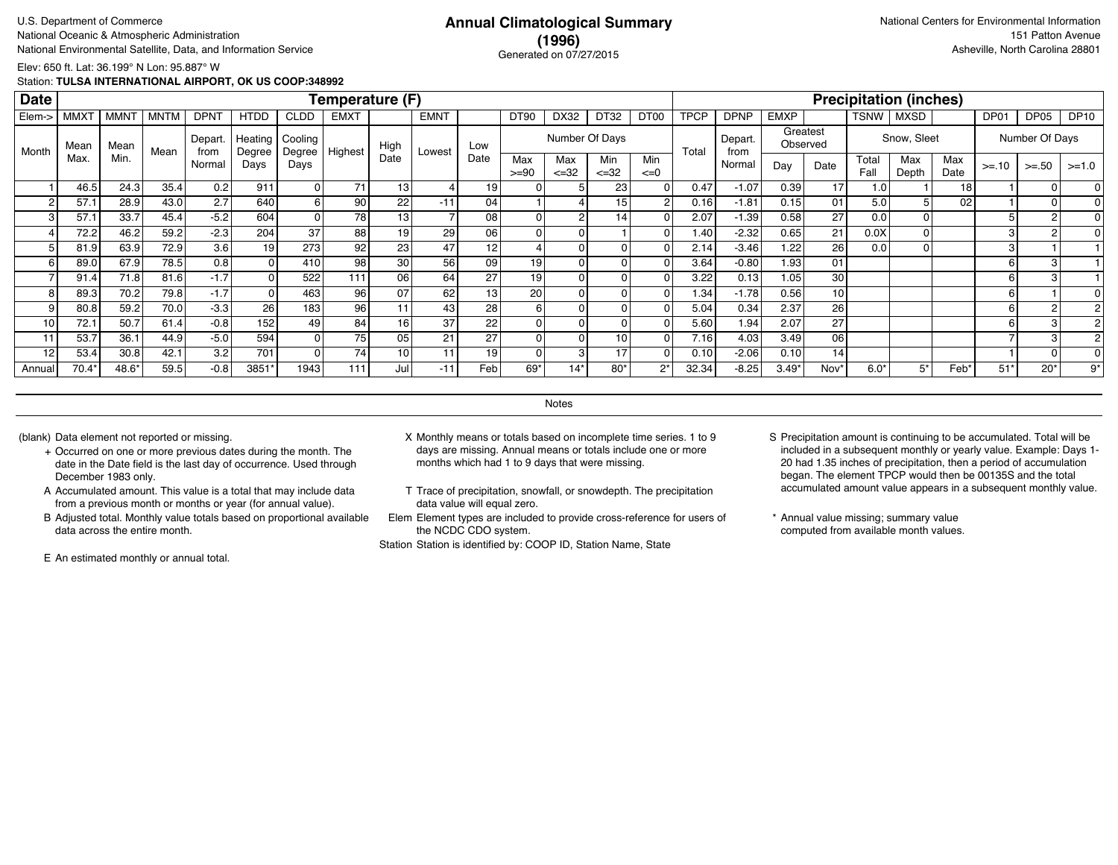### **(1996)** Generated on 07/27/2015

Elev: 650 ft. Lat: 36.199° N Lon: 95.887° W

Station: **TULSA INTERNATIONAL AIRPORT, OK US COOP:348992**

| <b>Date</b>    |             |             |             |                 |                   |                   | Temperature (F) |                 |                 |                 |                |                   |                  |                 |             |                 |             |                 |               | <b>Precipitation (inches)</b> |             |         |                |             |
|----------------|-------------|-------------|-------------|-----------------|-------------------|-------------------|-----------------|-----------------|-----------------|-----------------|----------------|-------------------|------------------|-----------------|-------------|-----------------|-------------|-----------------|---------------|-------------------------------|-------------|---------|----------------|-------------|
| Elem->         | <b>MMXT</b> | <b>MMNT</b> | <b>MNTM</b> | <b>DPNT</b>     | <b>HTDD</b>       | <b>CLDD</b>       | <b>EMXT</b>     |                 | <b>EMNT</b>     |                 | DT90           | DX32              | DT32             | DT00            | <b>TPCP</b> | <b>DPNP</b>     | <b>EMXP</b> |                 | TSNW          | <b>MXSD</b>                   |             | DP01    | DP05           | <b>DP10</b> |
| Month          | Mean        | Mean        | Mean        | Depart.<br>from | Heating<br>Degree | Cooling<br>Degree | Highest         | High            | Lowest          | Low             |                | Number Of Days    |                  |                 | Total       | Depart.<br>from | Observed    | Greatest        |               | Snow, Sleet                   |             |         | Number Of Days |             |
|                | Max.        | Min.        |             | Normal          | Days              | Days              |                 | Date            |                 | Date            | Max<br>$>= 90$ | Max<br>$\leq$ =32 | Min<br>$\leq 32$ | Min<br>$\leq=0$ |             | Normal          | Day         | Date            | Total<br>Fall | Max<br>Depth                  | Max<br>Date | $>= 10$ | $>=.50$        | $>=1.0$     |
|                | 46.5        | 24.3        | 35.4        | 0.2             | 911               | 01                | 71              | 13              |                 | 19              |                |                   | 23               |                 | 0.47        | $-1.07$         | 0.39        | 17              | 1.0           |                               | 18          |         |                |             |
| $\overline{2}$ | 57.1        | 28.9        | 43.0        | 2.7             | 640               | 6 I               | 90              | 22              | $-11$           | 04 <sub>1</sub> |                |                   | 15               |                 | 0.16        | $-1.81$         | 0.15        | 01              | 5.0           |                               | 02          |         |                |             |
| 3              | 57.1        | 33.7        | 45.4        | $-5.2$          | 604               | Οl                | 78              | 13 <sub>1</sub> |                 | 08              | $\Omega$       | 2                 | 14.              |                 | 2.07        | $-1.39$         | 0.58        | 27              | 0.0           |                               |             |         | 2              |             |
|                | 72.2        | 46.2        | 59.2        | $-2.3$          | 204               | 37                | 88              | 19              | 29              | 06              |                |                   |                  |                 | 1.40        | $-2.32$         | 0.65        | 21              | 0.0X          |                               |             | 3       |                |             |
|                | 81.9        | 63.9        | 72.9        | 3.6             | 19                | 273               | 92              | 23 <sub>1</sub> | 47              | 12              |                |                   |                  |                 | 2.14        | $-3.46$         | 1.22        | 26              | 0.0           |                               |             | 3       |                |             |
| 6              | 89.0        | 67.9        | 78.5        | 0.8             |                   | 410               | 98              | 30 <sub>1</sub> | 56              | 09              | 19             |                   |                  |                 | 3.64        | $-0.80$         | 1.93        | 01              |               |                               |             | 6       |                |             |
|                | 91.4        | 71.8        | 81.6        | $-1.7$          |                   | 522               | 111             | 06              | 64              | 27              | 19             |                   |                  |                 | 3.22        | 0.13            | 1.05        | 30              |               |                               |             | 6       | 3              |             |
|                | 89.3        | 70.2        | 79.8        | $-1.7$          |                   | 463               | 96              | 07              | 62              | 13              | 20             |                   |                  |                 | 1.34        | $-1.78$         | 0.56        | 10 <sup>1</sup> |               |                               |             |         |                |             |
|                | 80.8        | 59.2        | 70.0        | $-3.3$          | 26                | 183               | 96              |                 | 43              | 28              |                |                   |                  |                 | 5.04        | 0.34            | 2.37        | 26              |               |                               |             | 6       |                |             |
| 10             | 72.1        | 50.7        | 61.4        | $-0.8$          | 152               | 49                | 84              | 16 <sub>1</sub> | 37              | 22              |                |                   |                  |                 | 5.60        | 1.94            | 2.07        | 27              |               |                               |             | 6       |                |             |
| 11             | 53.7        | 36.1        | 44.9        | $-5.0$          | 594               | $\overline{0}$    | 75              | 05              | 21              | 27              |                |                   | 10               |                 | 7.16        | 4.03            | 3.49        | 06              |               |                               |             |         |                |             |
| 12             | 53.4        | 30.8        | 42.1        | 3.2             | 701               | οI                | 74 <sub>1</sub> | 10              | 11 <sub>1</sub> | 19              |                | з                 | 17               |                 | 0.10        | $-2.06$         | 0.10        | 14              |               |                               |             |         |                |             |
| Annual         | $70.4*$     | 48.6*       | 59.5        | $-0.8$          | 3851*             | 1943              | 111             | Jul             | $-11$           | Feb             | 69*            | 14*               | 80'              | $2^*$           | 32.34       | $-8.25$         | $3.49*$     | Nov'            | $6.0*$        | 5*                            | Feb*        | $51*$   | $20*$          | 9*          |

**Notes** 

- + Occurred on one or more previous dates during the month. The date in the Date field is the last day of occurrence. Used through December 1983 only.
- A Accumulated amount. This value is a total that may include data from a previous month or months or year (for annual value).
- B Adjusted total. Monthly value totals based on proportional available data across the entire month.

E An estimated monthly or annual total.

- (blank) Data element not reported or missing. X Monthly means or totals based on incomplete time series. 1 to 9 days are missing. Annual means or totals include one or more months which had 1 to 9 days that were missing.
	- T Trace of precipitation, snowfall, or snowdepth. The precipitation data value will equal zero.
	- Elem Element types are included to provide cross-reference for users of the NCDC CDO system.

- S Precipitation amount is continuing to be accumulated. Total will be included in a subsequent monthly or yearly value. Example: Days 1- 20 had 1.35 inches of precipitation, then a period of accumulation began. The element TPCP would then be 00135S and the total accumulated amount value appears in a subsequent monthly value.
- \* Annual value missing; summary value computed from available month values.